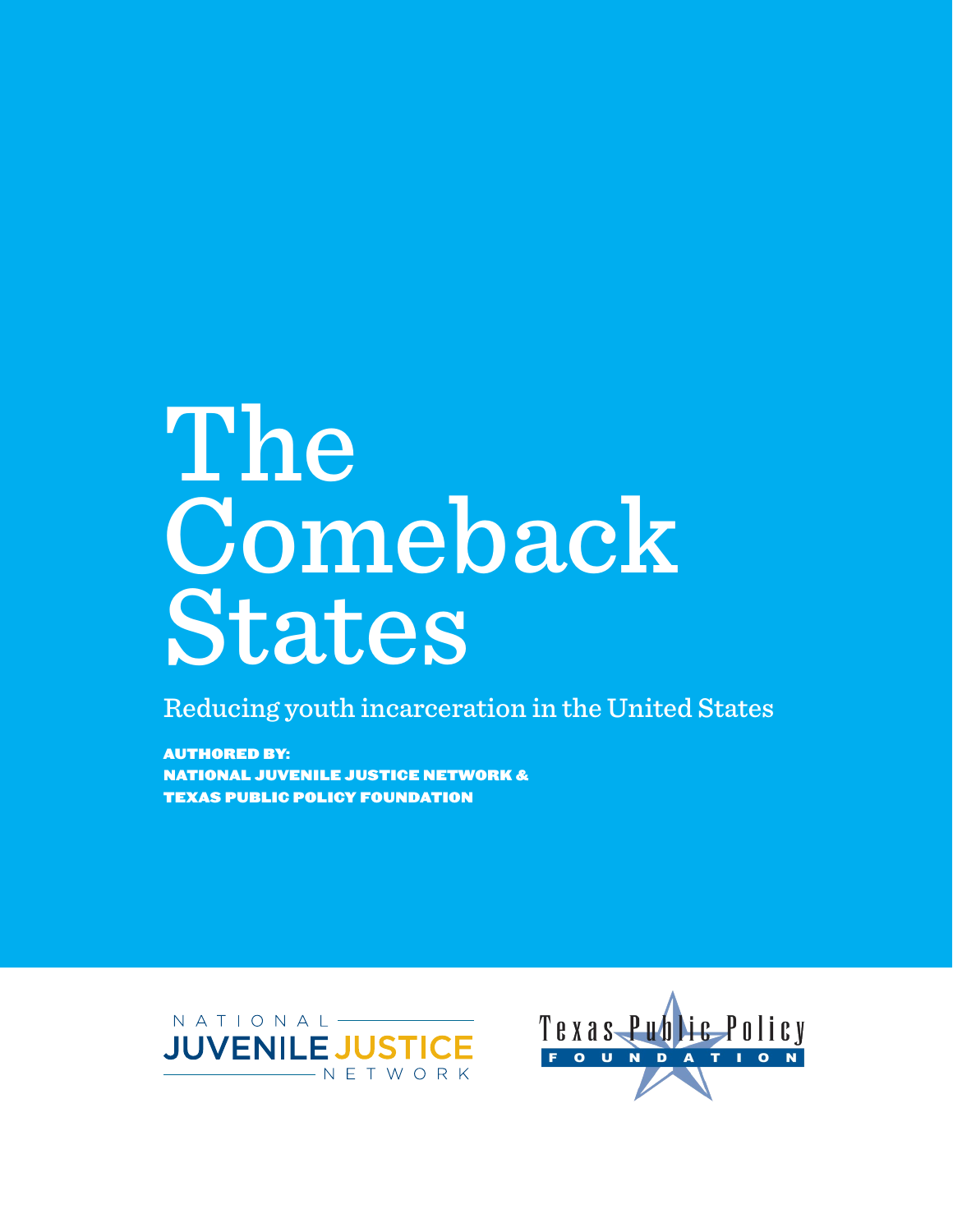# The Comeback States

Reducing youth incarceration in the United States

Authored by: national juvenile justice network & texas public policy foundation



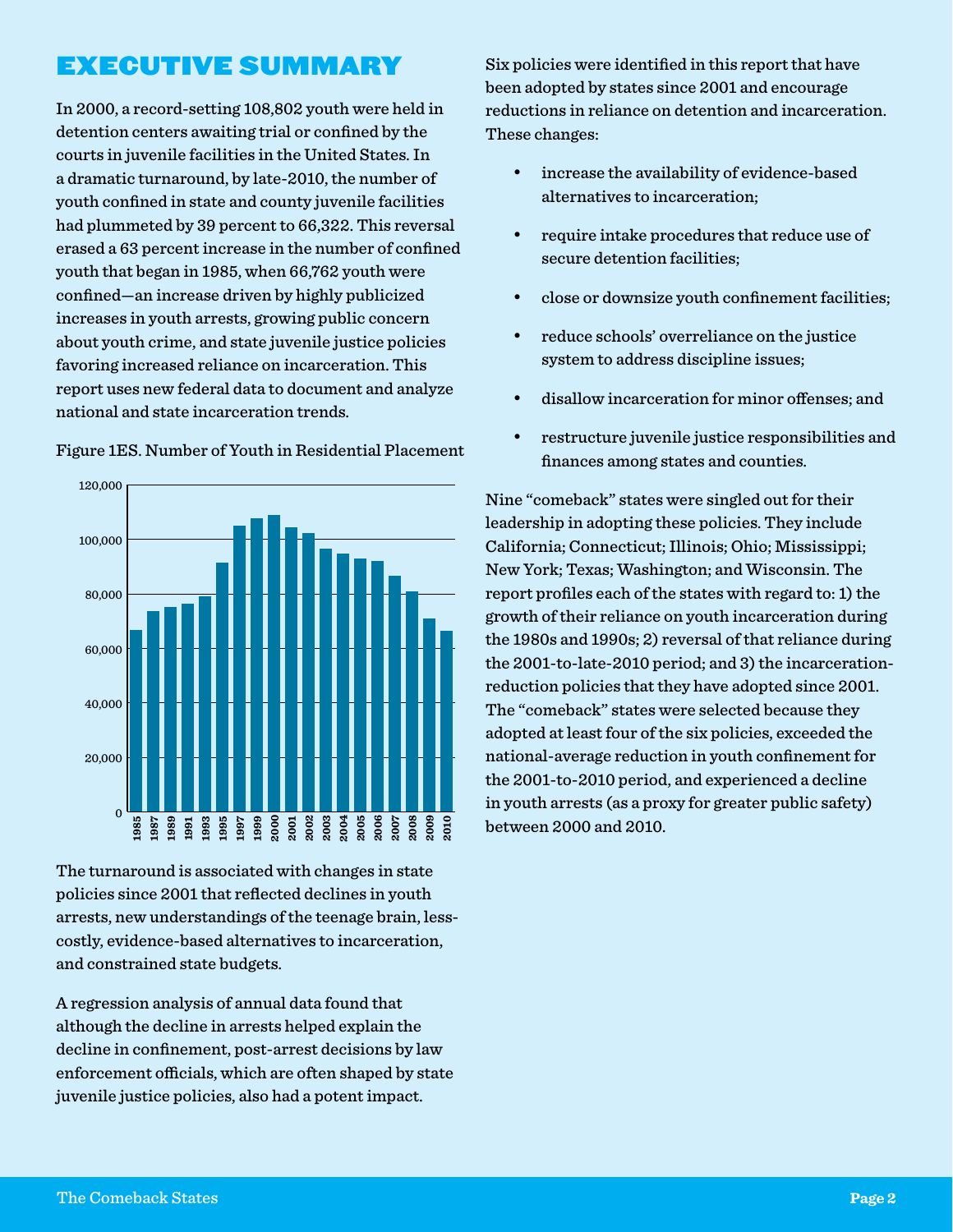## Executive Summary

In 2000, a record-setting 108,802 youth were held in detention centers awaiting trial or confined by the courts in juvenile facilities in the United States. In a dramatic turnaround, by late-2010, the number of youth confined in state and county juvenile facilities had plummeted by 39 percent to 66,322. This reversal erased a 63 percent increase in the number of confined youth that began in 1985, when 66,762 youth were confined—an increase driven by highly publicized increases in youth arrests, growing public concern about youth crime, and state juvenile justice policies favoring increased reliance on incarceration. This report uses new federal data to document and analyze national and state incarceration trends.



Figure 1ES. Number of Youth in Residential Placement

The turnaround is associated with changes in state policies since 2001 that reflected declines in youth arrests, new understandings of the teenage brain, lesscostly, evidence-based alternatives to incarceration, and constrained state budgets.

A regression analysis of annual data found that although the decline in arrests helped explain the decline in confinement, post-arrest decisions by law enforcement officials, which are often shaped by state juvenile justice policies, also had a potent impact.

Six policies were identified in this report that have been adopted by states since 2001 and encourage reductions in reliance on detention and incarceration. These changes:

- • increase the availability of evidence-based alternatives to incarceration;
- • require intake procedures that reduce use of secure detention facilities;
- close or downsize youth confinement facilities;
- • reduce schools' overreliance on the justice system to address discipline issues;
- • disallow incarceration for minor offenses; and
- • restructure juvenile justice responsibilities and finances among states and counties.

Nine "comeback" states were singled out for their leadership in adopting these policies. They include California; Connecticut; Illinois; Ohio; Mississippi; New York; Texas; Washington; and Wisconsin. The report profiles each of the states with regard to: 1) the growth of their reliance on youth incarceration during the 1980s and 1990s; 2) reversal of that reliance during the 2001-to-late-2010 period; and 3) the incarcerationreduction policies that they have adopted since 2001. The "comeback" states were selected because they adopted at least four of the six policies, exceeded the national-average reduction in youth confinement for the 2001-to-2010 period, and experienced a decline in youth arrests (as a proxy for greater public safety) between 2000 and 2010.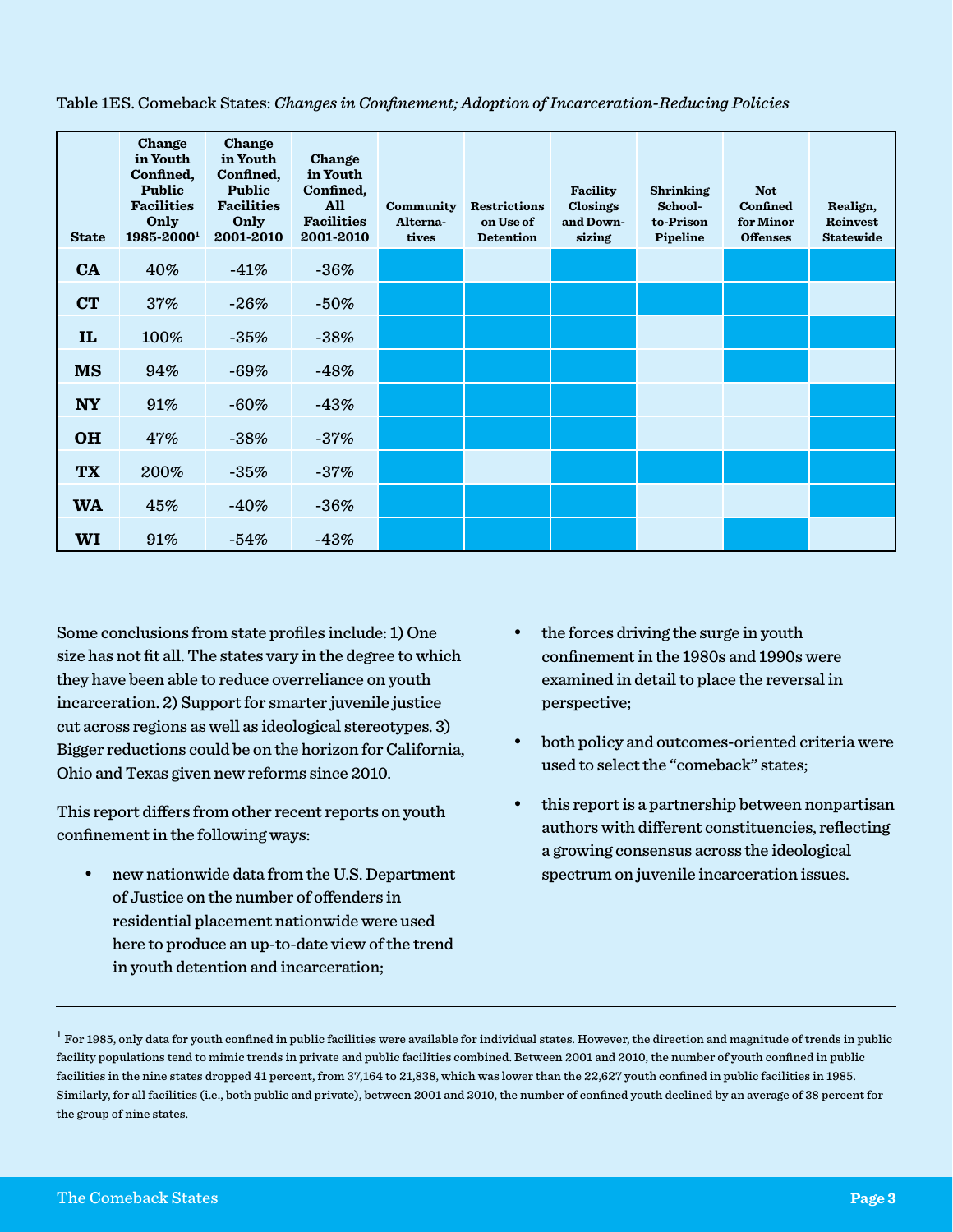| <b>State</b> | Change<br>in Youth<br>Confined,<br>Public<br><b>Facilities</b><br>Only<br>1985-20001 | Change<br>in Youth<br>Confined,<br>Public<br><b>Facilities</b><br>Only<br>2001-2010 | Change<br>in Youth<br>Confined,<br><b>All</b><br><b>Facilities</b><br>2001-2010 | Community<br>Alterna-<br>tives | <b>Restrictions</b><br>on Use of<br><b>Detention</b> | Facility<br>Closings<br>and Down-<br>sizing | <b>Shrinking</b><br>School-<br>to-Prison<br>Pipeline | <b>Not</b><br>Confined<br>for Minor<br><b>Offenses</b> | Realign,<br>Reinvest<br><b>Statewide</b> |
|--------------|--------------------------------------------------------------------------------------|-------------------------------------------------------------------------------------|---------------------------------------------------------------------------------|--------------------------------|------------------------------------------------------|---------------------------------------------|------------------------------------------------------|--------------------------------------------------------|------------------------------------------|
| CA           | 40%                                                                                  | $-41%$                                                                              | $-36%$                                                                          |                                |                                                      |                                             |                                                      |                                                        |                                          |
| <b>CT</b>    | 37%                                                                                  | $-26%$                                                                              | $-50%$                                                                          |                                |                                                      |                                             |                                                      |                                                        |                                          |
| IL           | 100%                                                                                 | $-35%$                                                                              | $-38%$                                                                          |                                |                                                      |                                             |                                                      |                                                        |                                          |
| <b>MS</b>    | 94%                                                                                  | $-69%$                                                                              | $-48%$                                                                          |                                |                                                      |                                             |                                                      |                                                        |                                          |
| <b>NY</b>    | 91%                                                                                  | $-60%$                                                                              | $-43%$                                                                          |                                |                                                      |                                             |                                                      |                                                        |                                          |
| <b>OH</b>    | 47%                                                                                  | $-38%$                                                                              | $-37%$                                                                          |                                |                                                      |                                             |                                                      |                                                        |                                          |
| <b>TX</b>    | 200%                                                                                 | $-35%$                                                                              | $-37%$                                                                          |                                |                                                      |                                             |                                                      |                                                        |                                          |
| <b>WA</b>    | 45%                                                                                  | $-40%$                                                                              | $-36%$                                                                          |                                |                                                      |                                             |                                                      |                                                        |                                          |
| WI           | 91%                                                                                  | $-54%$                                                                              | $-43%$                                                                          |                                |                                                      |                                             |                                                      |                                                        |                                          |

Table 1ES. Comeback States: *Changes in Confinement; Adoption of Incarceration-Reducing Policies*

Some conclusions from state profiles include: 1) One size has not fit all. The states vary in the degree to which they have been able to reduce overreliance on youth incarceration. 2) Support for smarter juvenile justice cut across regions as well as ideological stereotypes. 3) Bigger reductions could be on the horizon for California, Ohio and Texas given new reforms since 2010.

This report differs from other recent reports on youth confinement in the following ways:

• new nationwide data from the U.S. Department of Justice on the number of offenders in residential placement nationwide were used here to produce an up-to-date view of the trend in youth detention and incarceration;

- the forces driving the surge in youth confinement in the 1980s and 1990s were examined in detail to place the reversal in perspective;
- • both policy and outcomes-oriented criteria were used to select the "comeback" states;
- this report is a partnership between nonpartisan authors with different constituencies, reflecting a growing consensus across the ideological spectrum on juvenile incarceration issues.

 $^{\rm 1}$  For 1985, only data for youth confined in public facilities were available for individual states. However, the direction and magnitude of trends in public facility populations tend to mimic trends in private and public facilities combined. Between 2001 and 2010, the number of youth confined in public facilities in the nine states dropped 41 percent, from 37,164 to 21,838, which was lower than the 22,627 youth confined in public facilities in 1985. Similarly, for all facilities (i.e., both public and private), between 2001 and 2010, the number of confined youth declined by an average of 38 percent for the group of nine states.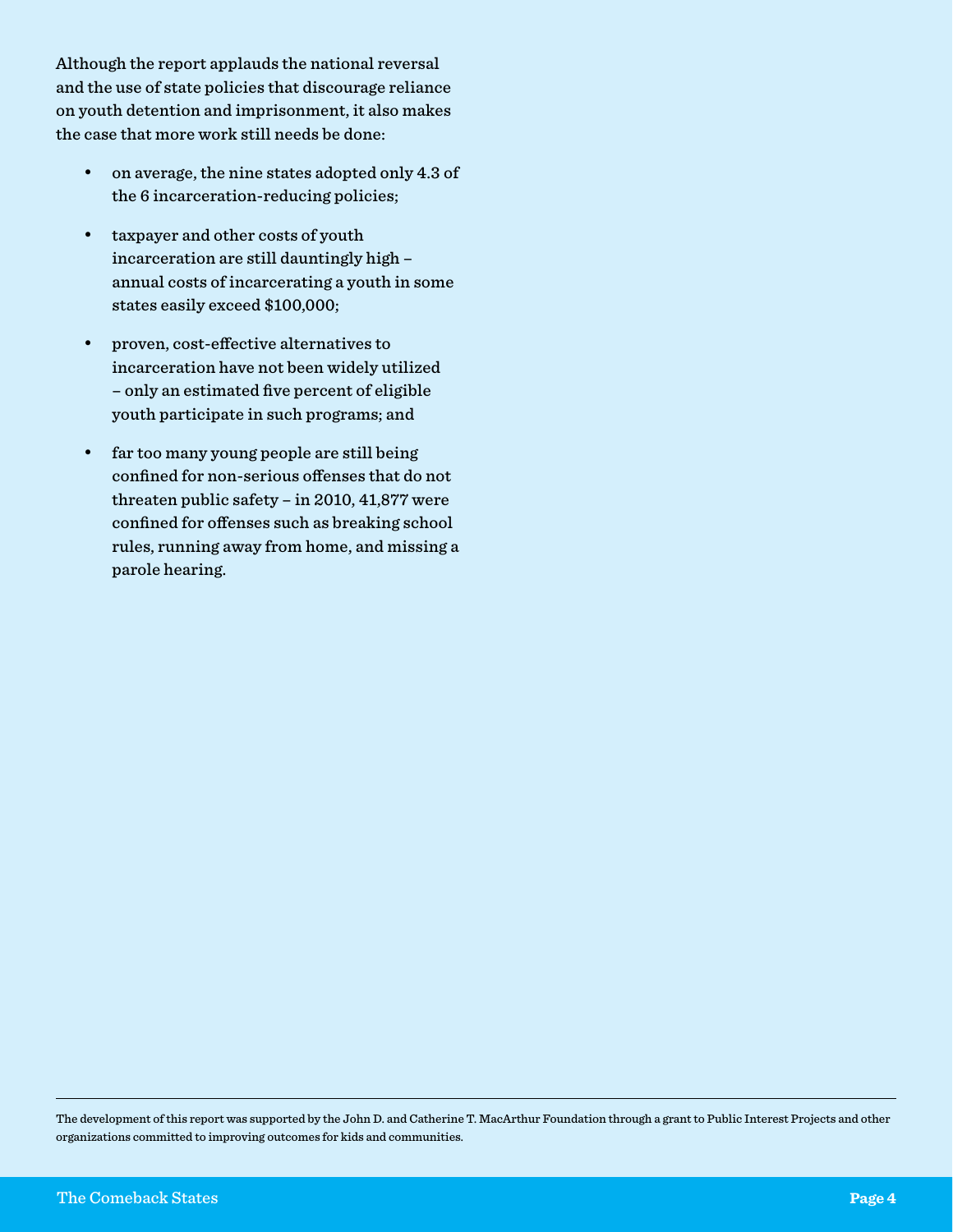Although the report applauds the national reversal and the use of state policies that discourage reliance on youth detention and imprisonment, it also makes the case that more work still needs be done:

- • on average, the nine states adopted only 4.3 of the 6 incarceration-reducing policies;
- taxpayer and other costs of youth incarceration are still dauntingly high – annual costs of incarcerating a youth in some states easily exceed \$100,000;
- proven, cost-effective alternatives to incarceration have not been widely utilized – only an estimated five percent of eligible youth participate in such programs; and
- • far too many young people are still being confined for non-serious offenses that do not threaten public safety – in 2010, 41,877 were confined for offenses such as breaking school rules, running away from home, and missing a parole hearing.

The development of this report was supported by the John D. and Catherine T. MacArthur Foundation through a grant to Public Interest Projects and other organizations committed to improving outcomes for kids and communities.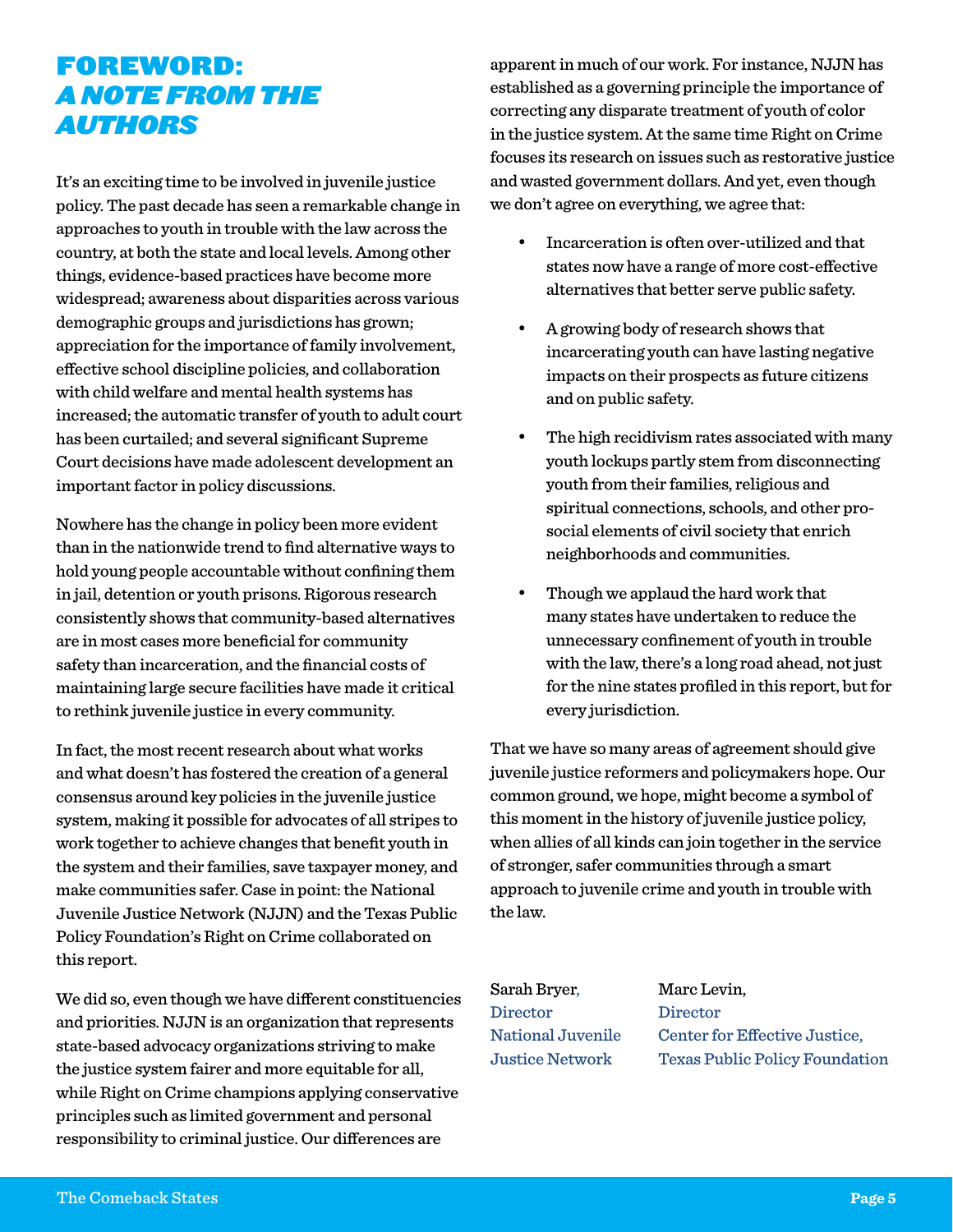## Foreword: *A Note from the Authors*

It's an exciting time to be involved in juvenile justice policy. The past decade has seen a remarkable change in approaches to youth in trouble with the law across the country, at both the state and local levels. Among other things, evidence-based practices have become more widespread; awareness about disparities across various demographic groups and jurisdictions has grown; appreciation for the importance of family involvement, effective school discipline policies, and collaboration with child welfare and mental health systems has increased; the automatic transfer of youth to adult court has been curtailed; and several significant Supreme Court decisions have made adolescent development an important factor in policy discussions.

Nowhere has the change in policy been more evident than in the nationwide trend to find alternative ways to hold young people accountable without confining them in jail, detention or youth prisons. Rigorous research consistently shows that community-based alternatives are in most cases more beneficial for community safety than incarceration, and the financial costs of maintaining large secure facilities have made it critical to rethink juvenile justice in every community.

In fact, the most recent research about what works and what doesn't has fostered the creation of a general consensus around key policies in the juvenile justice system, making it possible for advocates of all stripes to work together to achieve changes that benefit youth in the system and their families, save taxpayer money, and make communities safer. Case in point: the National Juvenile Justice Network (NJJN) and the Texas Public Policy Foundation's Right on Crime collaborated on this report.

We did so, even though we have different constituencies and priorities. NJJN is an organization that represents state-based advocacy organizations striving to make the justice system fairer and more equitable for all, while Right on Crime champions applying conservative principles such as limited government and personal responsibility to criminal justice. Our differences are

apparent in much of our work. For instance, NJJN has established as a governing principle the importance of correcting any disparate treatment of youth of color in the justice system. At the same time Right on Crime focuses its research on issues such as restorative justice and wasted government dollars. And yet, even though we don't agree on everything, we agree that:

- Incarceration is often over-utilized and that states now have a range of more cost-effective alternatives that better serve public safety.
- A growing body of research shows that incarcerating youth can have lasting negative impacts on their prospects as future citizens and on public safety.
- The high recidivism rates associated with many youth lockups partly stem from disconnecting youth from their families, religious and spiritual connections, schools, and other prosocial elements of civil society that enrich neighborhoods and communities.
- Though we applaud the hard work that many states have undertaken to reduce the unnecessary confinement of youth in trouble with the law, there's a long road ahead, not just for the nine states profiled in this report, but for every jurisdiction.

That we have so many areas of agreement should give juvenile justice reformers and policymakers hope. Our common ground, we hope, might become a symbol of this moment in the history of juvenile justice policy, when allies of all kinds can join together in the service of stronger, safer communities through a smart approach to juvenile crime and youth in trouble with the law.

Sarah Bryer, Marc Levin, Director Director

National Juvenile Center for Effective Justice, Justice Network Texas Public Policy Foundation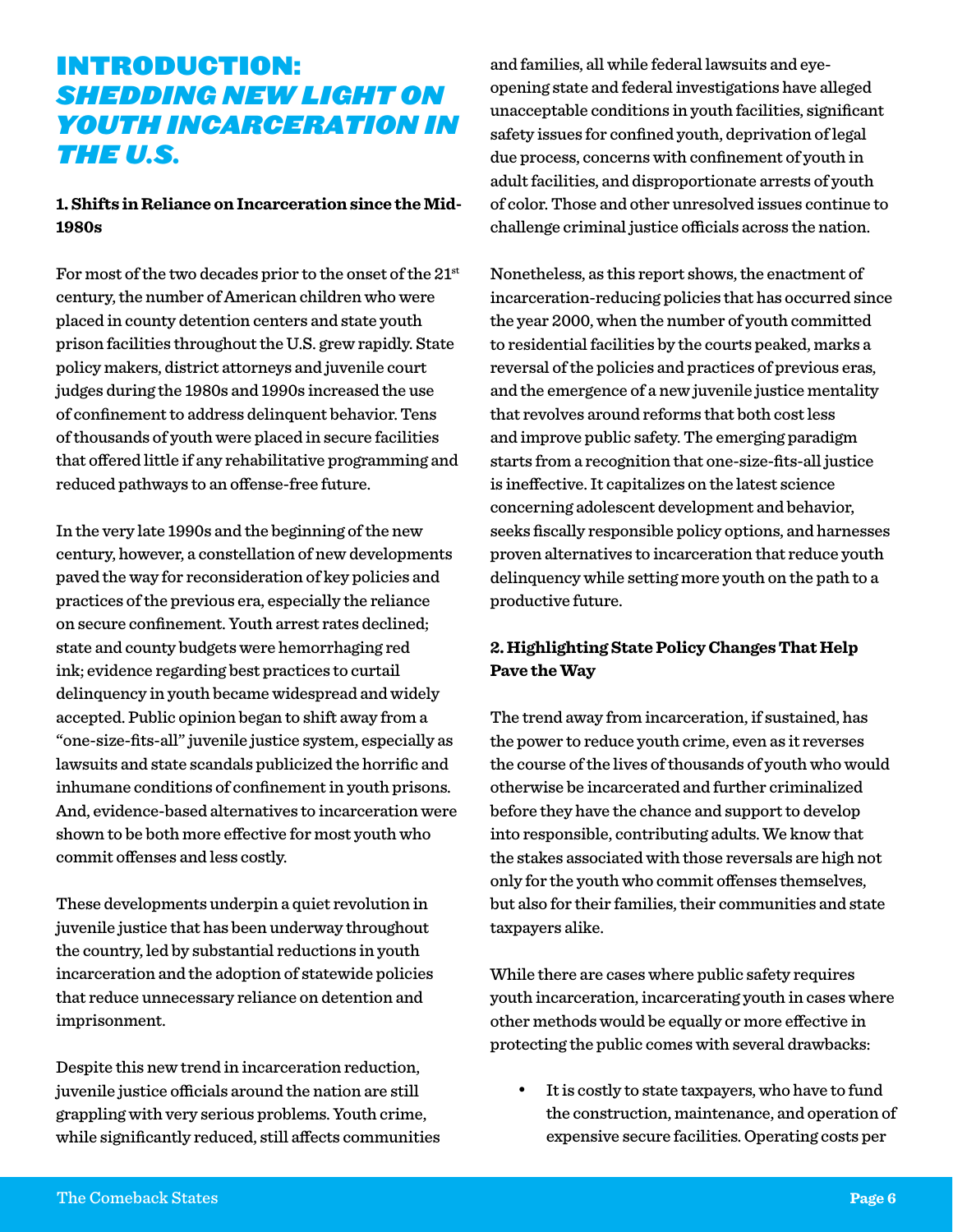## Introduction: *Shedding New Light on Youth Incarceration in the U.S.*

#### **1. Shifts in Reliance on Incarceration since the Mid-1980s**

For most of the two decades prior to the onset of the  $21<sup>st</sup>$ century, the number of American children who were placed in county detention centers and state youth prison facilities throughout the U.S. grew rapidly. State policy makers, district attorneys and juvenile court judges during the 1980s and 1990s increased the use of confinement to address delinquent behavior. Tens of thousands of youth were placed in secure facilities that offered little if any rehabilitative programming and reduced pathways to an offense-free future.

In the very late 1990s and the beginning of the new century, however, a constellation of new developments paved the way for reconsideration of key policies and practices of the previous era, especially the reliance on secure confinement. Youth arrest rates declined; state and county budgets were hemorrhaging red ink; evidence regarding best practices to curtail delinquency in youth became widespread and widely accepted. Public opinion began to shift away from a "one-size-fits-all" juvenile justice system, especially as lawsuits and state scandals publicized the horrific and inhumane conditions of confinement in youth prisons. And, evidence-based alternatives to incarceration were shown to be both more effective for most youth who commit offenses and less costly.

These developments underpin a quiet revolution in juvenile justice that has been underway throughout the country, led by substantial reductions in youth incarceration and the adoption of statewide policies that reduce unnecessary reliance on detention and imprisonment.

Despite this new trend in incarceration reduction, juvenile justice officials around the nation are still grappling with very serious problems. Youth crime, while significantly reduced, still affects communities and families, all while federal lawsuits and eyeopening state and federal investigations have alleged unacceptable conditions in youth facilities, significant safety issues for confined youth, deprivation of legal due process, concerns with confinement of youth in adult facilities, and disproportionate arrests of youth of color. Those and other unresolved issues continue to challenge criminal justice officials across the nation.

Nonetheless, as this report shows, the enactment of incarceration-reducing policies that has occurred since the year 2000, when the number of youth committed to residential facilities by the courts peaked, marks a reversal of the policies and practices of previous eras, and the emergence of a new juvenile justice mentality that revolves around reforms that both cost less and improve public safety. The emerging paradigm starts from a recognition that one-size-fits-all justice is ineffective. It capitalizes on the latest science concerning adolescent development and behavior, seeks fiscally responsible policy options, and harnesses proven alternatives to incarceration that reduce youth delinquency while setting more youth on the path to a productive future.

#### **2. Highlighting State Policy Changes That Help Pave the Way**

The trend away from incarceration, if sustained, has the power to reduce youth crime, even as it reverses the course of the lives of thousands of youth who would otherwise be incarcerated and further criminalized before they have the chance and support to develop into responsible, contributing adults. We know that the stakes associated with those reversals are high not only for the youth who commit offenses themselves, but also for their families, their communities and state taxpayers alike.

While there are cases where public safety requires youth incarceration, incarcerating youth in cases where other methods would be equally or more effective in protecting the public comes with several drawbacks:

It is costly to state taxpayers, who have to fund the construction, maintenance, and operation of expensive secure facilities. Operating costs per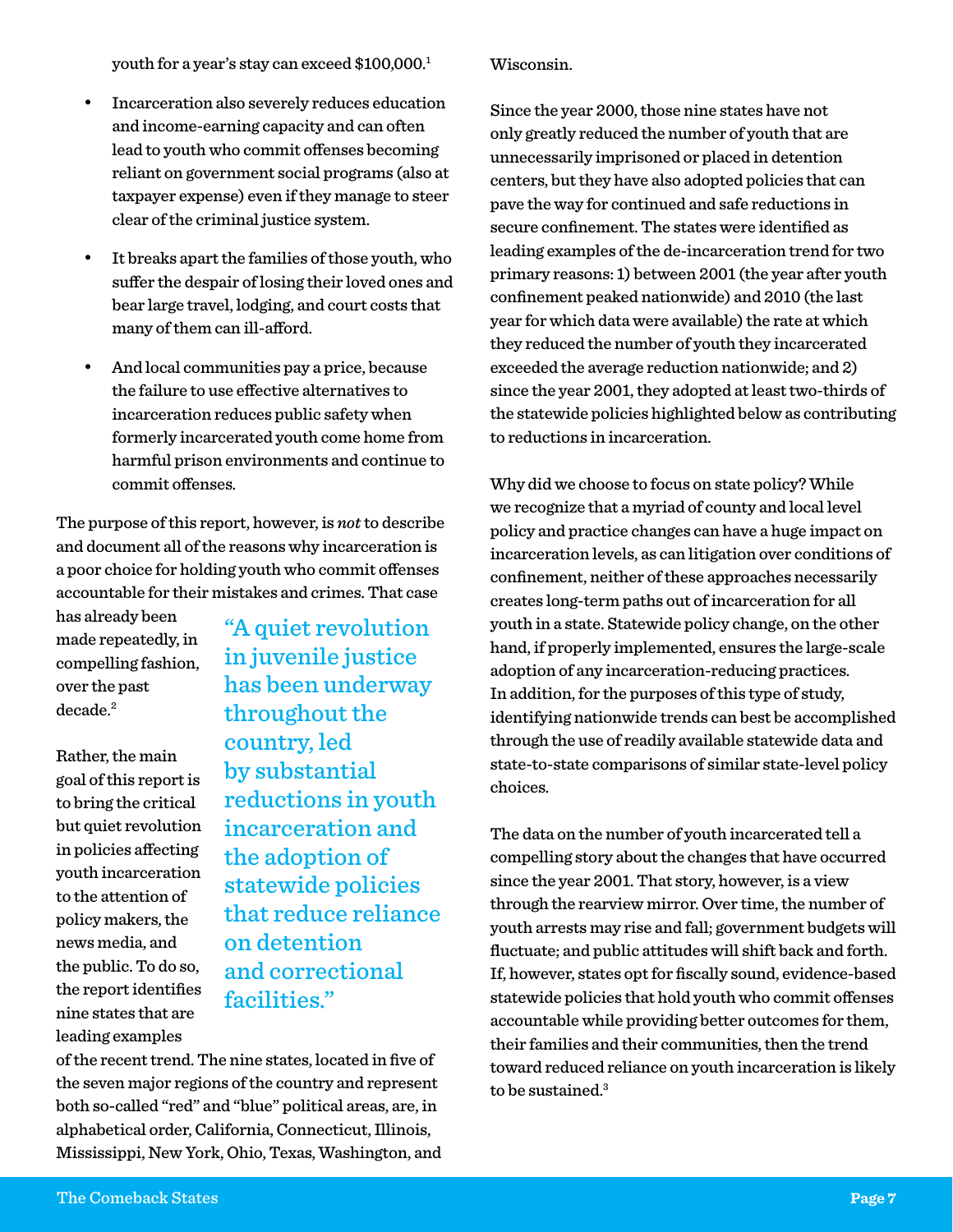youth for a year's stay can exceed \$100,000.1

- Incarceration also severely reduces education and income-earning capacity and can often lead to youth who commit offenses becoming reliant on government social programs (also at taxpayer expense) even if they manage to steer clear of the criminal justice system.
- • It breaks apart the families of those youth, who suffer the despair of losing their loved ones and bear large travel, lodging, and court costs that many of them can ill-afford.
- And local communities pay a price, because the failure to use effective alternatives to incarceration reduces public safety when formerly incarcerated youth come home from harmful prison environments and continue to commit offenses.

The purpose of this report, however, is *not* to describe and document all of the reasons why incarceration is a poor choice for holding youth who commit offenses accountable for their mistakes and crimes. That case

has already been made repeatedly, in compelling fashion, over the past decade.<sup>2</sup>

Rather, the main goal of this report is to bring the critical but quiet revolution in policies affecting youth incarceration to the attention of policy makers, the news media, and the public. To do so, the report identifies nine states that are leading examples

"A quiet revolution in juvenile justice has been underway throughout the country, led by substantial reductions in youth incarceration and the adoption of statewide policies that reduce reliance on detention and correctional facilities."

of the recent trend. The nine states, located in five of the seven major regions of the country and represent both so-called "red" and "blue" political areas, are, in alphabetical order, California, Connecticut, Illinois, Mississippi, New York, Ohio, Texas, Washington, and Wisconsin.

Since the year 2000, those nine states have not only greatly reduced the number of youth that are unnecessarily imprisoned or placed in detention centers, but they have also adopted policies that can pave the way for continued and safe reductions in secure confinement. The states were identified as leading examples of the de-incarceration trend for two primary reasons: 1) between 2001 (the year after youth confinement peaked nationwide) and 2010 (the last year for which data were available) the rate at which they reduced the number of youth they incarcerated exceeded the average reduction nationwide; and 2) since the year 2001, they adopted at least two-thirds of the statewide policies highlighted below as contributing to reductions in incarceration.

Why did we choose to focus on state policy? While we recognize that a myriad of county and local level policy and practice changes can have a huge impact on incarceration levels, as can litigation over conditions of confinement, neither of these approaches necessarily creates long-term paths out of incarceration for all youth in a state. Statewide policy change, on the other hand, if properly implemented, ensures the large-scale adoption of any incarceration-reducing practices. In addition, for the purposes of this type of study, identifying nationwide trends can best be accomplished through the use of readily available statewide data and state-to-state comparisons of similar state-level policy choices.

The data on the number of youth incarcerated tell a compelling story about the changes that have occurred since the year 2001. That story, however, is a view through the rearview mirror. Over time, the number of youth arrests may rise and fall; government budgets will fluctuate; and public attitudes will shift back and forth. If, however, states opt for fiscally sound, evidence-based statewide policies that hold youth who commit offenses accountable while providing better outcomes for them, their families and their communities, then the trend toward reduced reliance on youth incarceration is likely to be sustained.<sup>3</sup>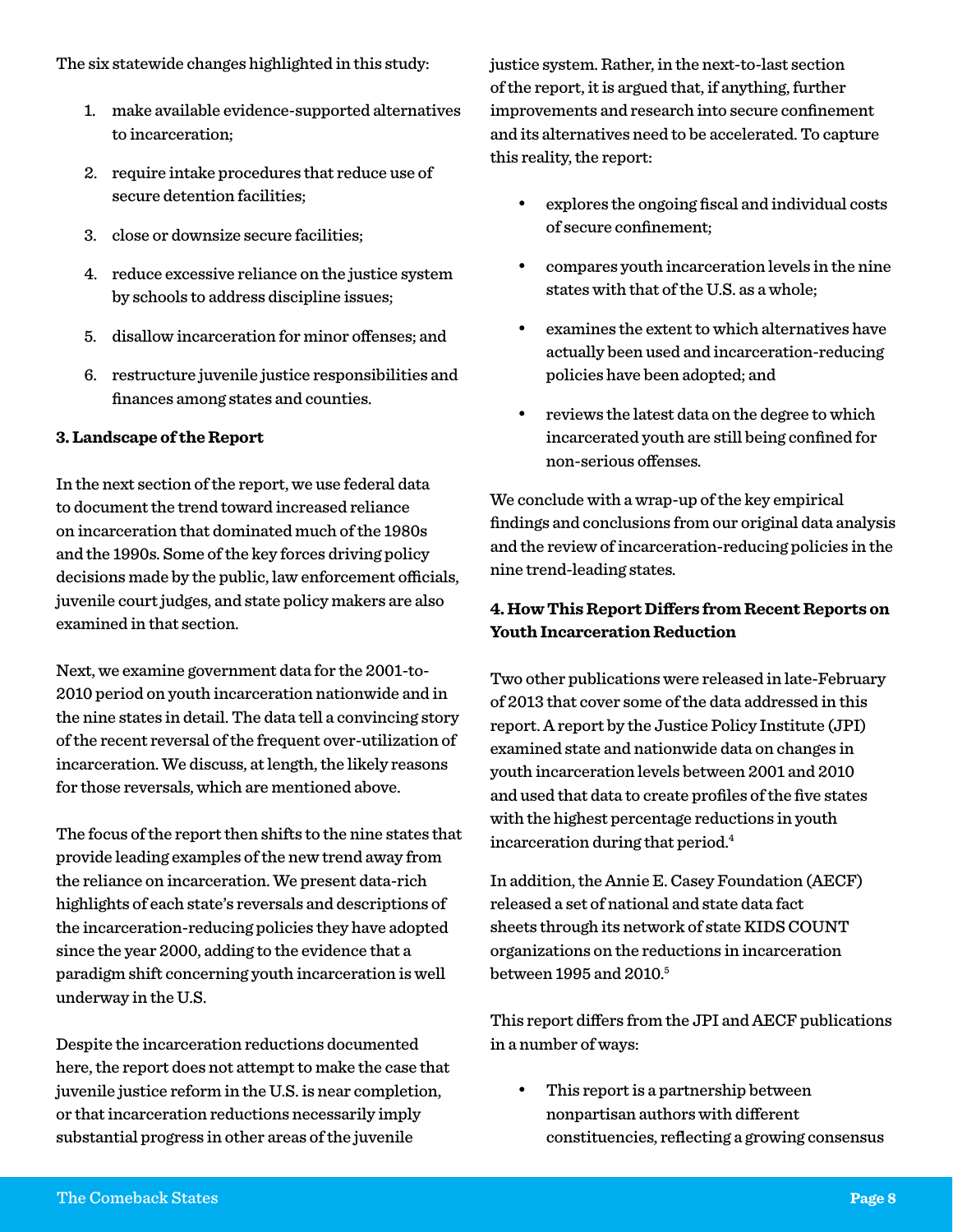- 1. make available evidence-supported alternatives to incarceration;
- 2. require intake procedures that reduce use of secure detention facilities;
- 3. close or downsize secure facilities;
- 4. reduce excessive reliance on the justice system by schools to address discipline issues;
- 5. disallow incarceration for minor offenses; and
- 6. restructure juvenile justice responsibilities and finances among states and counties.

### **3. Landscape of the Report**

In the next section of the report, we use federal data to document the trend toward increased reliance on incarceration that dominated much of the 1980s and the 1990s. Some of the key forces driving policy decisions made by the public, law enforcement officials, juvenile court judges, and state policy makers are also examined in that section.

Next, we examine government data for the 2001-to-2010 period on youth incarceration nationwide and in the nine states in detail. The data tell a convincing story of the recent reversal of the frequent over-utilization of incarceration. We discuss, at length, the likely reasons for those reversals, which are mentioned above.

The focus of the report then shifts to the nine states that provide leading examples of the new trend away from the reliance on incarceration. We present data-rich highlights of each state's reversals and descriptions of the incarceration-reducing policies they have adopted since the year 2000, adding to the evidence that a paradigm shift concerning youth incarceration is well underway in the U.S.

Despite the incarceration reductions documented here, the report does not attempt to make the case that juvenile justice reform in the U.S. is near completion, or that incarceration reductions necessarily imply substantial progress in other areas of the juvenile

justice system. Rather, in the next-to-last section of the report, it is argued that, if anything, further improvements and research into secure confinement and its alternatives need to be accelerated. To capture this reality, the report:

- explores the ongoing fiscal and individual costs of secure confinement;
- compares youth incarceration levels in the nine states with that of the U.S. as a whole;
- examines the extent to which alternatives have actually been used and incarceration-reducing policies have been adopted; and
- reviews the latest data on the degree to which incarcerated youth are still being confined for non-serious offenses.

We conclude with a wrap-up of the key empirical findings and conclusions from our original data analysis and the review of incarceration-reducing policies in the nine trend-leading states.

### **4. How This Report Differs from Recent Reports on Youth Incarceration Reduction**

Two other publications were released in late-February of 2013 that cover some of the data addressed in this report. A report by the Justice Policy Institute (JPI) examined state and nationwide data on changes in youth incarceration levels between 2001 and 2010 and used that data to create profiles of the five states with the highest percentage reductions in youth incarceration during that period.4

In addition, the Annie E. Casey Foundation (AECF) released a set of national and state data fact sheets through its network of state KIDS COUNT organizations on the reductions in incarceration between 1995 and 2010.<sup>5</sup>

This report differs from the JPI and AECF publications in a number of ways:

This report is a partnership between nonpartisan authors with different constituencies, reflecting a growing consensus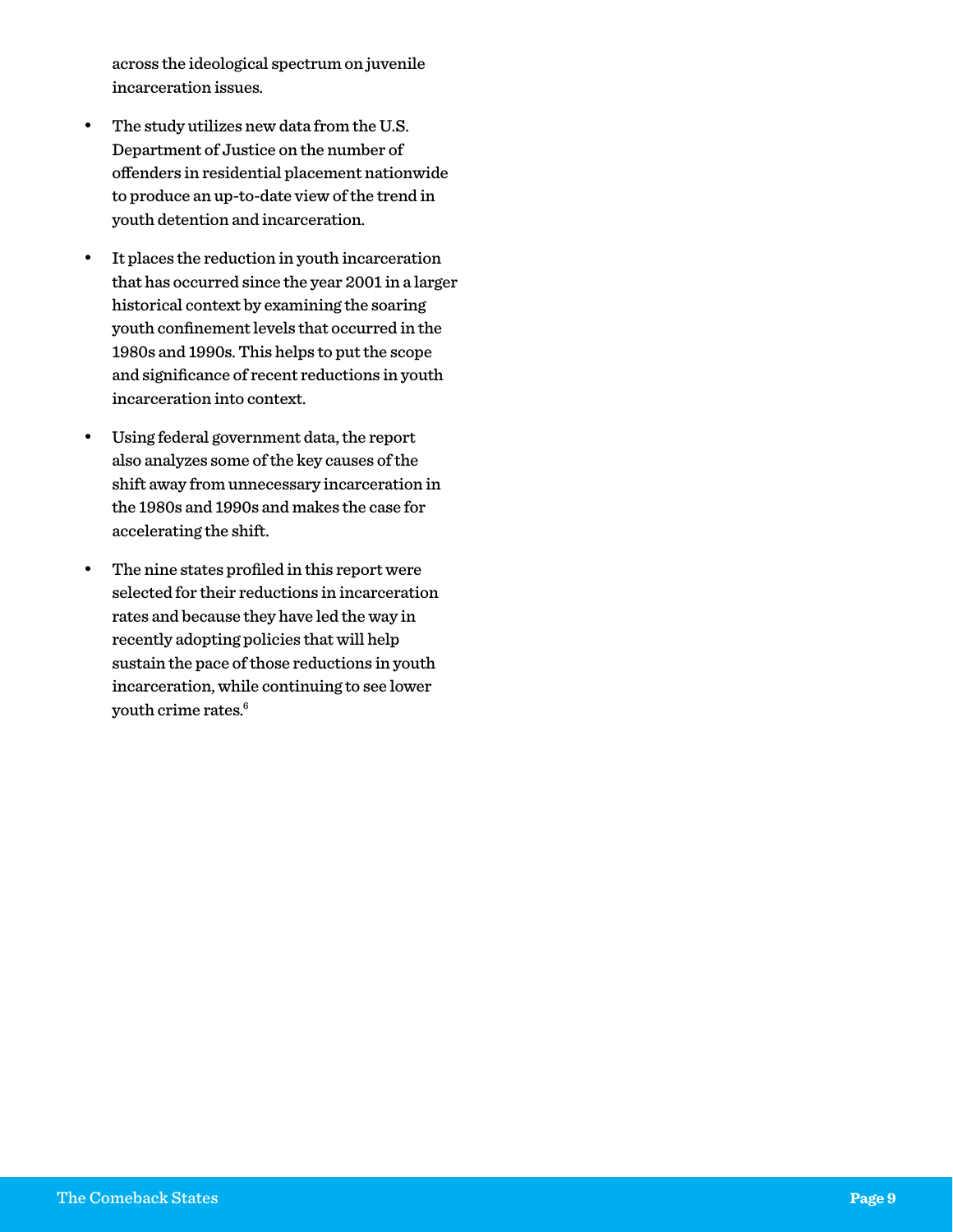across the ideological spectrum on juvenile incarceration issues.

- • The study utilizes new data from the U.S. Department of Justice on the number of offenders in residential placement nationwide to produce an up-to-date view of the trend in youth detention and incarceration.
- • It places the reduction in youth incarceration that has occurred since the year 2001 in a larger historical context by examining the soaring youth confinement levels that occurred in the 1980s and 1990s. This helps to put the scope and significance of recent reductions in youth incarceration into context.
- • Using federal government data, the report also analyzes some of the key causes of the shift away from unnecessary incarceration in the 1980s and 1990s and makes the case for accelerating the shift.
- • The nine states profiled in this report were selected for their reductions in incarceration rates and because they have led the way in recently adopting policies that will help sustain the pace of those reductions in youth incarceration, while continuing to see lower youth crime rates.<sup>6</sup>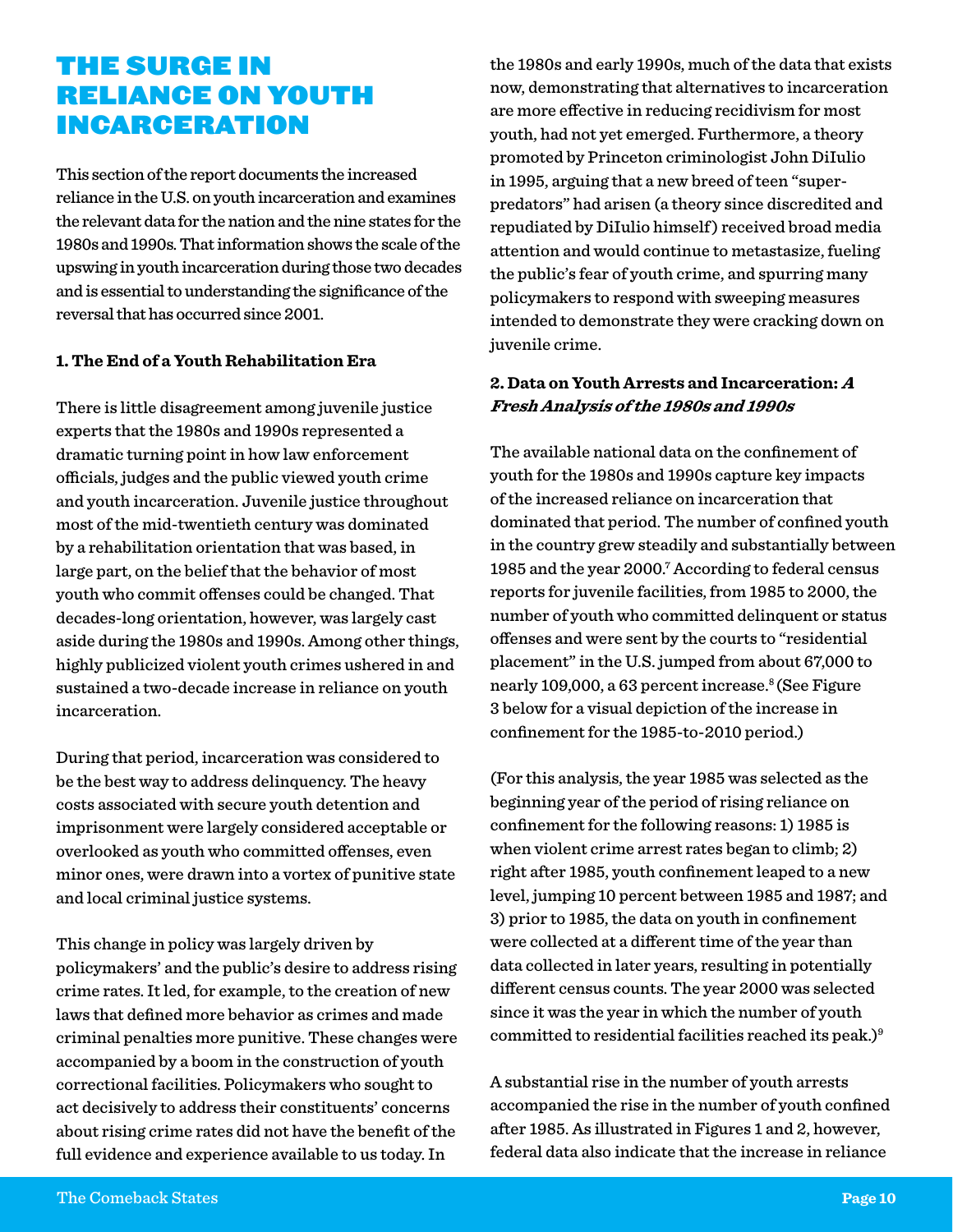## The Surge in Reliance on Youth Incarceration

This section of the report documents the increased reliance in the U.S. on youth incarceration and examines the relevant data for the nation and the nine states for the 1980s and 1990s. That information shows the scale of the upswing in youth incarceration during those two decades and is essential to understanding the significance of the reversal that has occurred since 2001.

#### **1. The End of a Youth Rehabilitation Era**

There is little disagreement among juvenile justice experts that the 1980s and 1990s represented a dramatic turning point in how law enforcement officials, judges and the public viewed youth crime and youth incarceration. Juvenile justice throughout most of the mid-twentieth century was dominated by a rehabilitation orientation that was based, in large part, on the belief that the behavior of most youth who commit offenses could be changed. That decades-long orientation, however, was largely cast aside during the 1980s and 1990s. Among other things, highly publicized violent youth crimes ushered in and sustained a two-decade increase in reliance on youth incarceration.

During that period, incarceration was considered to be the best way to address delinquency. The heavy costs associated with secure youth detention and imprisonment were largely considered acceptable or overlooked as youth who committed offenses, even minor ones, were drawn into a vortex of punitive state and local criminal justice systems.

This change in policy was largely driven by policymakers' and the public's desire to address rising crime rates. It led, for example, to the creation of new laws that defined more behavior as crimes and made criminal penalties more punitive. These changes were accompanied by a boom in the construction of youth correctional facilities. Policymakers who sought to act decisively to address their constituents' concerns about rising crime rates did not have the benefit of the full evidence and experience available to us today. In

the 1980s and early 1990s, much of the data that exists now, demonstrating that alternatives to incarceration are more effective in reducing recidivism for most youth, had not yet emerged. Furthermore, a theory promoted by Princeton criminologist John DiIulio in 1995, arguing that a new breed of teen "superpredators" had arisen (a theory since discredited and repudiated by DiIulio himself ) received broad media attention and would continue to metastasize, fueling the public's fear of youth crime, and spurring many policymakers to respond with sweeping measures intended to demonstrate they were cracking down on juvenile crime.

#### **2. Data on Youth Arrests and Incarceration: <sup>A</sup> Fresh Analysis of the 1980s and 1990s**

The available national data on the confinement of youth for the 1980s and 1990s capture key impacts of the increased reliance on incarceration that dominated that period. The number of confined youth in the country grew steadily and substantially between 1985 and the year 2000.7 According to federal census reports for juvenile facilities, from 1985 to 2000, the number of youth who committed delinquent or status offenses and were sent by the courts to "residential placement" in the U.S. jumped from about 67,000 to nearly 109,000, a 63 percent increase.<sup>8</sup> (See Figure 3 below for a visual depiction of the increase in confinement for the 1985-to-2010 period.)

(For this analysis, the year 1985 was selected as the beginning year of the period of rising reliance on confinement for the following reasons: 1) 1985 is when violent crime arrest rates began to climb; 2) right after 1985, youth confinement leaped to a new level, jumping 10 percent between 1985 and 1987; and 3) prior to 1985, the data on youth in confinement were collected at a different time of the year than data collected in later years, resulting in potentially different census counts. The year 2000 was selected since it was the year in which the number of youth committed to residential facilities reached its peak.) $9$ 

A substantial rise in the number of youth arrests accompanied the rise in the number of youth confined after 1985. As illustrated in Figures 1 and 2, however, federal data also indicate that the increase in reliance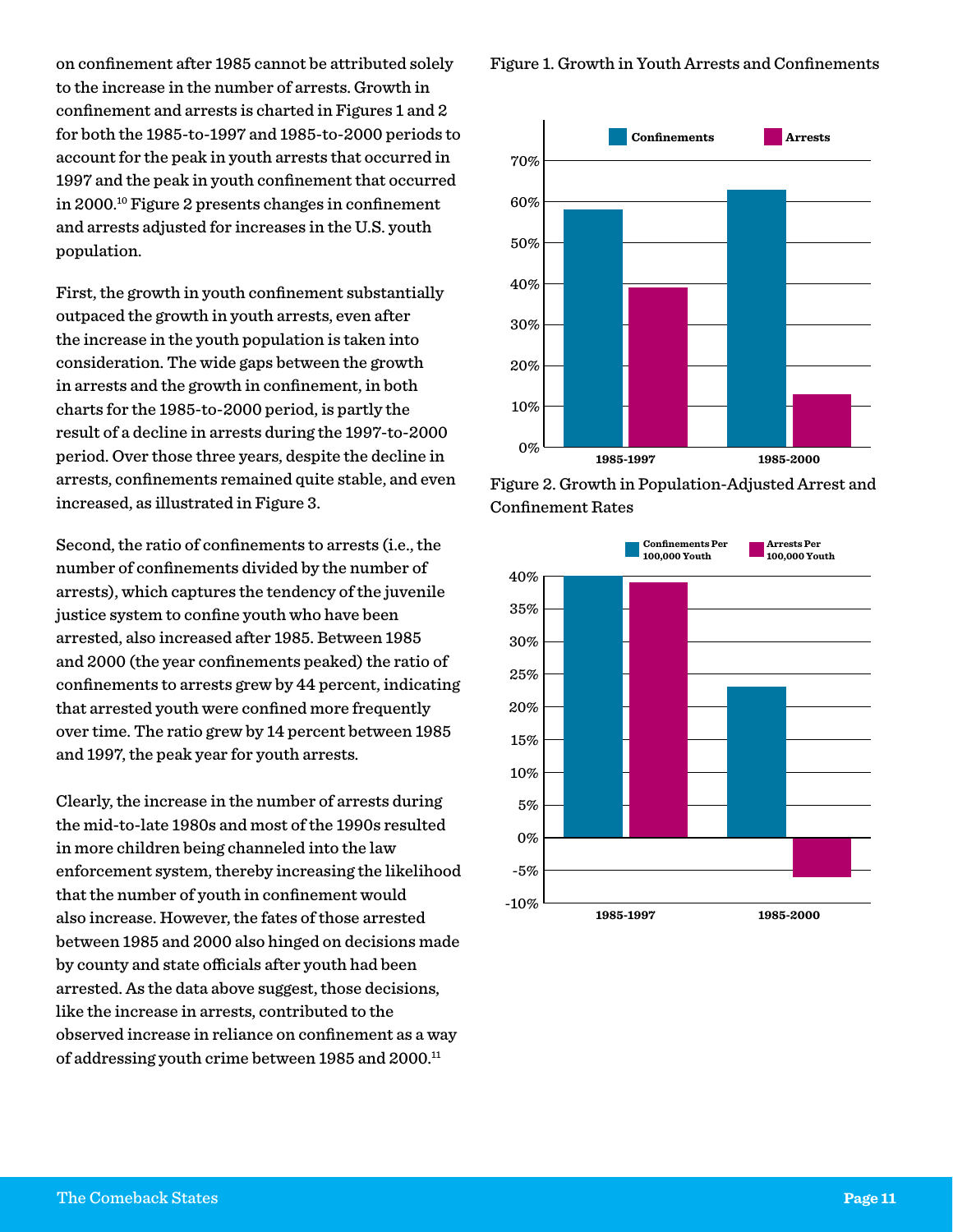on confinement after 1985 cannot be attributed solely to the increase in the number of arrests. Growth in confinement and arrests is charted in Figures 1 and 2 for both the 1985-to-1997 and 1985-to-2000 periods to account for the peak in youth arrests that occurred in 1997 and the peak in youth confinement that occurred in 2000.10 Figure 2 presents changes in confinement and arrests adjusted for increases in the U.S. youth population.

First, the growth in youth confinement substantially outpaced the growth in youth arrests, even after the increase in the youth population is taken into consideration. The wide gaps between the growth in arrests and the growth in confinement, in both charts for the 1985-to-2000 period, is partly the result of a decline in arrests during the 1997-to-2000 period. Over those three years, despite the decline in arrests, confinements remained quite stable, and even increased, as illustrated in Figure 3.

Second, the ratio of confinements to arrests (i.e., the number of confinements divided by the number of arrests), which captures the tendency of the juvenile justice system to confine youth who have been arrested, also increased after 1985. Between 1985 and 2000 (the year confinements peaked) the ratio of confinements to arrests grew by 44 percent, indicating that arrested youth were confined more frequently over time. The ratio grew by 14 percent between 1985 and 1997, the peak year for youth arrests.

Clearly, the increase in the number of arrests during the mid-to-late 1980s and most of the 1990s resulted in more children being channeled into the law enforcement system, thereby increasing the likelihood that the number of youth in confinement would also increase. However, the fates of those arrested between 1985 and 2000 also hinged on decisions made by county and state officials after youth had been arrested. As the data above suggest, those decisions, like the increase in arrests, contributed to the observed increase in reliance on confinement as a way of addressing youth crime between 1985 and 2000.<sup>11</sup>

Figure 1. Growth in Youth Arrests and Confinements





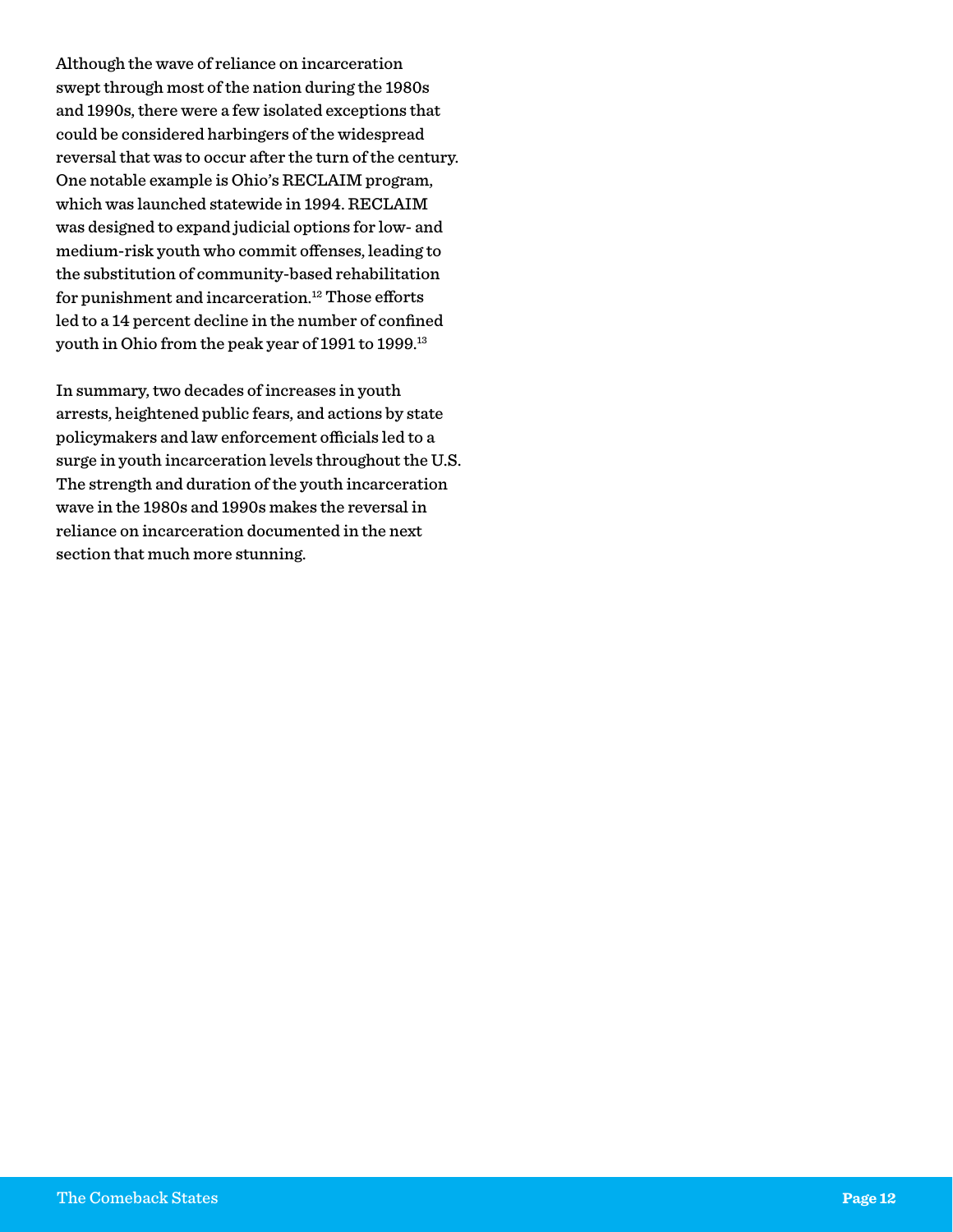Although the wave of reliance on incarceration swept through most of the nation during the 1980s and 1990s, there were a few isolated exceptions that could be considered harbingers of the widespread reversal that was to occur after the turn of the century. One notable example is Ohio's RECLAIM program, which was launched statewide in 1994. RECLAIM was designed to expand judicial options for low- and medium-risk youth who commit offenses, leading to the substitution of community-based rehabilitation for punishment and incarceration.<sup>12</sup> Those efforts led to a 14 percent decline in the number of confined youth in Ohio from the peak year of 1991 to 1999.13

In summary, two decades of increases in youth arrests, heightened public fears, and actions by state policymakers and law enforcement officials led to a surge in youth incarceration levels throughout the U.S. The strength and duration of the youth incarceration wave in the 1980s and 1990s makes the reversal in reliance on incarceration documented in the next section that much more stunning.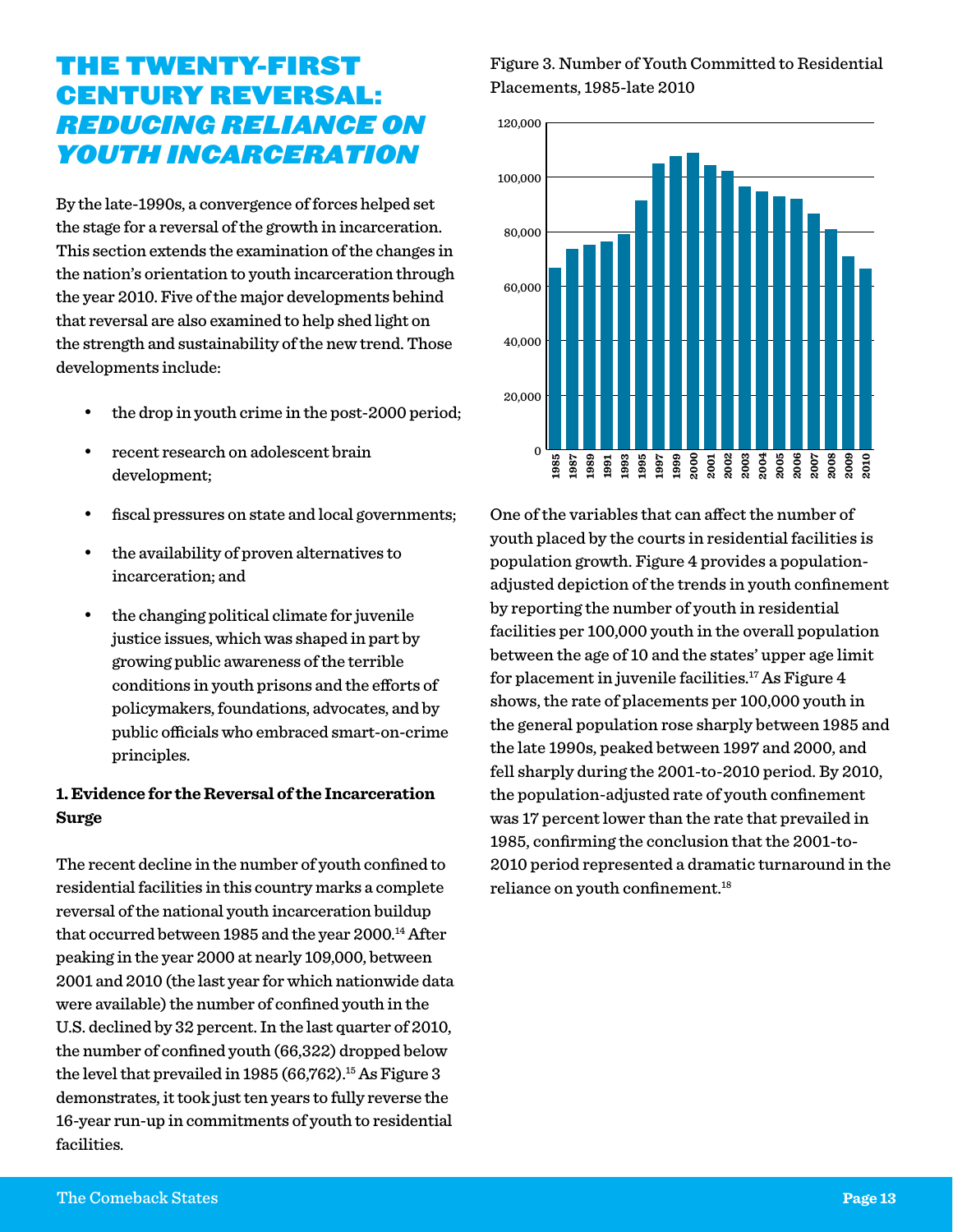## The Twenty-First Century Reversal: *Reducing Reliance on Youth Incarceration*

By the late-1990s, a convergence of forces helped set the stage for a reversal of the growth in incarceration. This section extends the examination of the changes in the nation's orientation to youth incarceration through the year 2010. Five of the major developments behind that reversal are also examined to help shed light on the strength and sustainability of the new trend. Those developments include:

- the drop in youth crime in the post-2000 period;
- recent research on adolescent brain development;
- fiscal pressures on state and local governments;
- the availability of proven alternatives to incarceration; and
- the changing political climate for juvenile justice issues, which was shaped in part by growing public awareness of the terrible conditions in youth prisons and the efforts of policymakers, foundations, advocates, and by public officials who embraced smart-on-crime principles.

#### **1. Evidence for the Reversal of the Incarceration Surge**

The recent decline in the number of youth confined to residential facilities in this country marks a complete reversal of the national youth incarceration buildup that occurred between 1985 and the year 2000.<sup>14</sup> After peaking in the year 2000 at nearly 109,000, between 2001 and 2010 (the last year for which nationwide data were available) the number of confined youth in the U.S. declined by 32 percent. In the last quarter of 2010, the number of confined youth (66,322) dropped below the level that prevailed in 1985 (66,762).<sup>15</sup> As Figure 3 demonstrates, it took just ten years to fully reverse the 16-year run-up in commitments of youth to residential facilities.

#### Figure 3. Number of Youth Committed to Residential Placements, 1985-late 2010



One of the variables that can affect the number of youth placed by the courts in residential facilities is population growth. Figure 4 provides a populationadjusted depiction of the trends in youth confinement by reporting the number of youth in residential facilities per 100,000 youth in the overall population between the age of 10 and the states' upper age limit for placement in juvenile facilities.<sup>17</sup> As Figure  $4$ shows, the rate of placements per 100,000 youth in the general population rose sharply between 1985 and the late 1990s, peaked between 1997 and 2000, and fell sharply during the 2001-to-2010 period. By 2010, the population-adjusted rate of youth confinement was 17 percent lower than the rate that prevailed in 1985, confirming the conclusion that the 2001-to-2010 period represented a dramatic turnaround in the reliance on youth confinement.18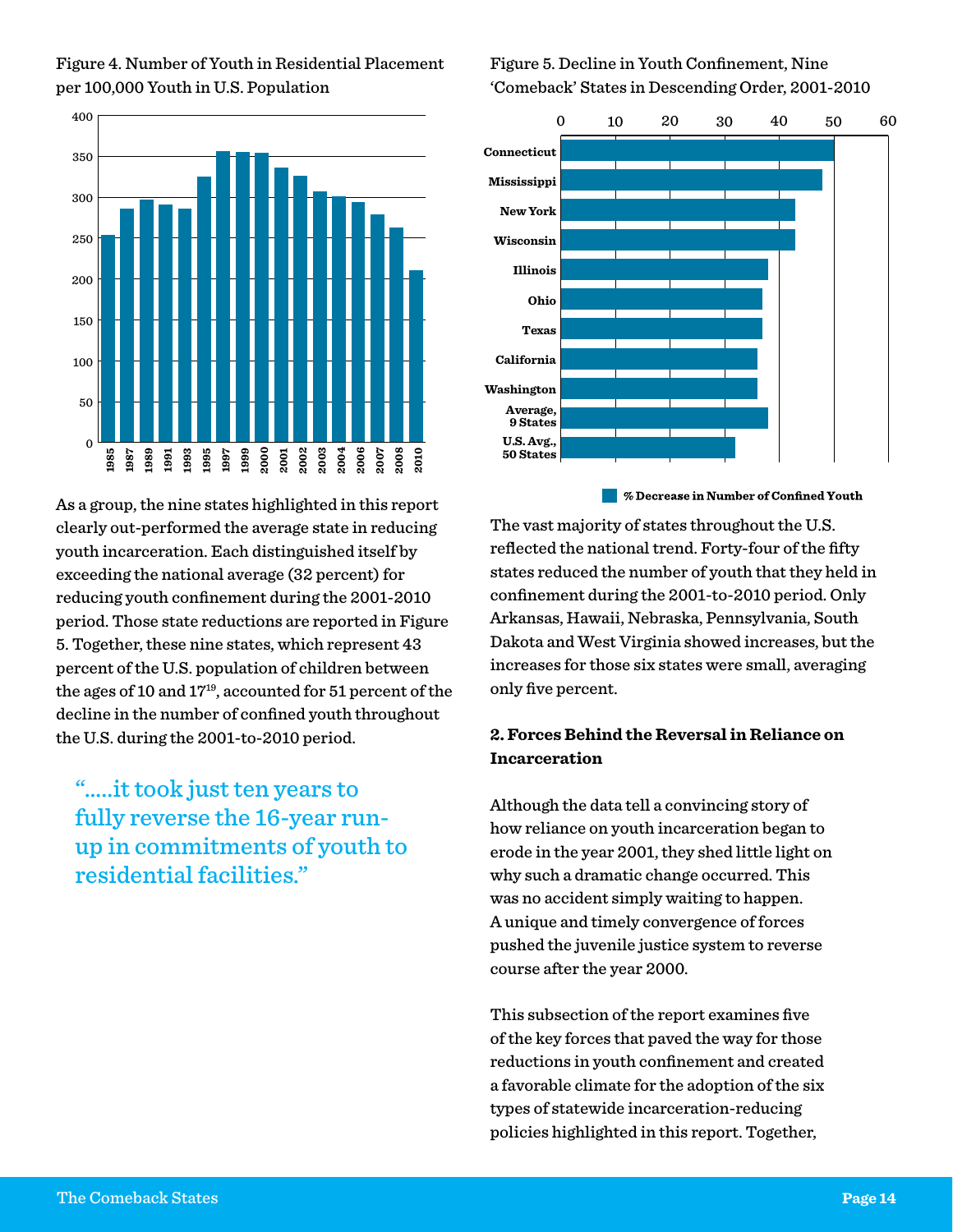

Figure 4. Number of Youth in Residential Placement per 100,000 Youth in U.S. Population

As a group, the nine states highlighted in this report clearly out-performed the average state in reducing youth incarceration. Each distinguished itself by exceeding the national average (32 percent) for reducing youth confinement during the 2001-2010 period. Those state reductions are reported in Figure 5. Together, these nine states, which represent 43 percent of the U.S. population of children between the ages of 10 and 1719, accounted for 51 percent of the decline in the number of confined youth throughout the U.S. during the 2001-to-2010 period.

"…..it took just ten years to fully reverse the 16-year runup in commitments of youth to residential facilities."

#### Figure 5. Decline in Youth Confinement, Nine 'Comeback' States in Descending Order, 2001-2010



**EXECUTE:** % Decrease in Number of Confined Youth

The vast majority of states throughout the U.S. reflected the national trend. Forty-four of the fifty states reduced the number of youth that they held in confinement during the 2001-to-2010 period. Only Arkansas, Hawaii, Nebraska, Pennsylvania, South Dakota and West Virginia showed increases, but the increases for those six states were small, averaging only five percent.

#### **2. Forces Behind the Reversal in Reliance on Incarceration**

Although the data tell a convincing story of how reliance on youth incarceration began to erode in the year 2001, they shed little light on why such a dramatic change occurred. This was no accident simply waiting to happen. A unique and timely convergence of forces pushed the juvenile justice system to reverse course after the year 2000.

This subsection of the report examines five of the key forces that paved the way for those reductions in youth confinement and created a favorable climate for the adoption of the six types of statewide incarceration-reducing policies highlighted in this report. Together,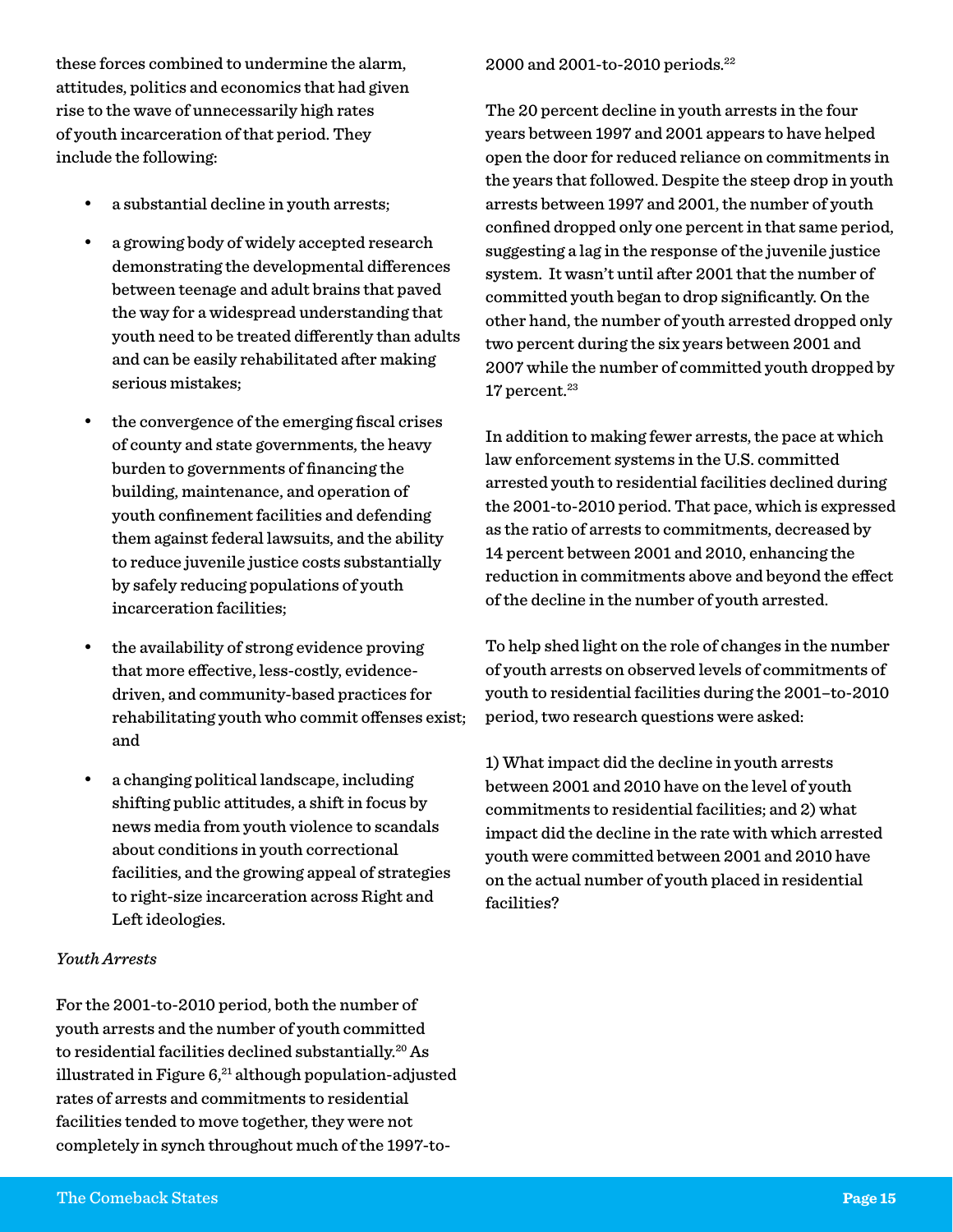these forces combined to undermine the alarm, attitudes, politics and economics that had given rise to the wave of unnecessarily high rates of youth incarceration of that period. They include the following:

- a substantial decline in youth arrests;
- a growing body of widely accepted research demonstrating the developmental differences between teenage and adult brains that paved the way for a widespread understanding that youth need to be treated differently than adults and can be easily rehabilitated after making serious mistakes;
- the convergence of the emerging fiscal crises of county and state governments, the heavy burden to governments of financing the building, maintenance, and operation of youth confinement facilities and defending them against federal lawsuits, and the ability to reduce juvenile justice costs substantially by safely reducing populations of youth incarceration facilities;
- the availability of strong evidence proving that more effective, less-costly, evidencedriven, and community-based practices for rehabilitating youth who commit offenses exist; and
- a changing political landscape, including shifting public attitudes, a shift in focus by news media from youth violence to scandals about conditions in youth correctional facilities, and the growing appeal of strategies to right-size incarceration across Right and Left ideologies.

#### *Youth Arrests*

For the 2001-to-2010 period, both the number of youth arrests and the number of youth committed to residential facilities declined substantially.20 As illustrated in Figure  $6<sup>21</sup>$  although population-adjusted rates of arrests and commitments to residential facilities tended to move together, they were not completely in synch throughout much of the 1997-to-

#### 2000 and 2001-to-2010 periods.22

The 20 percent decline in youth arrests in the four years between 1997 and 2001 appears to have helped open the door for reduced reliance on commitments in the years that followed. Despite the steep drop in youth arrests between 1997 and 2001, the number of youth confined dropped only one percent in that same period, suggesting a lag in the response of the juvenile justice system. It wasn't until after 2001 that the number of committed youth began to drop significantly. On the other hand, the number of youth arrested dropped only two percent during the six years between 2001 and 2007 while the number of committed youth dropped by  $17$  percent. $23$ 

In addition to making fewer arrests, the pace at which law enforcement systems in the U.S. committed arrested youth to residential facilities declined during the 2001-to-2010 period. That pace, which is expressed as the ratio of arrests to commitments, decreased by 14 percent between 2001 and 2010, enhancing the reduction in commitments above and beyond the effect of the decline in the number of youth arrested.

To help shed light on the role of changes in the number of youth arrests on observed levels of commitments of youth to residential facilities during the 2001–to-2010 period, two research questions were asked:

1) What impact did the decline in youth arrests between 2001 and 2010 have on the level of youth commitments to residential facilities; and 2) what impact did the decline in the rate with which arrested youth were committed between 2001 and 2010 have on the actual number of youth placed in residential facilities?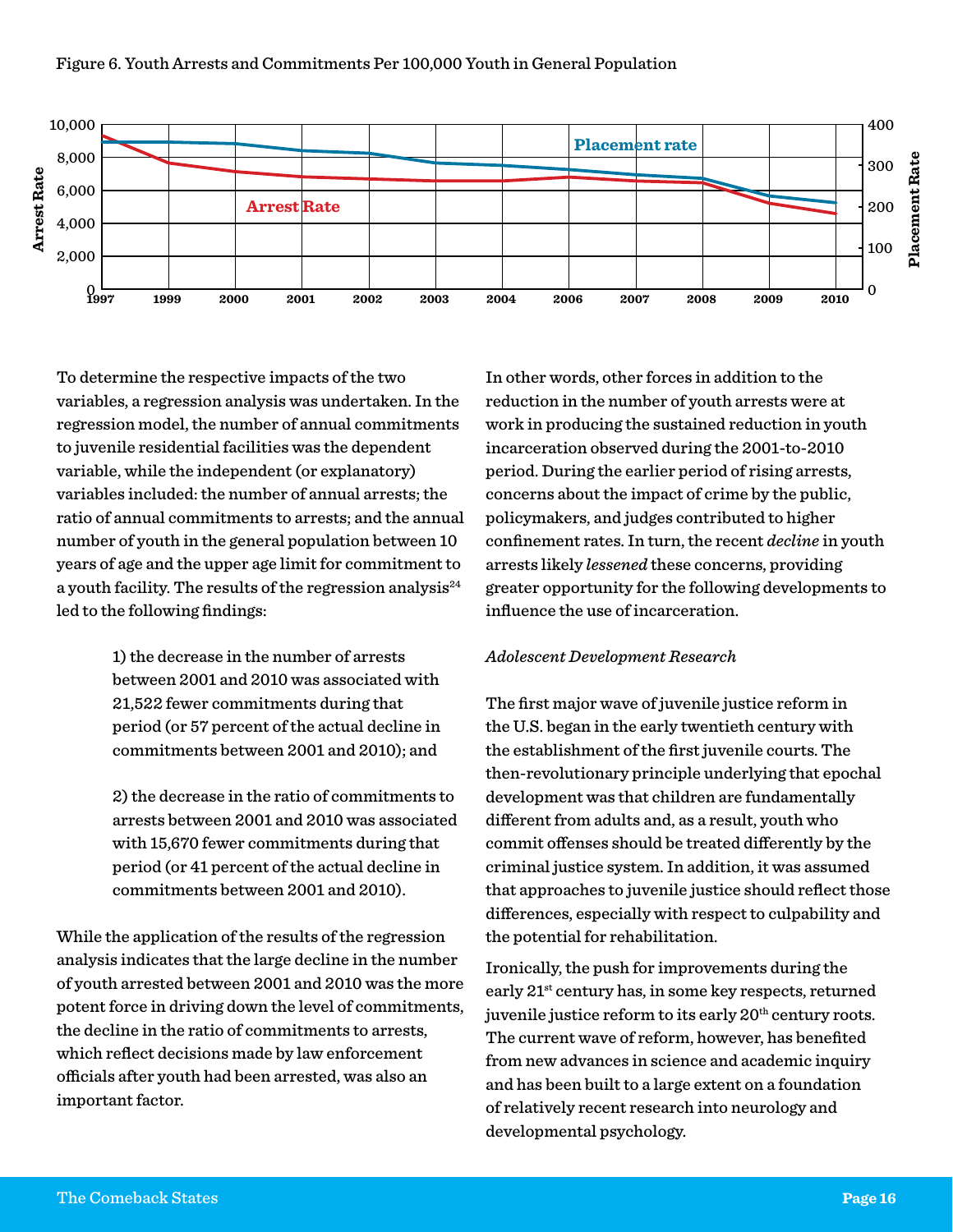

To determine the respective impacts of the two variables, a regression analysis was undertaken. In the regression model, the number of annual commitments to juvenile residential facilities was the dependent variable, while the independent (or explanatory) variables included: the number of annual arrests; the ratio of annual commitments to arrests; and the annual number of youth in the general population between 10 years of age and the upper age limit for commitment to a youth facility. The results of the regression analysis $^{24}$ led to the following findings:

> 1) the decrease in the number of arrests between 2001 and 2010 was associated with 21,522 fewer commitments during that period (or 57 percent of the actual decline in commitments between 2001 and 2010); and

2) the decrease in the ratio of commitments to arrests between 2001 and 2010 was associated with 15,670 fewer commitments during that period (or 41 percent of the actual decline in commitments between 2001 and 2010).

While the application of the results of the regression analysis indicates that the large decline in the number of youth arrested between 2001 and 2010 was the more potent force in driving down the level of commitments, the decline in the ratio of commitments to arrests, which reflect decisions made by law enforcement officials after youth had been arrested, was also an important factor.

In other words, other forces in addition to the reduction in the number of youth arrests were at work in producing the sustained reduction in youth incarceration observed during the 2001-to-2010 period. During the earlier period of rising arrests, concerns about the impact of crime by the public, policymakers, and judges contributed to higher confinement rates. In turn, the recent *decline* in youth arrests likely *lessened* these concerns, providing greater opportunity for the following developments to influence the use of incarceration.

#### *Adolescent Development Research*

The first major wave of juvenile justice reform in the U.S. began in the early twentieth century with the establishment of the first juvenile courts. The then-revolutionary principle underlying that epochal development was that children are fundamentally different from adults and, as a result, youth who commit offenses should be treated differently by the criminal justice system. In addition, it was assumed that approaches to juvenile justice should reflect those differences, especially with respect to culpability and the potential for rehabilitation.

Ironically, the push for improvements during the early 21st century has, in some key respects, returned juvenile justice reform to its early 20<sup>th</sup> century roots. The current wave of reform, however, has benefited from new advances in science and academic inquiry and has been built to a large extent on a foundation of relatively recent research into neurology and developmental psychology.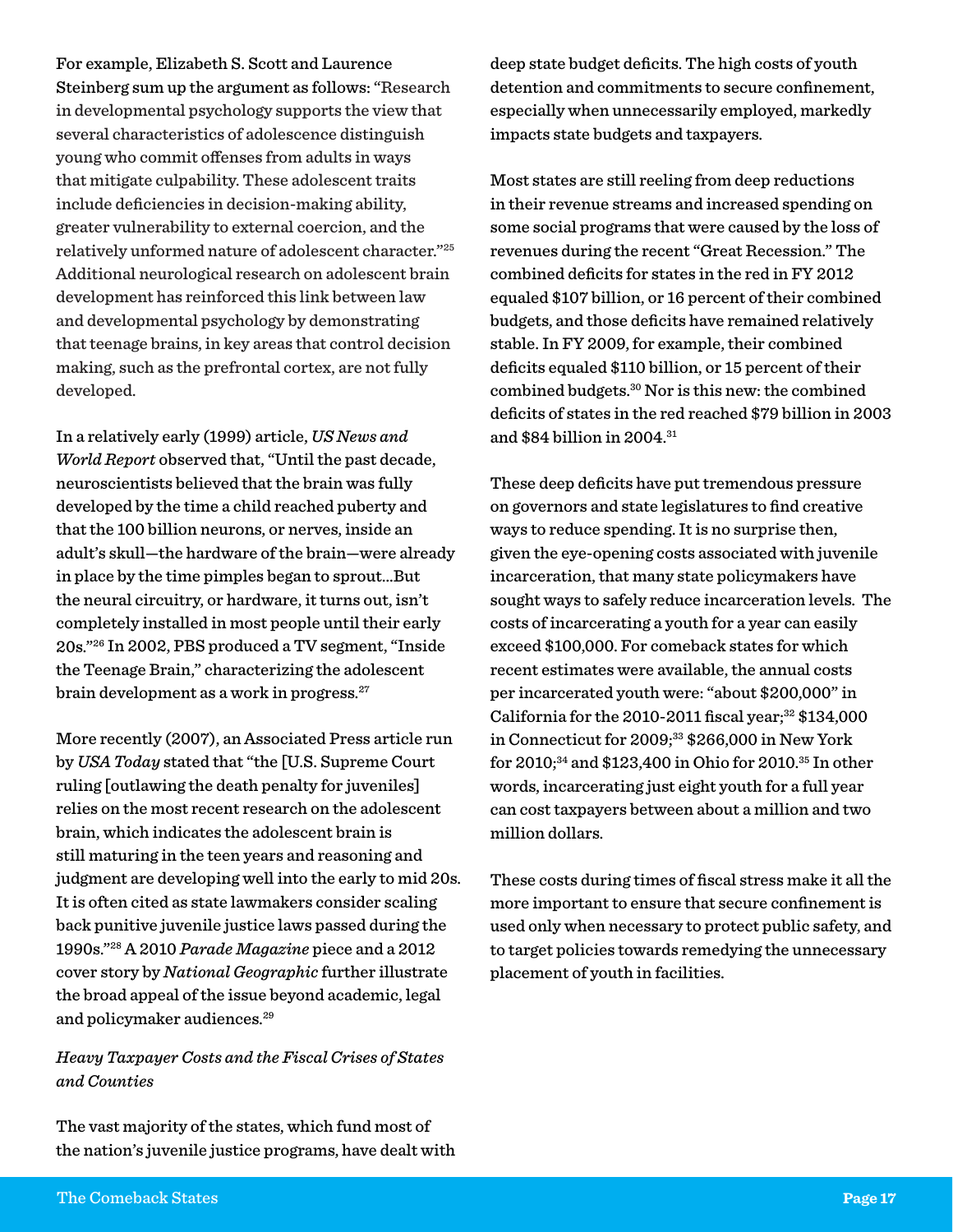For example, Elizabeth S. Scott and Laurence Steinberg sum up the argument as follows: "Research in developmental psychology supports the view that several characteristics of adolescence distinguish young who commit offenses from adults in ways that mitigate culpability. These adolescent traits include deficiencies in decision-making ability, greater vulnerability to external coercion, and the relatively unformed nature of adolescent character."25 Additional neurological research on adolescent brain development has reinforced this link between law and developmental psychology by demonstrating that teenage brains, in key areas that control decision making, such as the prefrontal cortex, are not fully developed.

In a relatively early (1999) article, *US News and World Report* observed that, "Until the past decade, neuroscientists believed that the brain was fully developed by the time a child reached puberty and that the 100 billion neurons, or nerves, inside an adult's skull—the hardware of the brain—were already in place by the time pimples began to sprout…But the neural circuitry, or hardware, it turns out, isn't completely installed in most people until their early 20s."26 In 2002, PBS produced a TV segment, "Inside the Teenage Brain," characterizing the adolescent brain development as a work in progress.27

More recently (2007), an Associated Press article run by *USA Today* stated that "the [U.S. Supreme Court ruling [outlawing the death penalty for juveniles] relies on the most recent research on the adolescent brain, which indicates the adolescent brain is still maturing in the teen years and reasoning and judgment are developing well into the early to mid 20s. It is often cited as state lawmakers consider scaling back punitive juvenile justice laws passed during the 1990s."28 A 2010 *Parade Magazine* piece and a 2012 cover story by *National Geographic* further illustrate the broad appeal of the issue beyond academic, legal and policymaker audiences.<sup>29</sup>

#### *Heavy Taxpayer Costs and the Fiscal Crises of States and Counties*

The vast majority of the states, which fund most of the nation's juvenile justice programs, have dealt with deep state budget deficits. The high costs of youth detention and commitments to secure confinement, especially when unnecessarily employed, markedly impacts state budgets and taxpayers.

Most states are still reeling from deep reductions in their revenue streams and increased spending on some social programs that were caused by the loss of revenues during the recent "Great Recession." The combined deficits for states in the red in FY 2012 equaled \$107 billion, or 16 percent of their combined budgets, and those deficits have remained relatively stable. In FY 2009, for example, their combined deficits equaled \$110 billion, or 15 percent of their combined budgets.30 Nor is this new: the combined deficits of states in the red reached \$79 billion in 2003 and \$84 billion in 2004.31

These deep deficits have put tremendous pressure on governors and state legislatures to find creative ways to reduce spending. It is no surprise then, given the eye-opening costs associated with juvenile incarceration, that many state policymakers have sought ways to safely reduce incarceration levels. The costs of incarcerating a youth for a year can easily exceed \$100,000. For comeback states for which recent estimates were available, the annual costs per incarcerated youth were: "about \$200,000" in California for the 2010-2011 fiscal year; $32$  \$134,000 in Connecticut for 2009;<sup>33</sup> \$266,000 in New York for 2010;<sup>34</sup> and \$123,400 in Ohio for 2010.<sup>35</sup> In other words, incarcerating just eight youth for a full year can cost taxpayers between about a million and two million dollars.

These costs during times of fiscal stress make it all the more important to ensure that secure confinement is used only when necessary to protect public safety, and to target policies towards remedying the unnecessary placement of youth in facilities.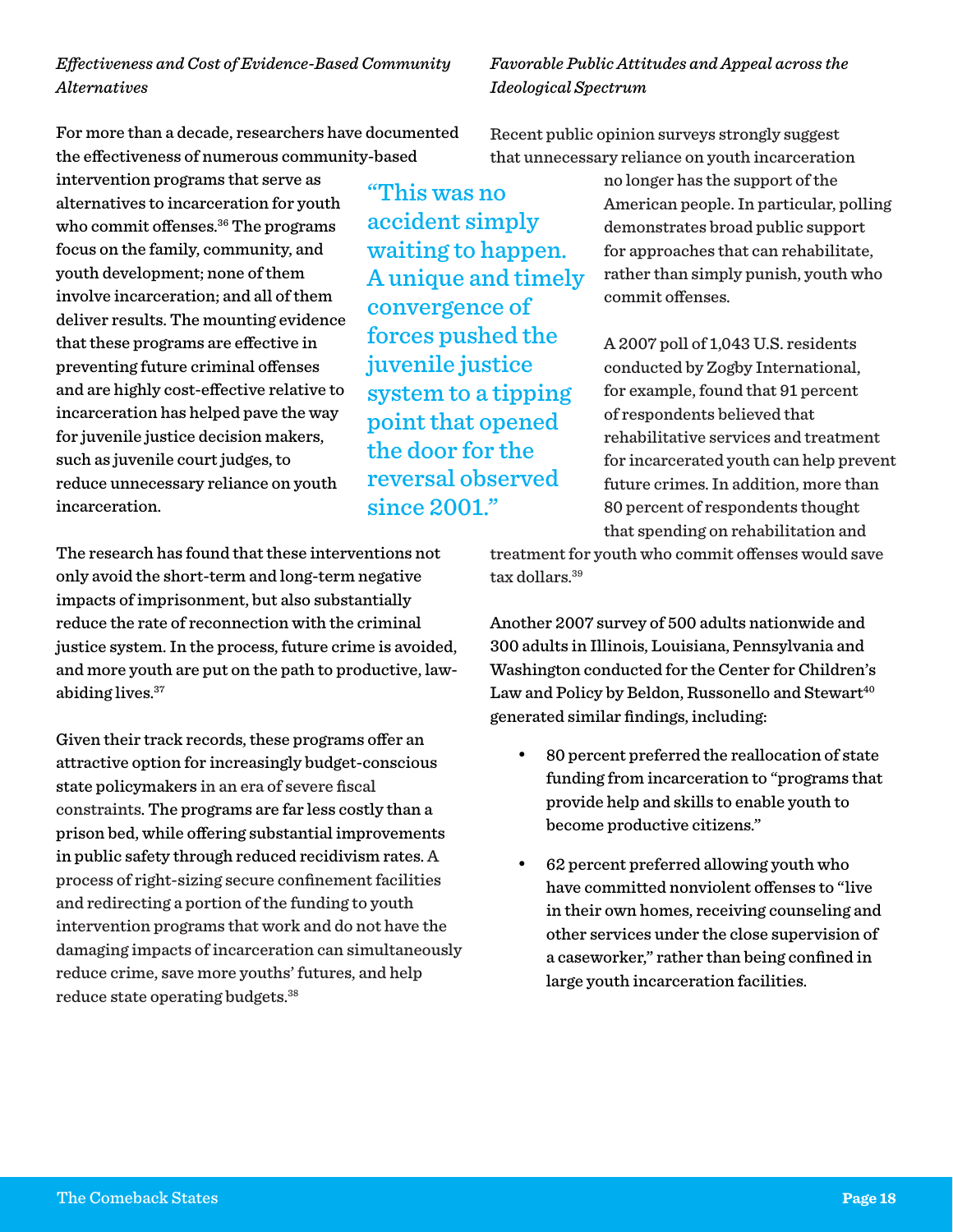*Effectiveness and Cost of Evidence-Based Community Alternatives* 

For more than a decade, researchers have documented the effectiveness of numerous community-based

"This was no

accident simply

convergence of

juvenile justice

since 2001."

forces pushed the

system to a tipping point that opened the door for the reversal observed

waiting to happen. A unique and timely

intervention programs that serve as alternatives to incarceration for youth who commit offenses.<sup>36</sup> The programs focus on the family, community, and youth development; none of them involve incarceration; and all of them deliver results. The mounting evidence that these programs are effective in preventing future criminal offenses and are highly cost-effective relative to incarceration has helped pave the way for juvenile justice decision makers, such as juvenile court judges, to reduce unnecessary reliance on youth incarceration.

The research has found that these interventions not only avoid the short-term and long-term negative impacts of imprisonment, but also substantially reduce the rate of reconnection with the criminal justice system. In the process, future crime is avoided, and more youth are put on the path to productive, lawabiding lives.37

Given their track records, these programs offer an attractive option for increasingly budget-conscious state policymakers in an era of severe fiscal constraints. The programs are far less costly than a prison bed, while offering substantial improvements in public safety through reduced recidivism rates. A process of right-sizing secure confinement facilities and redirecting a portion of the funding to youth intervention programs that work and do not have the damaging impacts of incarceration can simultaneously reduce crime, save more youths' futures, and help reduce state operating budgets.38

*Favorable Public Attitudes and Appeal across the Ideological Spectrum*

Recent public opinion surveys strongly suggest that unnecessary reliance on youth incarceration

> no longer has the support of the American people. In particular, polling demonstrates broad public support for approaches that can rehabilitate, rather than simply punish, youth who commit offenses.

A 2007 poll of 1,043 U.S. residents conducted by Zogby International, for example, found that 91 percent of respondents believed that rehabilitative services and treatment for incarcerated youth can help prevent future crimes. In addition, more than 80 percent of respondents thought that spending on rehabilitation and

treatment for youth who commit offenses would save tax dollars.39

Another 2007 survey of 500 adults nationwide and 300 adults in Illinois, Louisiana, Pennsylvania and Washington conducted for the Center for Children's Law and Policy by Beldon, Russonello and Stewart<sup>40</sup> generated similar findings, including:

- 80 percent preferred the reallocation of state funding from incarceration to "programs that provide help and skills to enable youth to become productive citizens."
- 62 percent preferred allowing youth who have committed nonviolent offenses to "live in their own homes, receiving counseling and other services under the close supervision of a caseworker," rather than being confined in large youth incarceration facilities.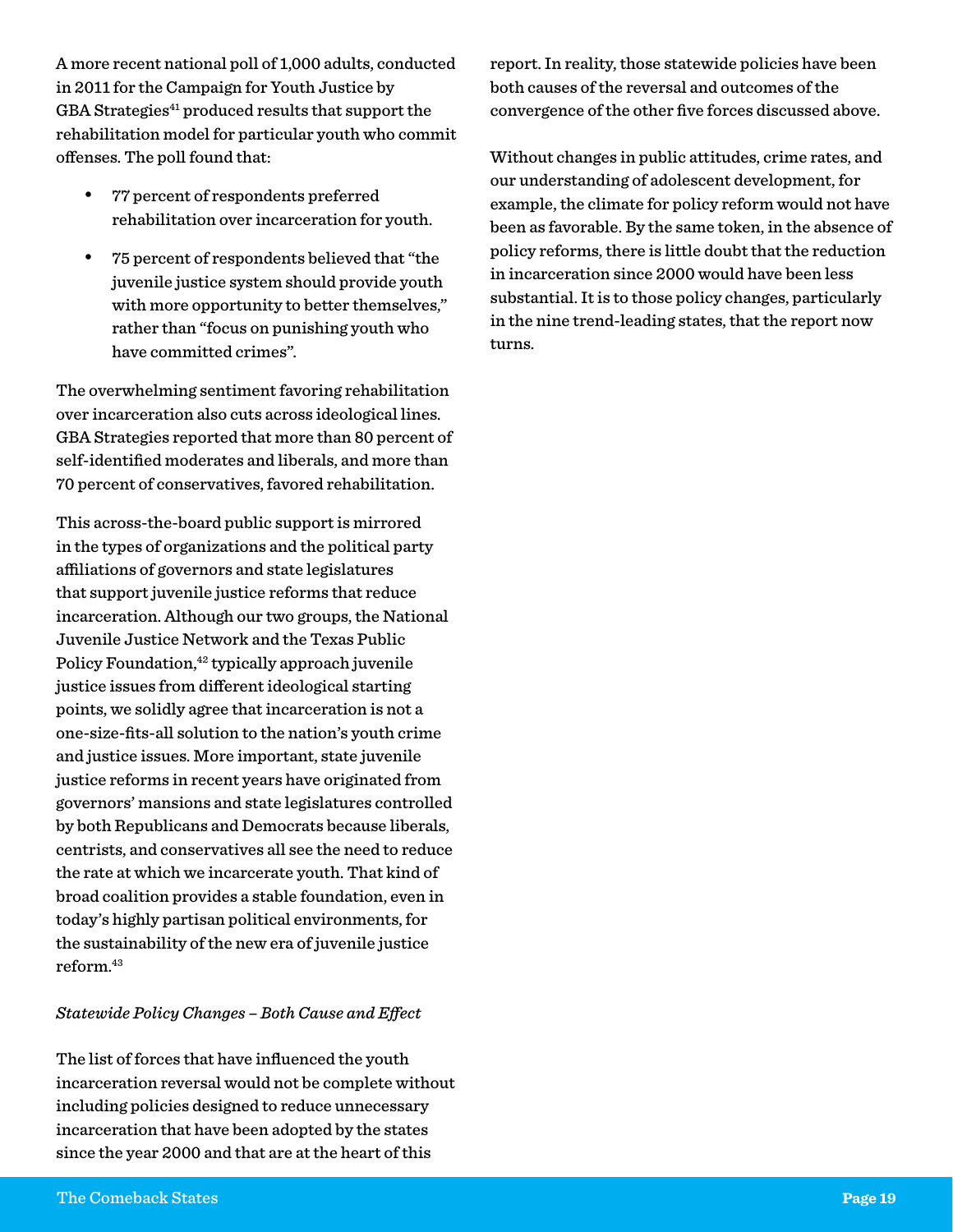A more recent national poll of 1,000 adults, conducted in 2011 for the Campaign for Youth Justice by GBA Strategies<sup>41</sup> produced results that support the rehabilitation model for particular youth who commit offenses. The poll found that:

- 77 percent of respondents preferred rehabilitation over incarceration for youth.
- 75 percent of respondents believed that "the juvenile justice system should provide youth with more opportunity to better themselves," rather than "focus on punishing youth who have committed crimes".

The overwhelming sentiment favoring rehabilitation over incarceration also cuts across ideological lines. GBA Strategies reported that more than 80 percent of self-identified moderates and liberals, and more than 70 percent of conservatives, favored rehabilitation.

This across-the-board public support is mirrored in the types of organizations and the political party affiliations of governors and state legislatures that support juvenile justice reforms that reduce incarceration. Although our two groups, the National Juvenile Justice Network and the Texas Public Policy Foundation,<sup>42</sup> typically approach juvenile justice issues from different ideological starting points, we solidly agree that incarceration is not a one-size-fits-all solution to the nation's youth crime and justice issues. More important, state juvenile justice reforms in recent years have originated from governors' mansions and state legislatures controlled by both Republicans and Democrats because liberals, centrists, and conservatives all see the need to reduce the rate at which we incarcerate youth. That kind of broad coalition provides a stable foundation, even in today's highly partisan political environments, for the sustainability of the new era of juvenile justice reform.43

#### *Statewide Policy Changes – Both Cause and Effect*

The list of forces that have influenced the youth incarceration reversal would not be complete without including policies designed to reduce unnecessary incarceration that have been adopted by the states since the year 2000 and that are at the heart of this

report. In reality, those statewide policies have been both causes of the reversal and outcomes of the convergence of the other five forces discussed above.

Without changes in public attitudes, crime rates, and our understanding of adolescent development, for example, the climate for policy reform would not have been as favorable. By the same token, in the absence of policy reforms, there is little doubt that the reduction in incarceration since 2000 would have been less substantial. It is to those policy changes, particularly in the nine trend-leading states, that the report now turns.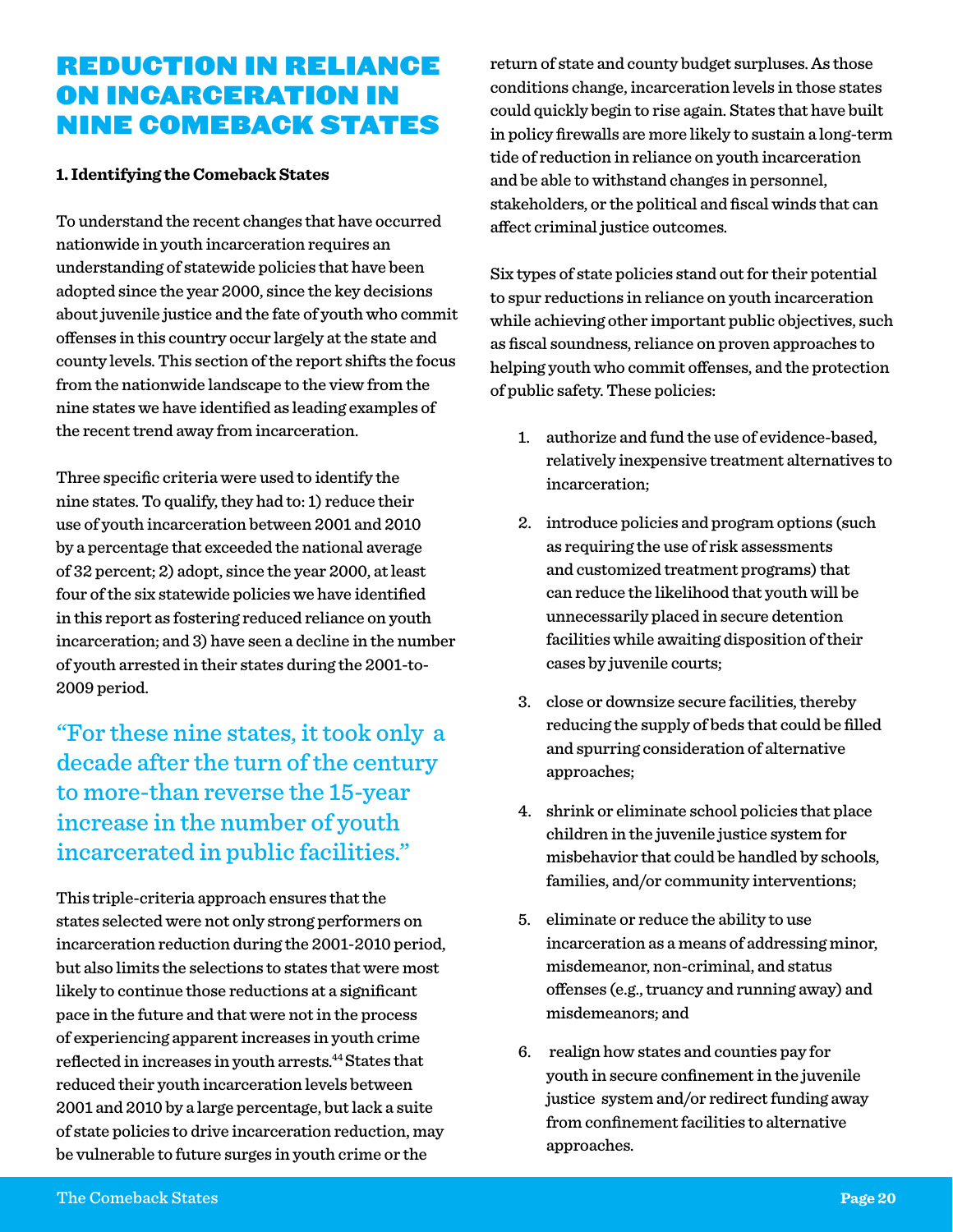## Reduction in Reliance on Incarceration in Nine Comeback States

#### **1. Identifying the Comeback States**

To understand the recent changes that have occurred nationwide in youth incarceration requires an understanding of statewide policies that have been adopted since the year 2000, since the key decisions about juvenile justice and the fate of youth who commit offenses in this country occur largely at the state and county levels. This section of the report shifts the focus from the nationwide landscape to the view from the nine states we have identified as leading examples of the recent trend away from incarceration.

Three specific criteria were used to identify the nine states. To qualify, they had to: 1) reduce their use of youth incarceration between 2001 and 2010 by a percentage that exceeded the national average of 32 percent; 2) adopt, since the year 2000, at least four of the six statewide policies we have identified in this report as fostering reduced reliance on youth incarceration; and 3) have seen a decline in the number of youth arrested in their states during the 2001-to-2009 period.

"For these nine states, it took only a decade after the turn of the century to more-than reverse the 15-year increase in the number of youth incarcerated in public facilities."

This triple-criteria approach ensures that the states selected were not only strong performers on incarceration reduction during the 2001-2010 period, but also limits the selections to states that were most likely to continue those reductions at a significant pace in the future and that were not in the process of experiencing apparent increases in youth crime reflected in increases in youth arrests.44 States that reduced their youth incarceration levels between 2001 and 2010 by a large percentage, but lack a suite of state policies to drive incarceration reduction, may be vulnerable to future surges in youth crime or the

return of state and county budget surpluses. As those conditions change, incarceration levels in those states could quickly begin to rise again. States that have built in policy firewalls are more likely to sustain a long-term tide of reduction in reliance on youth incarceration and be able to withstand changes in personnel, stakeholders, or the political and fiscal winds that can affect criminal justice outcomes.

Six types of state policies stand out for their potential to spur reductions in reliance on youth incarceration while achieving other important public objectives, such as fiscal soundness, reliance on proven approaches to helping youth who commit offenses, and the protection of public safety. These policies:

- 1. authorize and fund the use of evidence-based, relatively inexpensive treatment alternatives to incarceration;
- 2. introduce policies and program options (such as requiring the use of risk assessments and customized treatment programs) that can reduce the likelihood that youth will be unnecessarily placed in secure detention facilities while awaiting disposition of their cases by juvenile courts;
- 3. close or downsize secure facilities, thereby reducing the supply of beds that could be filled and spurring consideration of alternative approaches;
- 4. shrink or eliminate school policies that place children in the juvenile justice system for misbehavior that could be handled by schools, families, and/or community interventions;
- 5. eliminate or reduce the ability to use incarceration as a means of addressing minor, misdemeanor, non-criminal, and status offenses (e.g., truancy and running away) and misdemeanors; and
- 6. realign how states and counties pay for youth in secure confinement in the juvenile justice system and/or redirect funding away from confinement facilities to alternative approaches.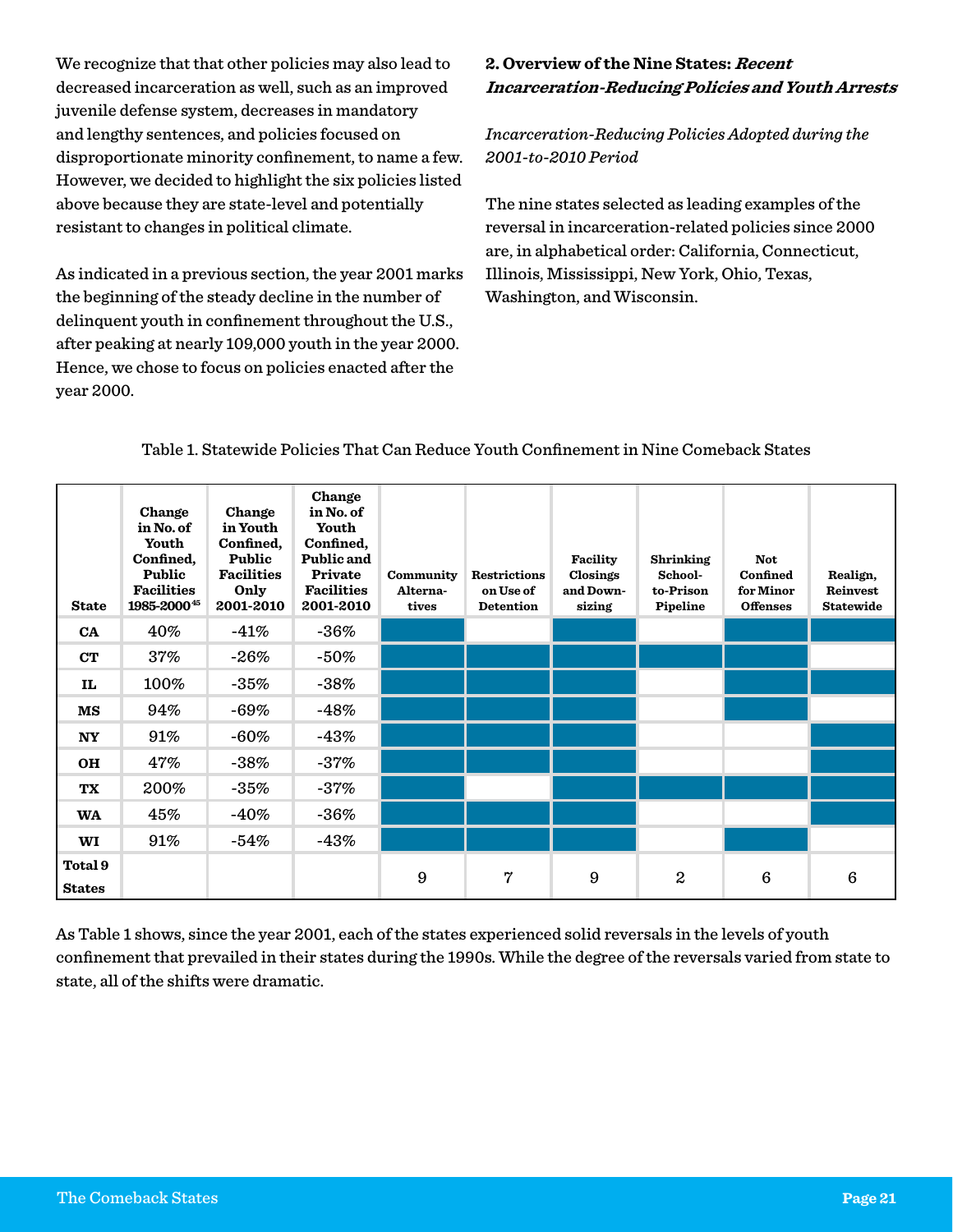We recognize that that other policies may also lead to decreased incarceration as well, such as an improved juvenile defense system, decreases in mandatory and lengthy sentences, and policies focused on disproportionate minority confinement, to name a few. However, we decided to highlight the six policies listed above because they are state-level and potentially resistant to changes in political climate.

As indicated in a previous section, the year 2001 marks the beginning of the steady decline in the number of delinquent youth in confinement throughout the U.S., after peaking at nearly 109,000 youth in the year 2000. Hence, we chose to focus on policies enacted after the year 2000.

#### **2. Overview of the Nine States: Recent Incarceration-Reducing Policies and Youth Arrests**

*Incarceration-Reducing Policies Adopted during the 2001-to-2010 Period*

The nine states selected as leading examples of the reversal in incarceration-related policies since 2000 are, in alphabetical order: California, Connecticut, Illinois, Mississippi, New York, Ohio, Texas, Washington, and Wisconsin.

#### Table 1. Statewide Policies That Can Reduce Youth Confinement in Nine Comeback States

| <b>State</b>             | Change<br>in No. of<br>Youth<br>Confined,<br>Public<br><b>Facilities</b><br>1985-200045 | Change<br>in Youth<br>Confined,<br>Public<br><b>Facilities</b><br>Only<br>2001-2010 | Change<br>in No. of<br>Youth<br>Confined,<br>Public and<br>Private<br><b>Facilities</b><br>2001-2010 | Community<br>Alterna-<br>tives | <b>Restrictions</b><br>on Use of<br><b>Detention</b> | Facility<br>Closings<br>and Down-<br>sizing | <b>Shrinking</b><br>School-<br>to-Prison<br>Pipeline | <b>Not</b><br>Confined<br>for Minor<br><b>Offenses</b> | Realign,<br>Reinvest<br><b>Statewide</b> |
|--------------------------|-----------------------------------------------------------------------------------------|-------------------------------------------------------------------------------------|------------------------------------------------------------------------------------------------------|--------------------------------|------------------------------------------------------|---------------------------------------------|------------------------------------------------------|--------------------------------------------------------|------------------------------------------|
| <b>CA</b>                | 40%                                                                                     | $-41%$                                                                              | $-36%$                                                                                               |                                |                                                      |                                             |                                                      |                                                        |                                          |
| CT                       | 37%                                                                                     | $-26\%$                                                                             | $-50%$                                                                                               |                                |                                                      |                                             |                                                      |                                                        |                                          |
| IL                       | 100%                                                                                    | $-35%$                                                                              | $-38%$                                                                                               |                                |                                                      |                                             |                                                      |                                                        |                                          |
| $_{\rm MS}$              | 94%                                                                                     | $-69%$                                                                              | $-48%$                                                                                               |                                |                                                      |                                             |                                                      |                                                        |                                          |
| <b>NY</b>                | 91%                                                                                     | $-60\%$                                                                             | $-43%$                                                                                               |                                |                                                      |                                             |                                                      |                                                        |                                          |
| <b>OH</b>                | 47%                                                                                     | $-38%$                                                                              | $-37%$                                                                                               |                                |                                                      |                                             |                                                      |                                                        |                                          |
| TX                       | 200%                                                                                    | $-35%$                                                                              | $-37%$                                                                                               |                                |                                                      |                                             |                                                      |                                                        |                                          |
| <b>WA</b>                | 45%                                                                                     | $-40\%$                                                                             | $-36%$                                                                                               |                                |                                                      |                                             |                                                      |                                                        |                                          |
| WI                       | 91%                                                                                     | $-54%$                                                                              | $-43%$                                                                                               |                                |                                                      |                                             |                                                      |                                                        |                                          |
| Total 9<br><b>States</b> |                                                                                         |                                                                                     |                                                                                                      | 9                              | 7                                                    | 9                                           | $\boldsymbol{2}$                                     | $6\phantom{1}$                                         | 6                                        |

As Table 1 shows, since the year 2001, each of the states experienced solid reversals in the levels of youth confinement that prevailed in their states during the 1990s. While the degree of the reversals varied from state to state, all of the shifts were dramatic.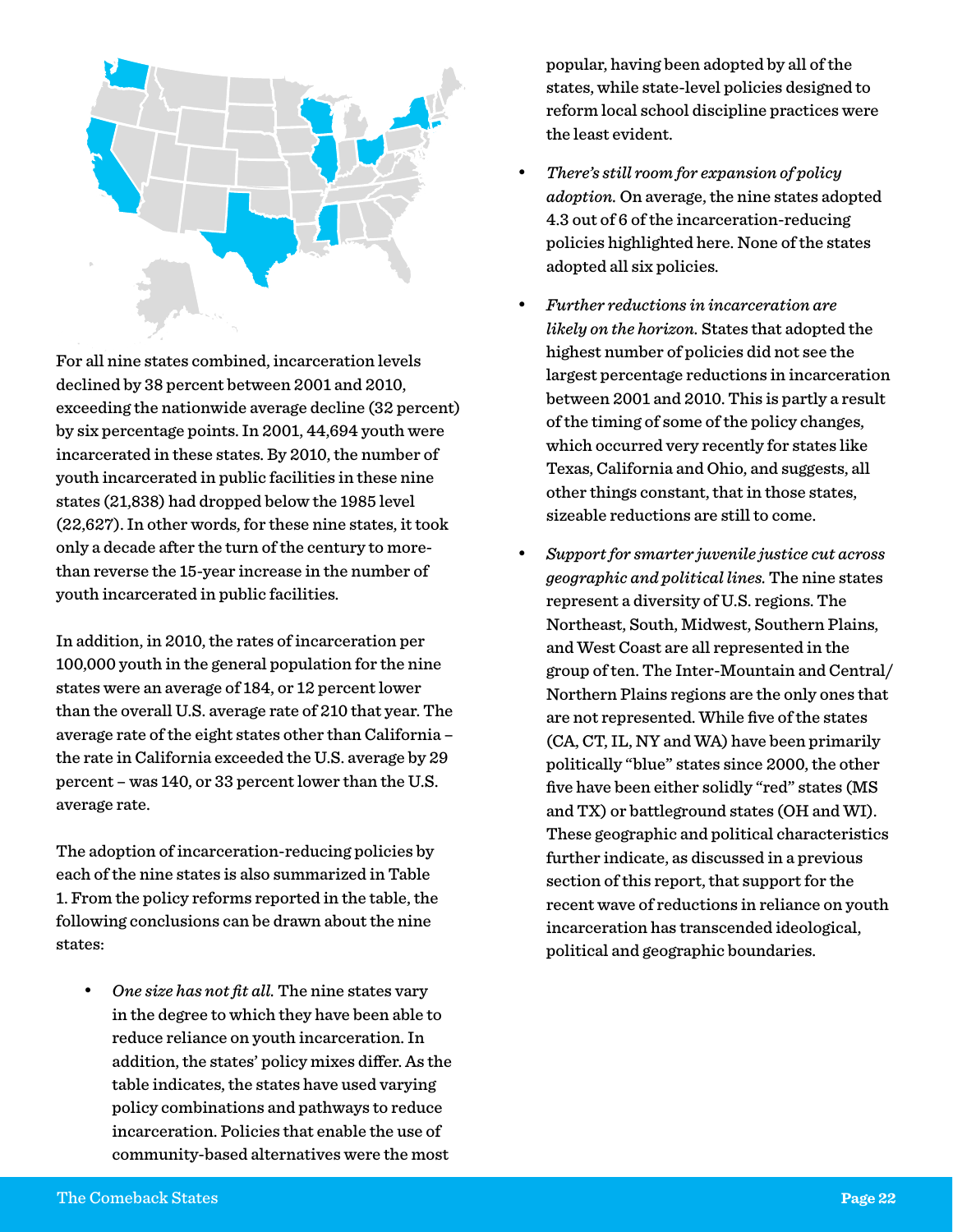

For all nine states combined, incarceration levels declined by 38 percent between 2001 and 2010, exceeding the nationwide average decline (32 percent) by six percentage points. In 2001, 44,694 youth were incarcerated in these states. By 2010, the number of youth incarcerated in public facilities in these nine states (21,838) had dropped below the 1985 level (22,627). In other words, for these nine states, it took only a decade after the turn of the century to morethan reverse the 15-year increase in the number of youth incarcerated in public facilities.

In addition, in 2010, the rates of incarceration per 100,000 youth in the general population for the nine states were an average of 184, or 12 percent lower than the overall U.S. average rate of 210 that year. The average rate of the eight states other than California – the rate in California exceeded the U.S. average by 29 percent – was 140, or 33 percent lower than the U.S. average rate.

The adoption of incarceration-reducing policies by each of the nine states is also summarized in Table 1. From the policy reforms reported in the table, the following conclusions can be drawn about the nine states:

One size has not fit all. The nine states vary in the degree to which they have been able to reduce reliance on youth incarceration. In addition, the states' policy mixes differ. As the table indicates, the states have used varying policy combinations and pathways to reduce incarceration. Policies that enable the use of community-based alternatives were the most

popular, having been adopted by all of the states, while state-level policies designed to reform local school discipline practices were the least evident.

- • *There's still room for expansion of policy adoption.* On average, the nine states adopted 4.3 out of 6 of the incarceration-reducing policies highlighted here. None of the states adopted all six policies.
- • *Further reductions in incarceration are likely on the horizon.* States that adopted the highest number of policies did not see the largest percentage reductions in incarceration between 2001 and 2010. This is partly a result of the timing of some of the policy changes, which occurred very recently for states like Texas, California and Ohio, and suggests, all other things constant, that in those states, sizeable reductions are still to come.
- • *Support for smarter juvenile justice cut across geographic and political lines.* The nine states represent a diversity of U.S. regions. The Northeast, South, Midwest, Southern Plains, and West Coast are all represented in the group of ten. The Inter-Mountain and Central/ Northern Plains regions are the only ones that are not represented. While five of the states (CA, CT, IL, NY and WA) have been primarily politically "blue" states since 2000, the other five have been either solidly "red" states (MS and TX) or battleground states (OH and WI). These geographic and political characteristics further indicate, as discussed in a previous section of this report, that support for the recent wave of reductions in reliance on youth incarceration has transcended ideological, political and geographic boundaries.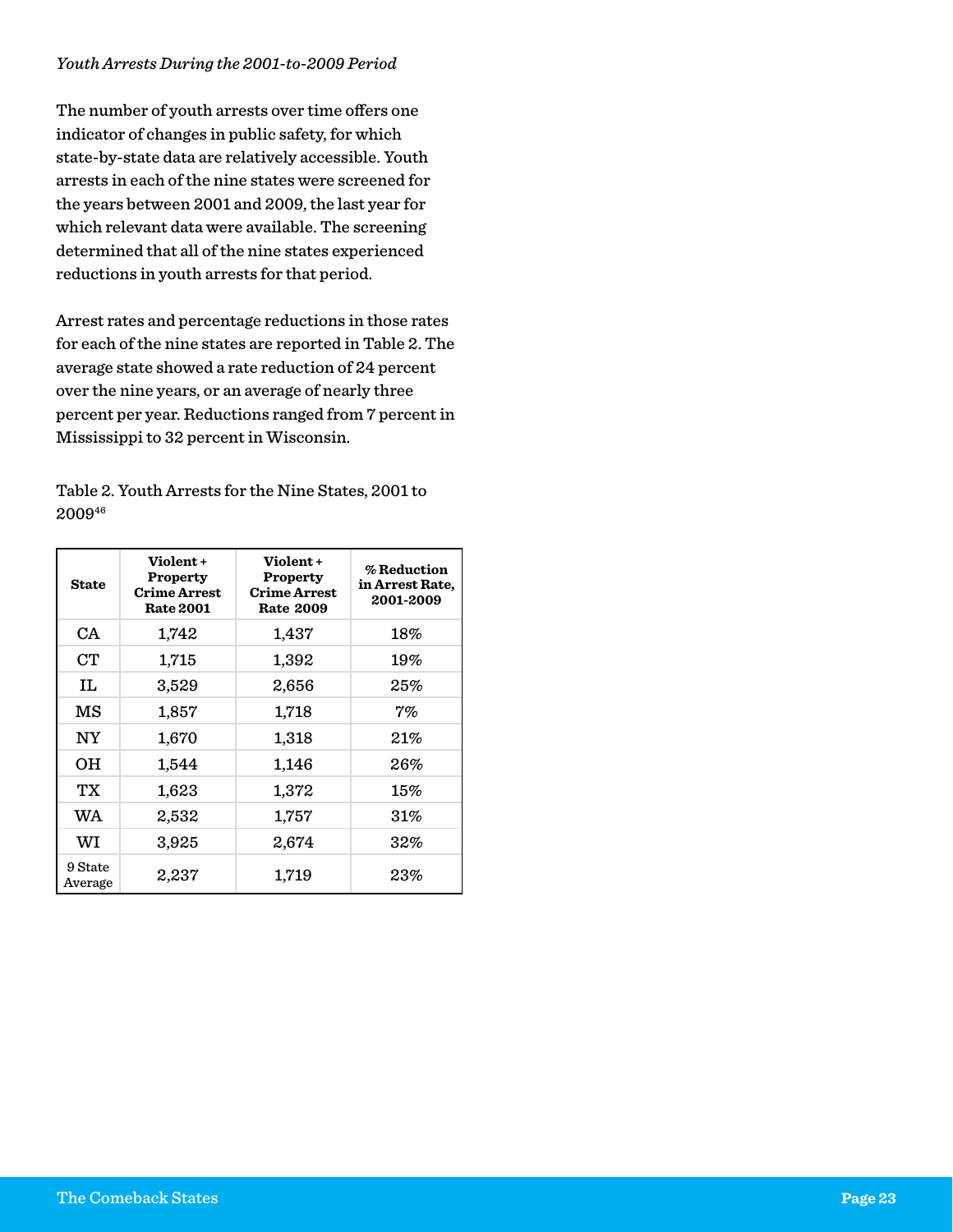#### *Youth Arrests During the 2001-to-2009 Period*

The number of youth arrests over time offers one indicator of changes in public safety, for which state-by-state data are relatively accessible. Youth arrests in each of the nine states were screened for the years between 2001 and 2009, the last year for which relevant data were available. The screening determined that all of the nine states experienced reductions in youth arrests for that period.

Arrest rates and percentage reductions in those rates for each of the nine states are reported in Table 2. The average state showed a rate reduction of 24 percent over the nine years, or an average of nearly three percent per year. Reductions ranged from 7 percent in Mississippi to 32 percent in Wisconsin.

Table 2. Youth Arrests for the Nine States, 2001 to 200946

| <b>State</b>       | Violent+<br><b>Property</b><br><b>Crime Arrest</b><br><b>Rate 2001</b> | Violent+<br><b>Property</b><br><b>Crime Arrest</b><br><b>Rate 2009</b> | % Reduction<br>in Arrest Rate,<br>2001-2009 |
|--------------------|------------------------------------------------------------------------|------------------------------------------------------------------------|---------------------------------------------|
| CA                 | 1,742                                                                  | 1,437                                                                  | $18\%$                                      |
| <b>CT</b>          | 1,715                                                                  | 1,392                                                                  | 19%                                         |
| IL                 | 3,529                                                                  | 2,656                                                                  | 25%                                         |
| MS                 | 1,857                                                                  | 1,718                                                                  | 7%                                          |
| <b>NY</b>          | 1,670                                                                  | 1,318                                                                  | 21%                                         |
| OН                 | 1,544                                                                  | 1,146                                                                  | 26%                                         |
| TХ                 | 1,623                                                                  | 1,372                                                                  | $15\%$                                      |
| WA                 | 2,532                                                                  | 1,757                                                                  | 31%                                         |
| WI                 | 3,925                                                                  | 2,674                                                                  | $32\%$                                      |
| 9 State<br>Average | 2,237                                                                  | 1,719                                                                  | $23\%$                                      |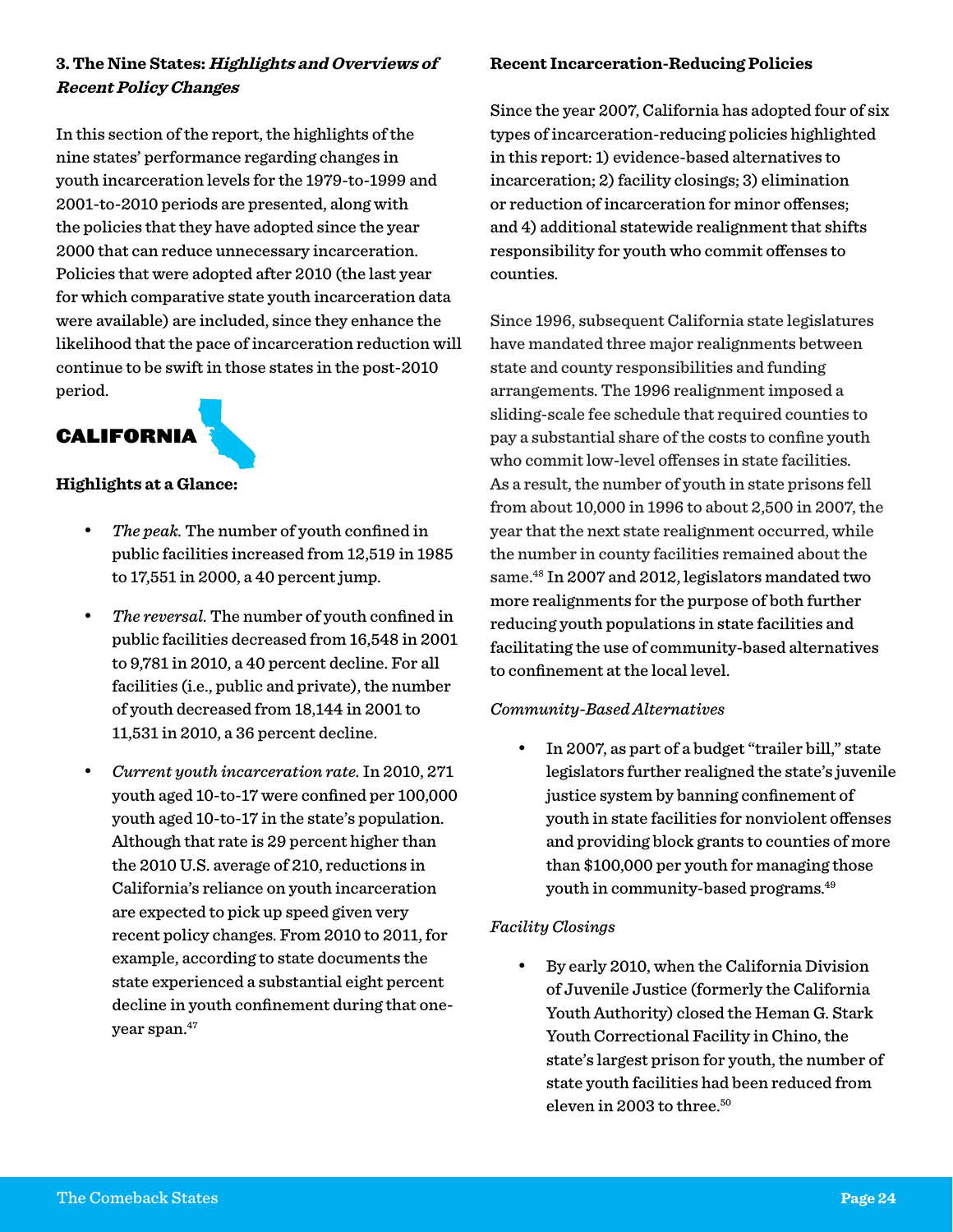#### **3. The Nine States: Highlights and Overviews of Recent Policy Changes**

In this section of the report, the highlights of the nine states' performance regarding changes in youth incarceration levels for the 1979-to-1999 and 2001-to-2010 periods are presented, along with the policies that they have adopted since the year 2000 that can reduce unnecessary incarceration. Policies that were adopted after 2010 (the last year for which comparative state youth incarceration data were available) are included, since they enhance the likelihood that the pace of incarceration reduction will continue to be swift in those states in the post-2010 period.

## CALIFORNIA

#### **Highlights at a Glance:**

- The peak. The number of youth confined in public facilities increased from 12,519 in 1985 to 17,551 in 2000, a 40 percent jump.
- The reversal. The number of youth confined in public facilities decreased from 16,548 in 2001 to 9,781 in 2010, a 40 percent decline. For all facilities (i.e., public and private), the number of youth decreased from 18,144 in 2001 to 11,531 in 2010, a 36 percent decline.
- • *Current youth incarceration rate.* In 2010, 271 youth aged 10-to-17 were confined per 100,000 youth aged 10-to-17 in the state's population. Although that rate is 29 percent higher than the 2010 U.S. average of 210, reductions in California's reliance on youth incarceration are expected to pick up speed given very recent policy changes. From 2010 to 2011, for example, according to state documents the state experienced a substantial eight percent decline in youth confinement during that oneyear span.47

#### **Recent Incarceration-Reducing Policies**

Since the year 2007, California has adopted four of six types of incarceration-reducing policies highlighted in this report: 1) evidence-based alternatives to incarceration; 2) facility closings; 3) elimination or reduction of incarceration for minor offenses; and 4) additional statewide realignment that shifts responsibility for youth who commit offenses to counties.

Since 1996, subsequent California state legislatures have mandated three major realignments between state and county responsibilities and funding arrangements. The 1996 realignment imposed a sliding-scale fee schedule that required counties to pay a substantial share of the costs to confine youth who commit low-level offenses in state facilities. As a result, the number of youth in state prisons fell from about 10,000 in 1996 to about 2,500 in 2007, the year that the next state realignment occurred, while the number in county facilities remained about the same.48 In 2007 and 2012, legislators mandated two more realignments for the purpose of both further reducing youth populations in state facilities and facilitating the use of community-based alternatives to confinement at the local level.

#### *Community-Based Alternatives*

In 2007, as part of a budget "trailer bill," state legislators further realigned the state's juvenile justice system by banning confinement of youth in state facilities for nonviolent offenses and providing block grants to counties of more than \$100,000 per youth for managing those youth in community-based programs.49

#### *Facility Closings*

By early 2010, when the California Division of Juvenile Justice (formerly the California Youth Authority) closed the Heman G. Stark Youth Correctional Facility in Chino, the state's largest prison for youth, the number of state youth facilities had been reduced from eleven in 2003 to three.<sup>50</sup>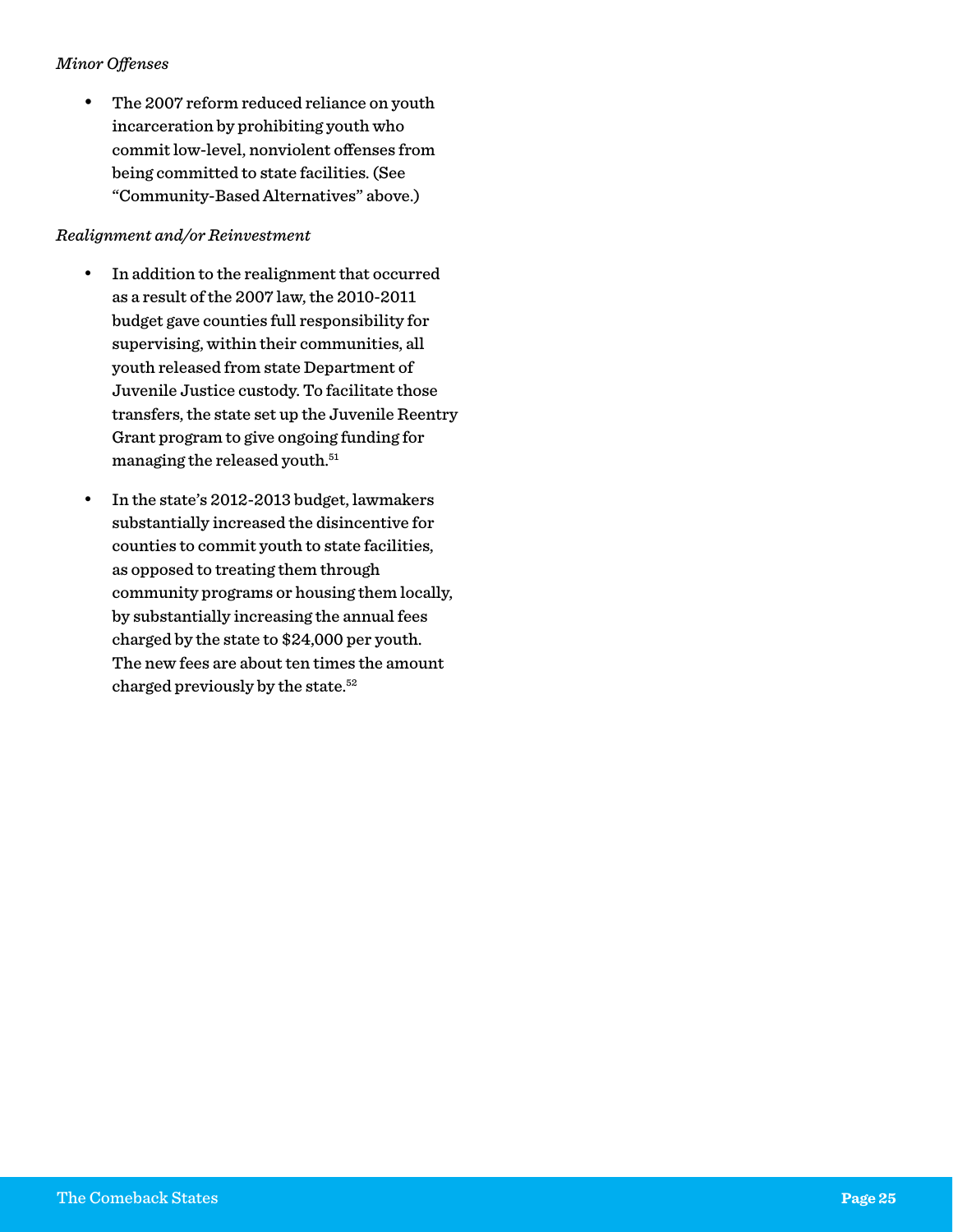#### *Minor Offenses*

• The 2007 reform reduced reliance on youth incarceration by prohibiting youth who commit low-level, nonviolent offenses from being committed to state facilities. (See "Community-Based Alternatives" above.)

#### *Realignment and/or Reinvestment*

- • In addition to the realignment that occurred as a result of the 2007 law, the 2010-2011 budget gave counties full responsibility for supervising, within their communities, all youth released from state Department of Juvenile Justice custody. To facilitate those transfers, the state set up the Juvenile Reentry Grant program to give ongoing funding for managing the released youth.<sup>51</sup>
- In the state's 2012-2013 budget, lawmakers substantially increased the disincentive for counties to commit youth to state facilities, as opposed to treating them through community programs or housing them locally, by substantially increasing the annual fees charged by the state to \$24,000 per youth. The new fees are about ten times the amount charged previously by the state.52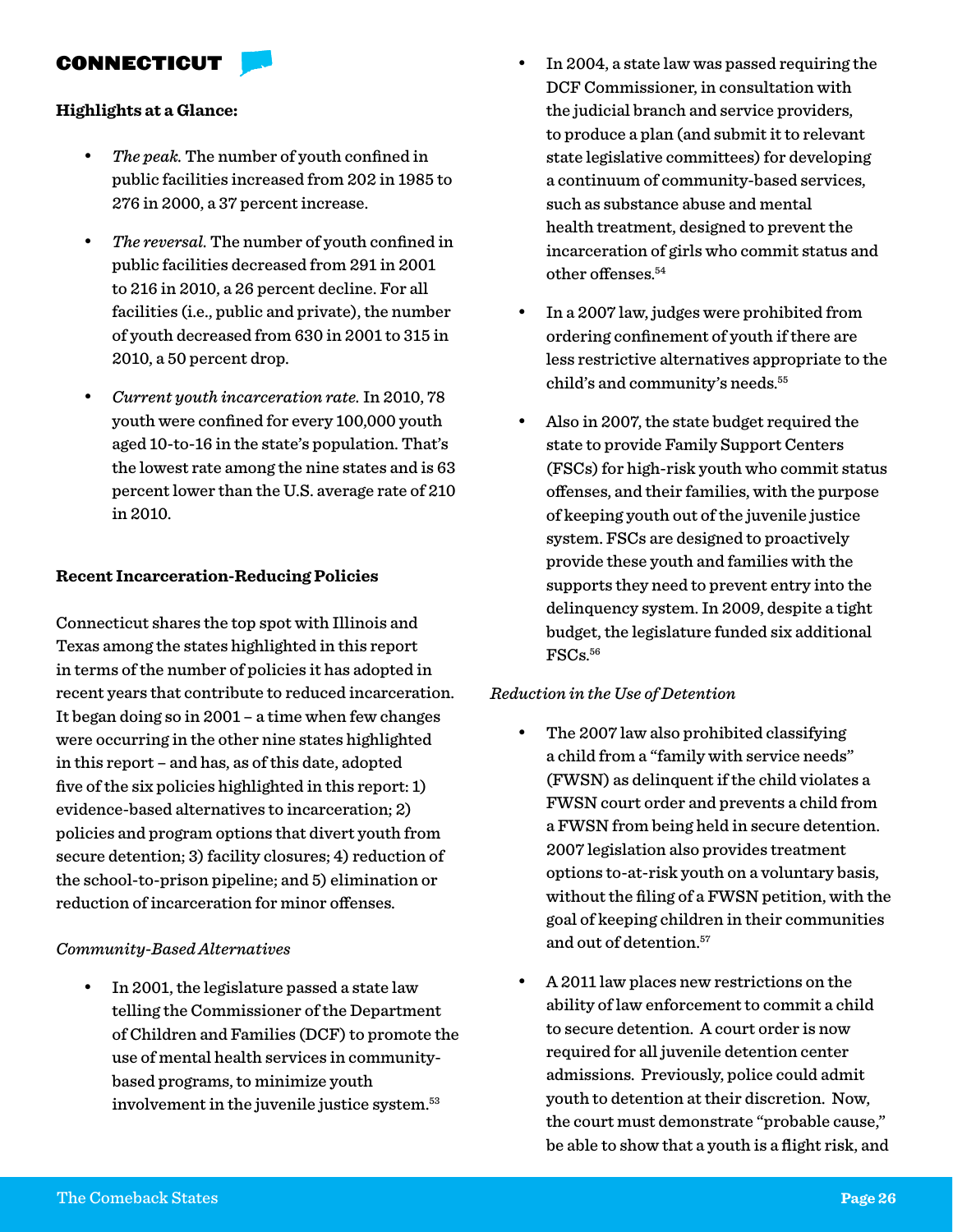#### CONNECTICUT

#### **Highlights at a Glance:**

- The peak. The number of youth confined in public facilities increased from 202 in 1985 to 276 in 2000, a 37 percent increase.
- • *The reversal.* The number of youth confined in public facilities decreased from 291 in 2001 to 216 in 2010, a 26 percent decline. For all facilities (i.e., public and private), the number of youth decreased from 630 in 2001 to 315 in 2010, a 50 percent drop.
- • *Current youth incarceration rate.* In 2010, 78 youth were confined for every 100,000 youth aged 10-to-16 in the state's population. That's the lowest rate among the nine states and is 63 percent lower than the U.S. average rate of 210 in 2010.

#### **Recent Incarceration-Reducing Policies**

Connecticut shares the top spot with Illinois and Texas among the states highlighted in this report in terms of the number of policies it has adopted in recent years that contribute to reduced incarceration. It began doing so in 2001 – a time when few changes were occurring in the other nine states highlighted in this report – and has, as of this date, adopted five of the six policies highlighted in this report: 1) evidence-based alternatives to incarceration; 2) policies and program options that divert youth from secure detention; 3) facility closures; 4) reduction of the school-to-prison pipeline; and 5) elimination or reduction of incarceration for minor offenses.

#### *Community-Based Alternatives*

In 2001, the legislature passed a state law telling the Commissioner of the Department of Children and Families (DCF) to promote the use of mental health services in communitybased programs, to minimize youth involvement in the juvenile justice system.<sup>53</sup>

- In 2004, a state law was passed requiring the DCF Commissioner, in consultation with the judicial branch and service providers, to produce a plan (and submit it to relevant state legislative committees) for developing a continuum of community-based services, such as substance abuse and mental health treatment, designed to prevent the incarceration of girls who commit status and other offenses.<sup>54</sup>
- In a 2007 law, judges were prohibited from ordering confinement of youth if there are less restrictive alternatives appropriate to the child's and community's needs.<sup>55</sup>
- Also in 2007, the state budget required the state to provide Family Support Centers (FSCs) for high-risk youth who commit status offenses, and their families, with the purpose of keeping youth out of the juvenile justice system. FSCs are designed to proactively provide these youth and families with the supports they need to prevent entry into the delinquency system. In 2009, despite a tight budget, the legislature funded six additional FSCs.56

#### *Reduction in the Use of Detention*

- The 2007 law also prohibited classifying a child from a "family with service needs" (FWSN) as delinquent if the child violates a FWSN court order and prevents a child from a FWSN from being held in secure detention. 2007 legislation also provides treatment options to-at-risk youth on a voluntary basis, without the filing of a FWSN petition, with the goal of keeping children in their communities and out of detention.<sup>57</sup>
- A 2011 law places new restrictions on the ability of law enforcement to commit a child to secure detention. A court order is now required for all juvenile detention center admissions. Previously, police could admit youth to detention at their discretion. Now, the court must demonstrate "probable cause," be able to show that a youth is a flight risk, and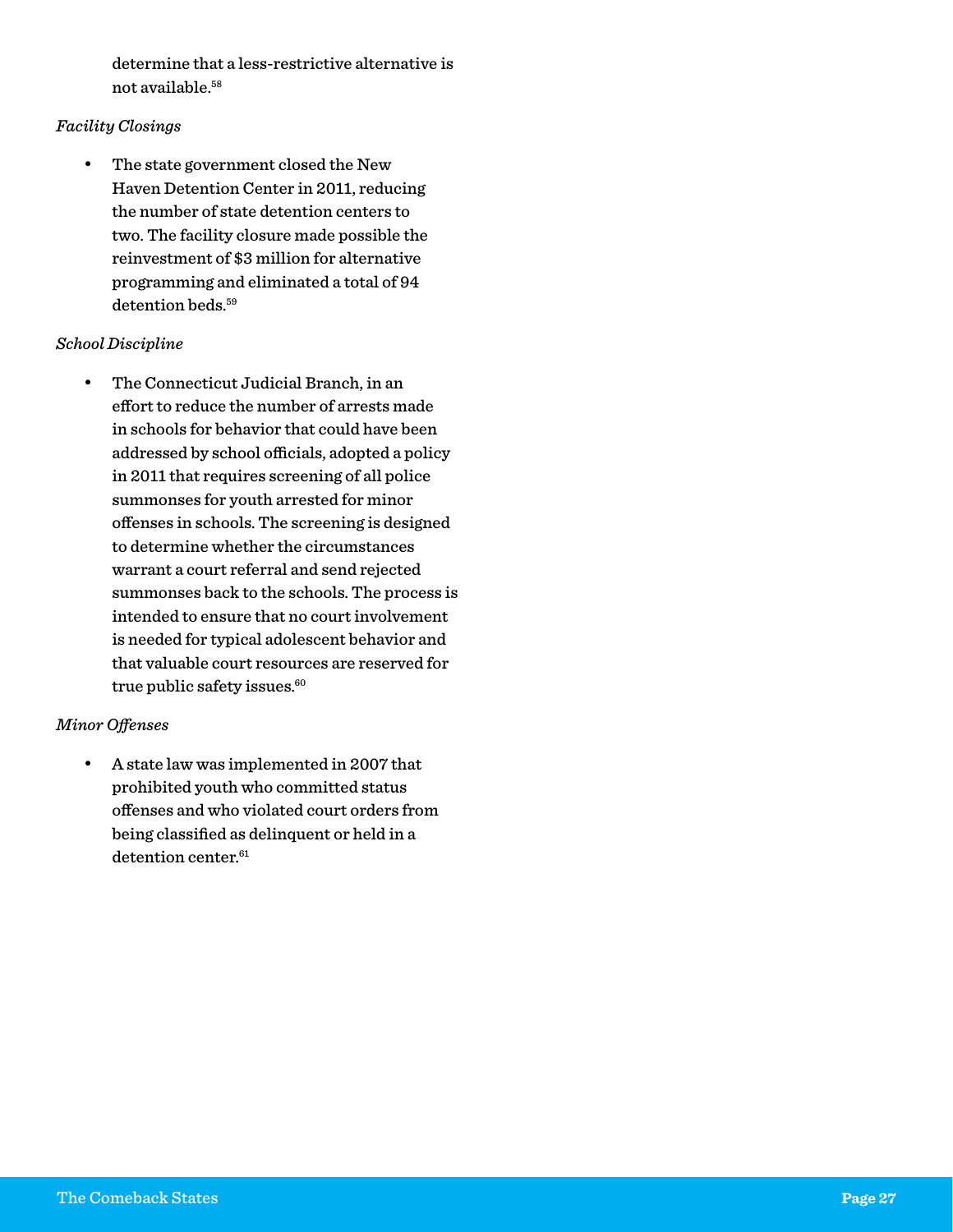determine that a less-restrictive alternative is not available.58

#### *Facility Closings*

• The state government closed the New Haven Detention Center in 2011, reducing the number of state detention centers to two. The facility closure made possible the reinvestment of \$3 million for alternative programming and eliminated a total of 94 detention beds.<sup>59</sup>

#### *School Discipline*

• The Connecticut Judicial Branch, in an effort to reduce the number of arrests made in schools for behavior that could have been addressed by school officials, adopted a policy in 2011 that requires screening of all police summonses for youth arrested for minor offenses in schools. The screening is designed to determine whether the circumstances warrant a court referral and send rejected summonses back to the schools. The process is intended to ensure that no court involvement is needed for typical adolescent behavior and that valuable court resources are reserved for true public safety issues.<sup>60</sup>

#### *Minor Offenses*

A state law was implemented in 2007 that prohibited youth who committed status offenses and who violated court orders from being classified as delinquent or held in a detention center.<sup>61</sup>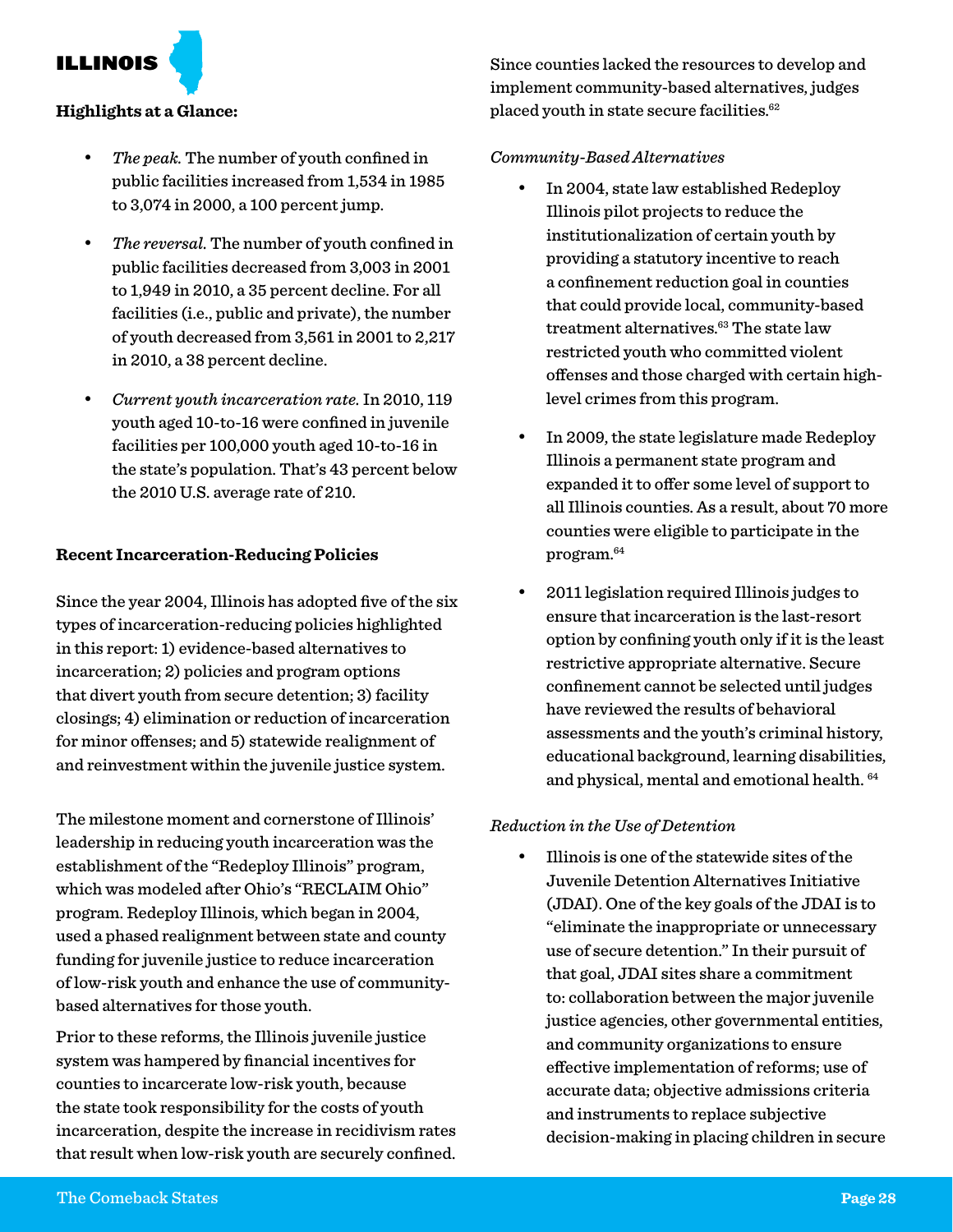ILLINOIS

#### **Highlights at a Glance:**

- The peak. The number of youth confined in public facilities increased from 1,534 in 1985 to 3,074 in 2000, a 100 percent jump.
- The reversal. The number of youth confined in public facilities decreased from 3,003 in 2001 to 1,949 in 2010, a 35 percent decline. For all facilities (i.e., public and private), the number of youth decreased from 3,561 in 2001 to 2,217 in 2010, a 38 percent decline.
- • *Current youth incarceration rate.* In 2010, 119 youth aged 10-to-16 were confined in juvenile facilities per 100,000 youth aged 10-to-16 in the state's population. That's 43 percent below the 2010 U.S. average rate of 210.

#### **Recent Incarceration-Reducing Policies**

Since the year 2004, Illinois has adopted five of the six types of incarceration-reducing policies highlighted in this report: 1) evidence-based alternatives to incarceration; 2) policies and program options that divert youth from secure detention; 3) facility closings; 4) elimination or reduction of incarceration for minor offenses; and 5) statewide realignment of and reinvestment within the juvenile justice system.

The milestone moment and cornerstone of Illinois' leadership in reducing youth incarceration was the establishment of the "Redeploy Illinois" program, which was modeled after Ohio's "RECLAIM Ohio" program. Redeploy Illinois, which began in 2004, used a phased realignment between state and county funding for juvenile justice to reduce incarceration of low-risk youth and enhance the use of communitybased alternatives for those youth.

Prior to these reforms, the Illinois juvenile justice system was hampered by financial incentives for counties to incarcerate low-risk youth, because the state took responsibility for the costs of youth incarceration, despite the increase in recidivism rates that result when low-risk youth are securely confined. Since counties lacked the resources to develop and implement community-based alternatives, judges placed youth in state secure facilities.<sup>62</sup>

#### *Community-Based Alternatives*

- In 2004, state law established Redeploy Illinois pilot projects to reduce the institutionalization of certain youth by providing a statutory incentive to reach a confinement reduction goal in counties that could provide local, community-based treatment alternatives.<sup>63</sup> The state law restricted youth who committed violent offenses and those charged with certain highlevel crimes from this program.
- In 2009, the state legislature made Redeploy Illinois a permanent state program and expanded it to offer some level of support to all Illinois counties. As a result, about 70 more counties were eligible to participate in the program.64
- 2011 legislation required Illinois judges to ensure that incarceration is the last-resort option by confining youth only if it is the least restrictive appropriate alternative. Secure confinement cannot be selected until judges have reviewed the results of behavioral assessments and the youth's criminal history, educational background, learning disabilities, and physical, mental and emotional health. 64

#### *Reduction in the Use of Detention*

Illinois is one of the statewide sites of the Juvenile Detention Alternatives Initiative (JDAI). One of the key goals of the JDAI is to "eliminate the inappropriate or unnecessary use of secure detention." In their pursuit of that goal, JDAI sites share a commitment to: collaboration between the major juvenile justice agencies, other governmental entities, and community organizations to ensure effective implementation of reforms; use of accurate data; objective admissions criteria and instruments to replace subjective decision-making in placing children in secure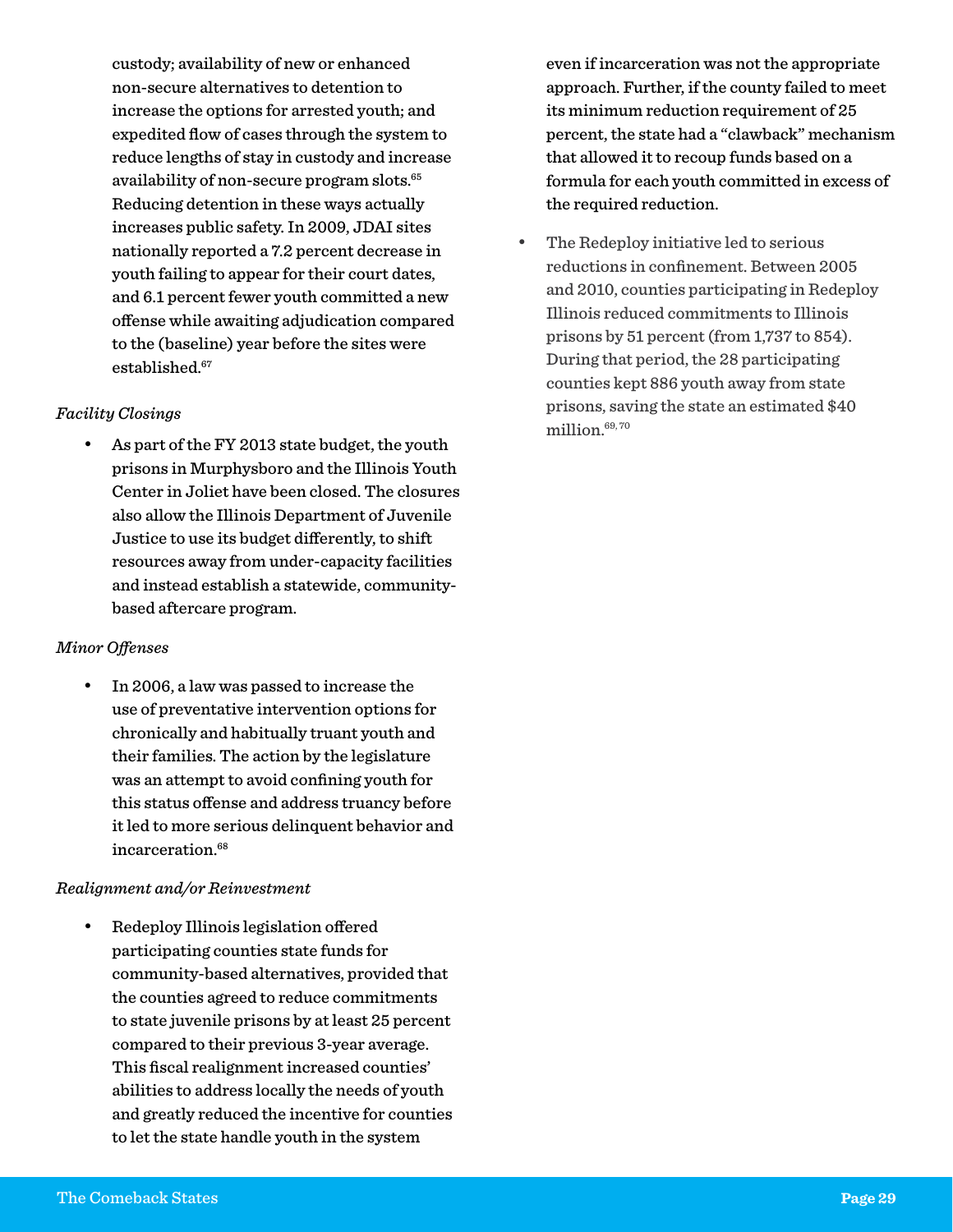custody; availability of new or enhanced non-secure alternatives to detention to increase the options for arrested youth; and expedited flow of cases through the system to reduce lengths of stay in custody and increase availability of non-secure program slots.<sup>65</sup> Reducing detention in these ways actually increases public safety. In 2009, JDAI sites nationally reported a 7.2 percent decrease in youth failing to appear for their court dates, and 6.1 percent fewer youth committed a new offense while awaiting adjudication compared to the (baseline) year before the sites were established.<sup>67</sup>

#### *Facility Closings*

As part of the FY 2013 state budget, the youth prisons in Murphysboro and the Illinois Youth Center in Joliet have been closed. The closures also allow the Illinois Department of Juvenile Justice to use its budget differently, to shift resources away from under-capacity facilities and instead establish a statewide, communitybased aftercare program.

#### *Minor Offenses*

In 2006, a law was passed to increase the use of preventative intervention options for chronically and habitually truant youth and their families. The action by the legislature was an attempt to avoid confining youth for this status offense and address truancy before it led to more serious delinquent behavior and incarceration.<sup>68</sup>

#### *Realignment and/or Reinvestment*

Redeploy Illinois legislation offered participating counties state funds for community-based alternatives, provided that the counties agreed to reduce commitments to state juvenile prisons by at least 25 percent compared to their previous 3-year average. This fiscal realignment increased counties' abilities to address locally the needs of youth and greatly reduced the incentive for counties to let the state handle youth in the system

even if incarceration was not the appropriate approach. Further, if the county failed to meet its minimum reduction requirement of 25 percent, the state had a "clawback" mechanism that allowed it to recoup funds based on a formula for each youth committed in excess of the required reduction.

The Redeploy initiative led to serious reductions in confinement. Between 2005 and 2010, counties participating in Redeploy Illinois reduced commitments to Illinois prisons by 51 percent (from 1,737 to 854). During that period, the 28 participating counties kept 886 youth away from state prisons, saving the state an estimated \$40 million.69, 70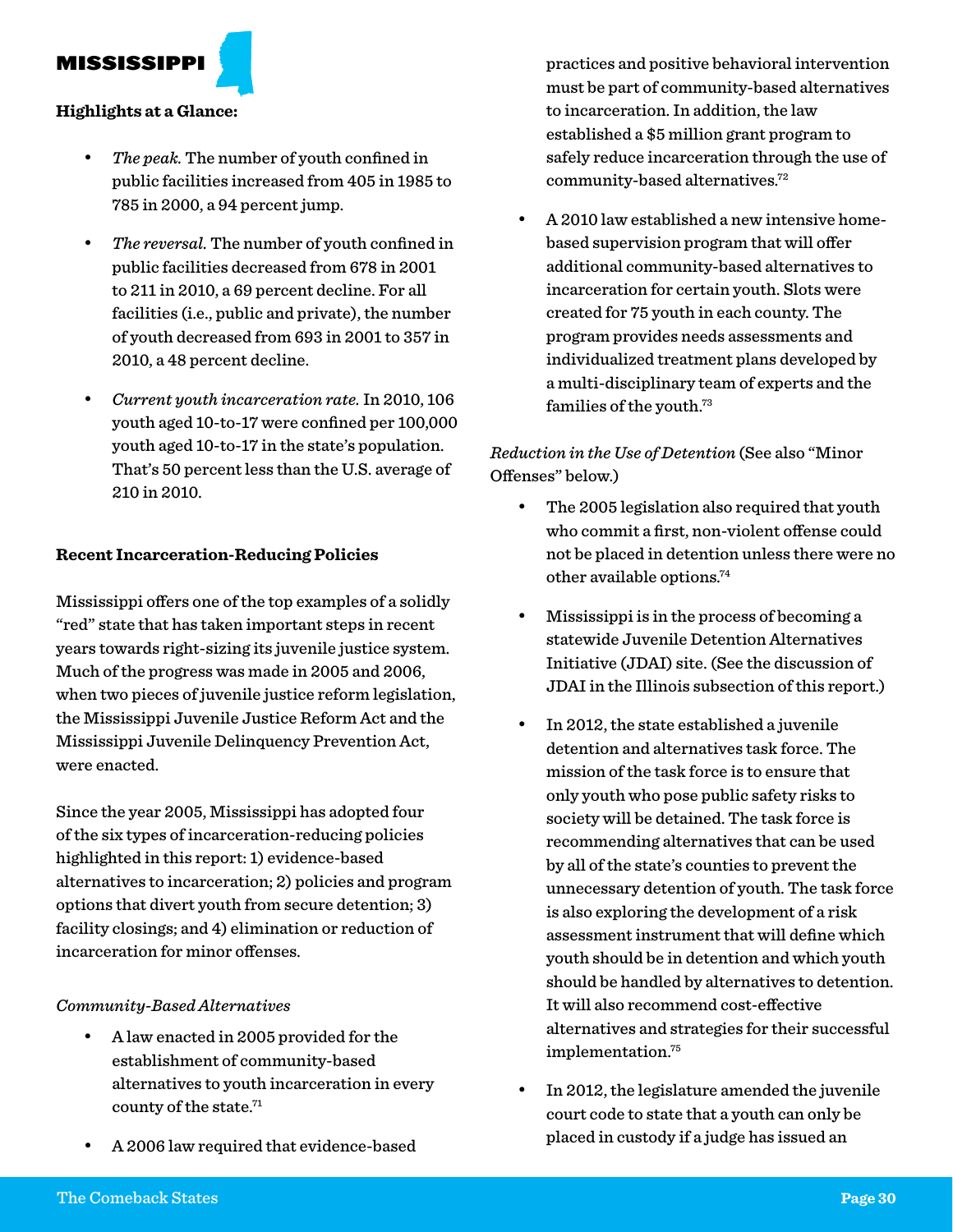MISSISSIPPI

#### **Highlights at a Glance:**

- The peak. The number of youth confined in public facilities increased from 405 in 1985 to 785 in 2000, a 94 percent jump.
- The reversal. The number of youth confined in public facilities decreased from 678 in 2001 to 211 in 2010, a 69 percent decline. For all facilities (i.e., public and private), the number of youth decreased from 693 in 2001 to 357 in 2010, a 48 percent decline.
- • *Current youth incarceration rate.* In 2010, 106 youth aged 10-to-17 were confined per 100,000 youth aged 10-to-17 in the state's population. That's 50 percent less than the U.S. average of 210 in 2010.

#### **Recent Incarceration-Reducing Policies**

Mississippi offers one of the top examples of a solidly "red" state that has taken important steps in recent years towards right-sizing its juvenile justice system. Much of the progress was made in 2005 and 2006, when two pieces of juvenile justice reform legislation, the Mississippi Juvenile Justice Reform Act and the Mississippi Juvenile Delinquency Prevention Act, were enacted.

Since the year 2005, Mississippi has adopted four of the six types of incarceration-reducing policies highlighted in this report: 1) evidence-based alternatives to incarceration; 2) policies and program options that divert youth from secure detention; 3) facility closings; and 4) elimination or reduction of incarceration for minor offenses.

#### *Community-Based Alternatives*

- A law enacted in 2005 provided for the establishment of community-based alternatives to youth incarceration in every county of the state.71
- A 2006 law required that evidence-based

practices and positive behavioral intervention must be part of community-based alternatives to incarceration. In addition, the law established a \$5 million grant program to safely reduce incarceration through the use of community-based alternatives.72

• A 2010 law established a new intensive homebased supervision program that will offer additional community-based alternatives to incarceration for certain youth. Slots were created for 75 youth in each county. The program provides needs assessments and individualized treatment plans developed by a multi-disciplinary team of experts and the families of the youth.<sup>73</sup>

*Reduction in the Use of Detention* (See also "Minor Offenses" below.)

- The 2005 legislation also required that youth who commit a first, non-violent offense could not be placed in detention unless there were no other available options.74
- Mississippi is in the process of becoming a statewide Juvenile Detention Alternatives Initiative (JDAI) site. (See the discussion of JDAI in the Illinois subsection of this report.)
- In 2012, the state established a juvenile detention and alternatives task force. The mission of the task force is to ensure that only youth who pose public safety risks to society will be detained. The task force is recommending alternatives that can be used by all of the state's counties to prevent the unnecessary detention of youth. The task force is also exploring the development of a risk assessment instrument that will define which youth should be in detention and which youth should be handled by alternatives to detention. It will also recommend cost-effective alternatives and strategies for their successful implementation.75
- In 2012, the legislature amended the juvenile court code to state that a youth can only be placed in custody if a judge has issued an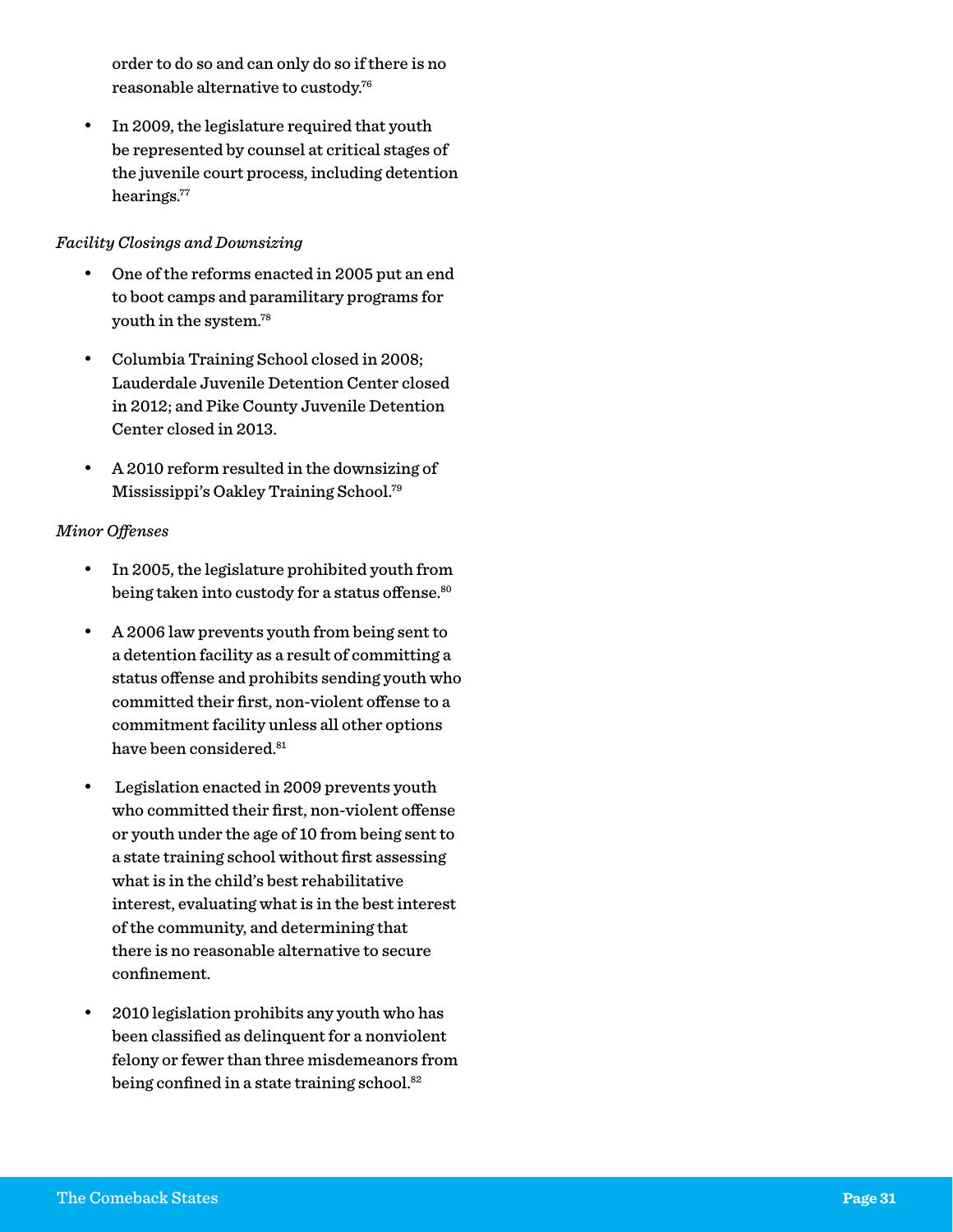order to do so and can only do so if there is no reasonable alternative to custody.76

• In 2009, the legislature required that youth be represented by counsel at critical stages of the juvenile court process, including detention hearings.<sup>77</sup>

#### *Facility Closings and Downsizing*

- One of the reforms enacted in 2005 put an end to boot camps and paramilitary programs for youth in the system.78
- • Columbia Training School closed in 2008; Lauderdale Juvenile Detention Center closed in 2012; and Pike County Juvenile Detention Center closed in 2013.
- • A 2010 reform resulted in the downsizing of Mississippi's Oakley Training School.79

#### *Minor Offenses*

- • In 2005, the legislature prohibited youth from being taken into custody for a status offense.<sup>80</sup>
- • A 2006 law prevents youth from being sent to a detention facility as a result of committing a status offense and prohibits sending youth who committed their first, non-violent offense to a commitment facility unless all other options have been considered.<sup>81</sup>
- Legislation enacted in 2009 prevents youth who committed their first, non-violent offense or youth under the age of 10 from being sent to a state training school without first assessing what is in the child's best rehabilitative interest, evaluating what is in the best interest of the community, and determining that there is no reasonable alternative to secure confinement.
- • 2010 legislation prohibits any youth who has been classified as delinquent for a nonviolent felony or fewer than three misdemeanors from being confined in a state training school.<sup>82</sup>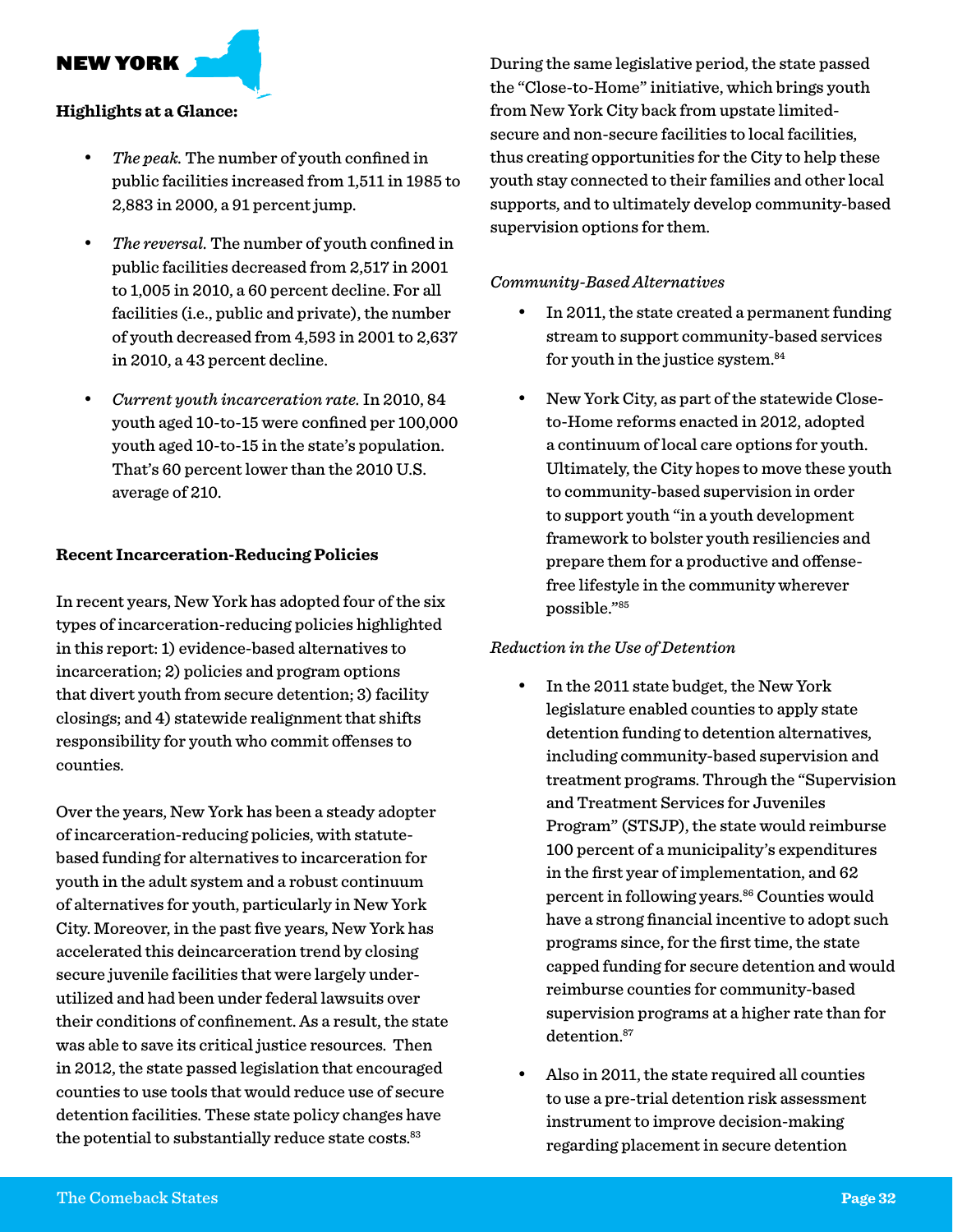NEW YORK

#### **Highlights at a Glance:**

- The peak. The number of youth confined in public facilities increased from 1,511 in 1985 to 2,883 in 2000, a 91 percent jump.
- The reversal. The number of youth confined in public facilities decreased from 2,517 in 2001 to 1,005 in 2010, a 60 percent decline. For all facilities (i.e., public and private), the number of youth decreased from 4,593 in 2001 to 2,637 in 2010, a 43 percent decline.
- • *Current youth incarceration rate.* In 2010, 84 youth aged 10-to-15 were confined per 100,000 youth aged 10-to-15 in the state's population. That's 60 percent lower than the 2010 U.S. average of 210.

#### **Recent Incarceration-Reducing Policies**

In recent years, New York has adopted four of the six types of incarceration-reducing policies highlighted in this report: 1) evidence-based alternatives to incarceration; 2) policies and program options that divert youth from secure detention; 3) facility closings; and 4) statewide realignment that shifts responsibility for youth who commit offenses to counties.

Over the years, New York has been a steady adopter of incarceration-reducing policies, with statutebased funding for alternatives to incarceration for youth in the adult system and a robust continuum of alternatives for youth, particularly in New York City. Moreover, in the past five years, New York has accelerated this deincarceration trend by closing secure juvenile facilities that were largely underutilized and had been under federal lawsuits over their conditions of confinement. As a result, the state was able to save its critical justice resources. Then in 2012, the state passed legislation that encouraged counties to use tools that would reduce use of secure detention facilities. These state policy changes have the potential to substantially reduce state costs.<sup>83</sup>

During the same legislative period, the state passed the "Close-to-Home" initiative, which brings youth from New York City back from upstate limitedsecure and non-secure facilities to local facilities, thus creating opportunities for the City to help these youth stay connected to their families and other local supports, and to ultimately develop community-based supervision options for them.

#### *Community-Based Alternatives*

- In 2011, the state created a permanent funding stream to support community-based services for youth in the justice system.84
- New York City, as part of the statewide Closeto-Home reforms enacted in 2012, adopted a continuum of local care options for youth. Ultimately, the City hopes to move these youth to community-based supervision in order to support youth "in a youth development framework to bolster youth resiliencies and prepare them for a productive and offensefree lifestyle in the community wherever possible."85

#### *Reduction in the Use of Detention*

- In the 2011 state budget, the New York legislature enabled counties to apply state detention funding to detention alternatives, including community-based supervision and treatment programs. Through the "Supervision and Treatment Services for Juveniles Program" (STSJP), the state would reimburse 100 percent of a municipality's expenditures in the first year of implementation, and 62 percent in following years.<sup>86</sup> Counties would have a strong financial incentive to adopt such programs since, for the first time, the state capped funding for secure detention and would reimburse counties for community-based supervision programs at a higher rate than for detention.<sup>87</sup>
- Also in 2011, the state required all counties to use a pre-trial detention risk assessment instrument to improve decision-making regarding placement in secure detention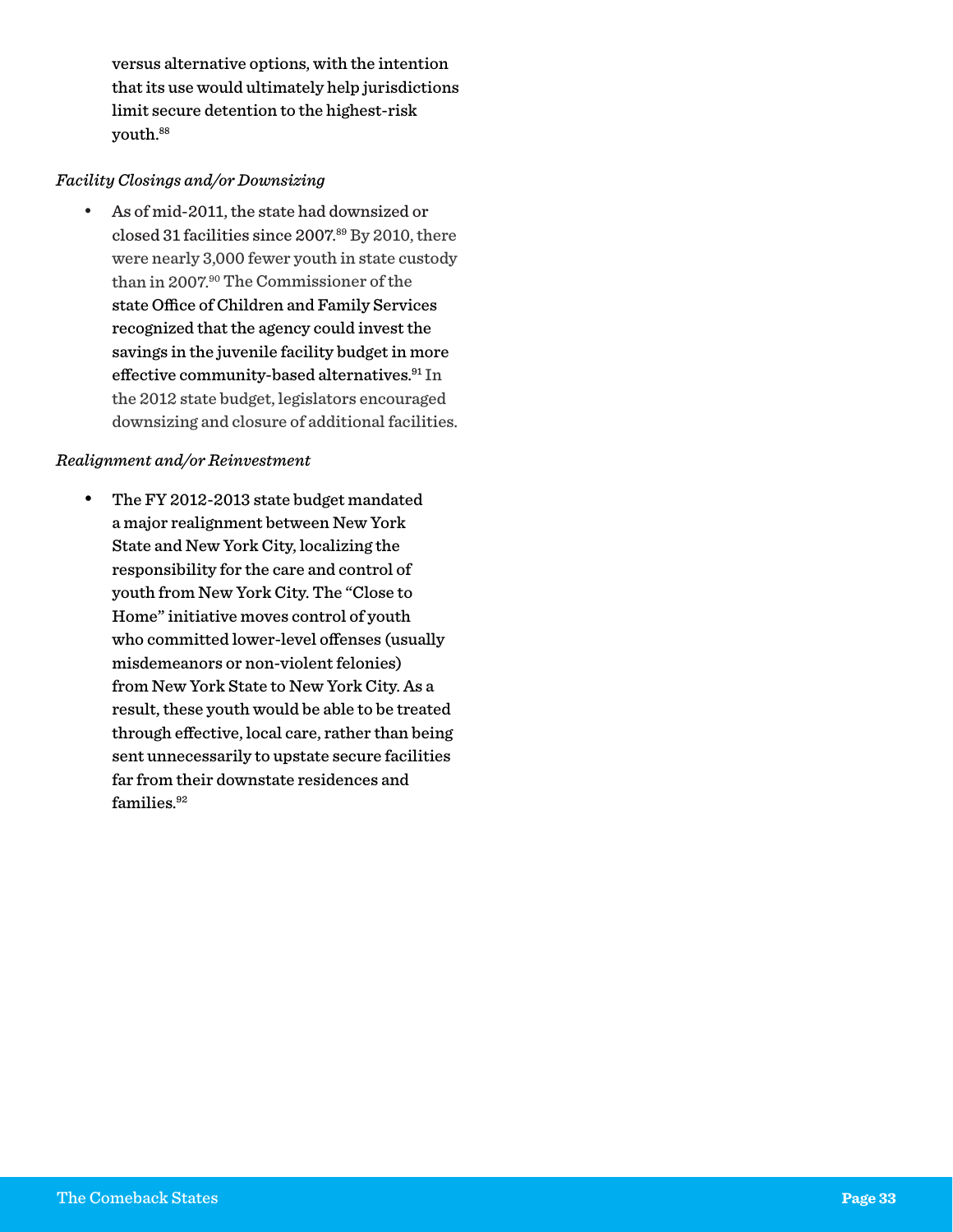versus alternative options, with the intention that its use would ultimately help jurisdictions limit secure detention to the highest-risk youth.88

#### *Facility Closings and/or Downsizing*

As of mid-2011, the state had downsized or closed 31 facilities since 2007.89 By 2010, there were nearly 3,000 fewer youth in state custody than in 2007.90 The Commissioner of the state Office of Children and Family Services recognized that the agency could invest the savings in the juvenile facility budget in more effective community-based alternatives.<sup>91</sup> In the 2012 state budget, legislators encouraged downsizing and closure of additional facilities.

#### *Realignment and/or Reinvestment*

• The FY 2012-2013 state budget mandated a major realignment between New York State and New York City, localizing the responsibility for the care and control of youth from New York City. The "Close to Home" initiative moves control of youth who committed lower-level offenses (usually misdemeanors or non-violent felonies) from New York State to New York City. As a result, these youth would be able to be treated through effective, local care, rather than being sent unnecessarily to upstate secure facilities far from their downstate residences and families.<sup>92</sup>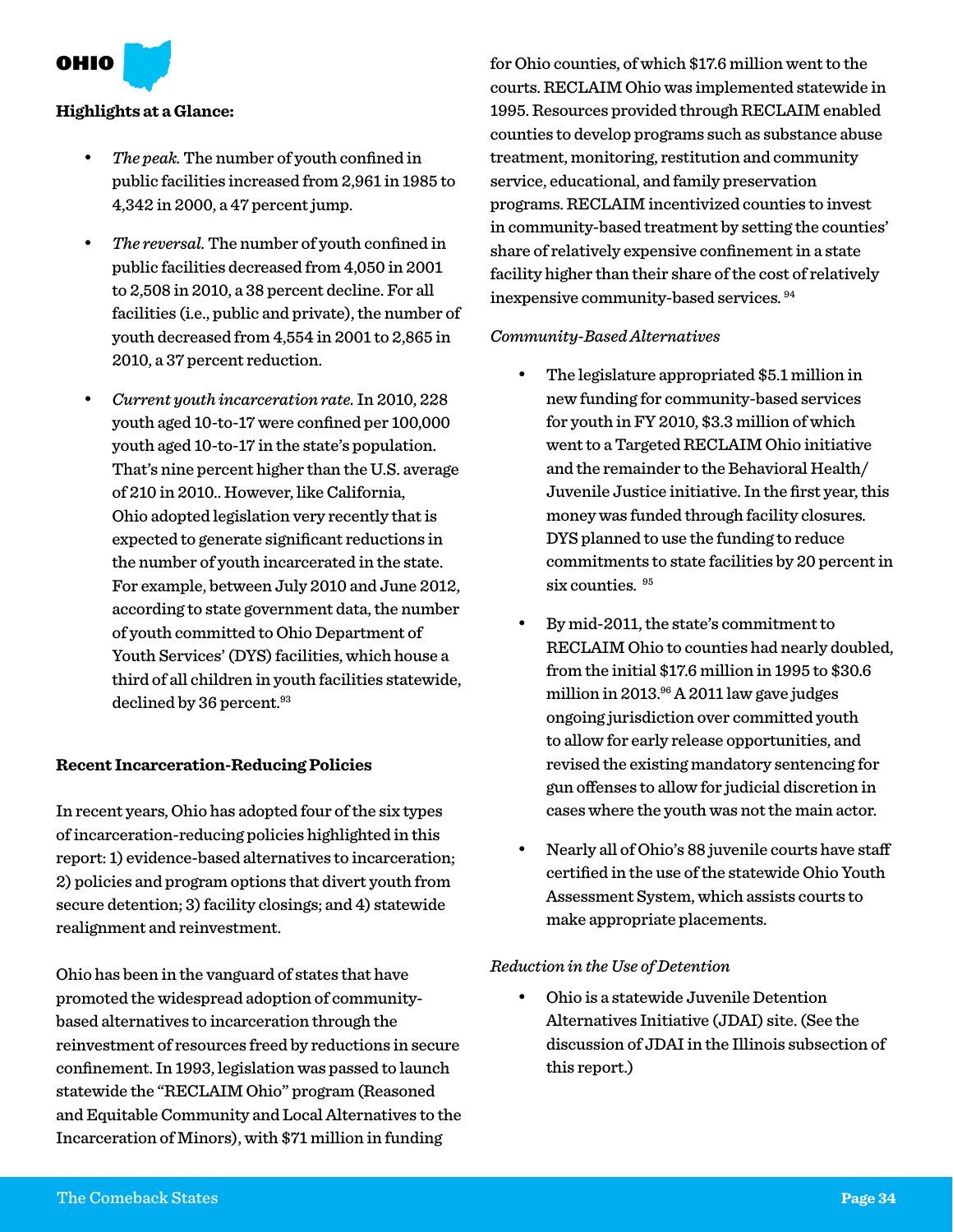OHIO

#### **Highlights at a Glance:**

- The peak. The number of youth confined in public facilities increased from 2,961 in 1985 to 4,342 in 2000, a 47 percent jump.
- The reversal. The number of youth confined in public facilities decreased from 4,050 in 2001 to 2,508 in 2010, a 38 percent decline. For all facilities (i.e., public and private), the number of youth decreased from 4,554 in 2001 to 2,865 in 2010, a 37 percent reduction.
- • *Current youth incarceration rate.* In 2010, 228 youth aged 10-to-17 were confined per 100,000 youth aged 10-to-17 in the state's population. That's nine percent higher than the U.S. average of 210 in 2010.. However, like California, Ohio adopted legislation very recently that is expected to generate significant reductions in the number of youth incarcerated in the state. For example, between July 2010 and June 2012, according to state government data, the number of youth committed to Ohio Department of Youth Services' (DYS) facilities, which house a third of all children in youth facilities statewide, declined by 36 percent.<sup>93</sup>

#### **Recent Incarceration-Reducing Policies**

In recent years, Ohio has adopted four of the six types of incarceration-reducing policies highlighted in this report: 1) evidence-based alternatives to incarceration; 2) policies and program options that divert youth from secure detention; 3) facility closings; and 4) statewide realignment and reinvestment.

Ohio has been in the vanguard of states that have promoted the widespread adoption of communitybased alternatives to incarceration through the reinvestment of resources freed by reductions in secure confinement. In 1993, legislation was passed to launch statewide the "RECLAIM Ohio" program (Reasoned and Equitable Community and Local Alternatives to the Incarceration of Minors), with \$71 million in funding

for Ohio counties, of which \$17.6 million went to the courts. RECLAIM Ohio was implemented statewide in 1995. Resources provided through RECLAIM enabled counties to develop programs such as substance abuse treatment, monitoring, restitution and community service, educational, and family preservation programs. RECLAIM incentivized counties to invest in community-based treatment by setting the counties' share of relatively expensive confinement in a state facility higher than their share of the cost of relatively inexpensive community-based services. 94

#### *Community-Based Alternatives*

- The legislature appropriated \$5.1 million in new funding for community-based services for youth in FY 2010, \$3.3 million of which went to a Targeted RECLAIM Ohio initiative and the remainder to the Behavioral Health/ Juvenile Justice initiative. In the first year, this money was funded through facility closures. DYS planned to use the funding to reduce commitments to state facilities by 20 percent in six counties. <sup>95</sup>
- By mid-2011, the state's commitment to RECLAIM Ohio to counties had nearly doubled, from the initial \$17.6 million in 1995 to \$30.6 million in 2013.96 A 2011 law gave judges ongoing jurisdiction over committed youth to allow for early release opportunities, and revised the existing mandatory sentencing for gun offenses to allow for judicial discretion in cases where the youth was not the main actor.
- Nearly all of Ohio's 88 juvenile courts have staff certified in the use of the statewide Ohio Youth Assessment System, which assists courts to make appropriate placements.

#### *Reduction in the Use of Detention*

Ohio is a statewide Juvenile Detention Alternatives Initiative (JDAI) site. (See the discussion of JDAI in the Illinois subsection of this report.)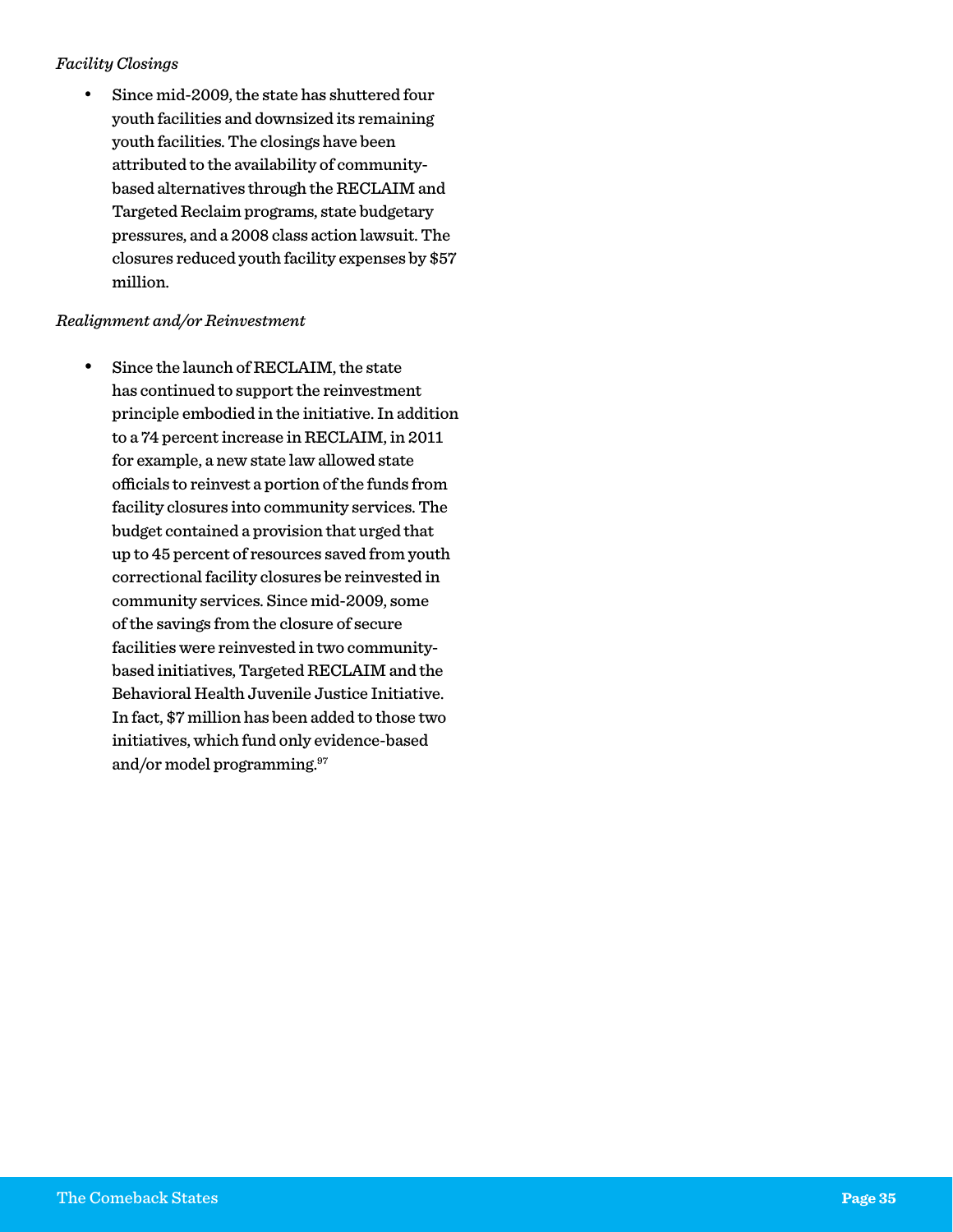#### *Facility Closings*

Since mid-2009, the state has shuttered four youth facilities and downsized its remaining youth facilities. The closings have been attributed to the availability of communitybased alternatives through the RECLAIM and Targeted Reclaim programs, state budgetary pressures, and a 2008 class action lawsuit. The closures reduced youth facility expenses by \$57 million.

#### *Realignment and/or Reinvestment*

Since the launch of RECLAIM, the state has continued to support the reinvestment principle embodied in the initiative. In addition to a 74 percent increase in RECLAIM, in 2011 for example, a new state law allowed state officials to reinvest a portion of the funds from facility closures into community services. The budget contained a provision that urged that up to 45 percent of resources saved from youth correctional facility closures be reinvested in community services. Since mid-2009, some of the savings from the closure of secure facilities were reinvested in two communitybased initiatives, Targeted RECLAIM and the Behavioral Health Juvenile Justice Initiative. In fact, \$7 million has been added to those two initiatives, which fund only evidence-based and/or model programming.97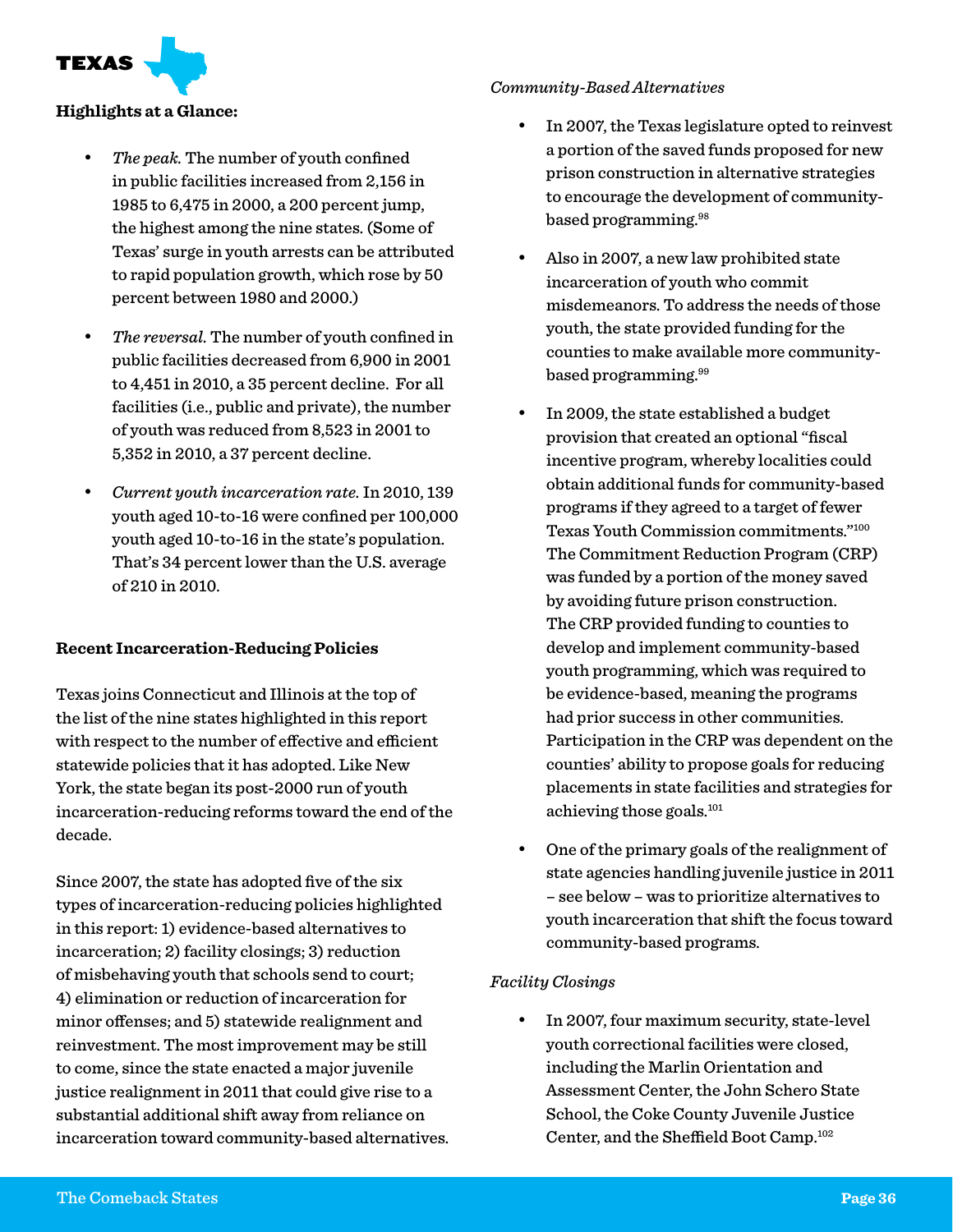TEXAS

#### **Highlights at a Glance:**

- The peak. The number of youth confined in public facilities increased from 2,156 in 1985 to 6,475 in 2000, a 200 percent jump, the highest among the nine states. (Some of Texas' surge in youth arrests can be attributed to rapid population growth, which rose by 50 percent between 1980 and 2000.)
- The reversal. The number of youth confined in public facilities decreased from 6,900 in 2001 to 4,451 in 2010, a 35 percent decline. For all facilities (i.e., public and private), the number of youth was reduced from 8,523 in 2001 to 5,352 in 2010, a 37 percent decline.
- • *Current youth incarceration rate.* In 2010, 139 youth aged 10-to-16 were confined per 100,000 youth aged 10-to-16 in the state's population. That's 34 percent lower than the U.S. average of 210 in 2010.

#### **Recent Incarceration-Reducing Policies**

Texas joins Connecticut and Illinois at the top of the list of the nine states highlighted in this report with respect to the number of effective and efficient statewide policies that it has adopted. Like New York, the state began its post-2000 run of youth incarceration-reducing reforms toward the end of the decade.

Since 2007, the state has adopted five of the six types of incarceration-reducing policies highlighted in this report: 1) evidence-based alternatives to incarceration; 2) facility closings; 3) reduction of misbehaving youth that schools send to court; 4) elimination or reduction of incarceration for minor offenses; and 5) statewide realignment and reinvestment. The most improvement may be still to come, since the state enacted a major juvenile justice realignment in 2011 that could give rise to a substantial additional shift away from reliance on incarceration toward community-based alternatives.

#### *Community-Based Alternatives*

- In 2007, the Texas legislature opted to reinvest a portion of the saved funds proposed for new prison construction in alternative strategies to encourage the development of communitybased programming.98
- Also in 2007, a new law prohibited state incarceration of youth who commit misdemeanors. To address the needs of those youth, the state provided funding for the counties to make available more communitybased programming.99
- In 2009, the state established a budget provision that created an optional "fiscal incentive program, whereby localities could obtain additional funds for community-based programs if they agreed to a target of fewer Texas Youth Commission commitments."100 The Commitment Reduction Program (CRP) was funded by a portion of the money saved by avoiding future prison construction. The CRP provided funding to counties to develop and implement community-based youth programming, which was required to be evidence-based, meaning the programs had prior success in other communities. Participation in the CRP was dependent on the counties' ability to propose goals for reducing placements in state facilities and strategies for achieving those goals.101
- One of the primary goals of the realignment of state agencies handling juvenile justice in 2011 – see below – was to prioritize alternatives to youth incarceration that shift the focus toward community-based programs.

#### *Facility Closings*

In 2007, four maximum security, state-level youth correctional facilities were closed, including the Marlin Orientation and Assessment Center, the John Schero State School, the Coke County Juvenile Justice Center, and the Sheffield Boot Camp.102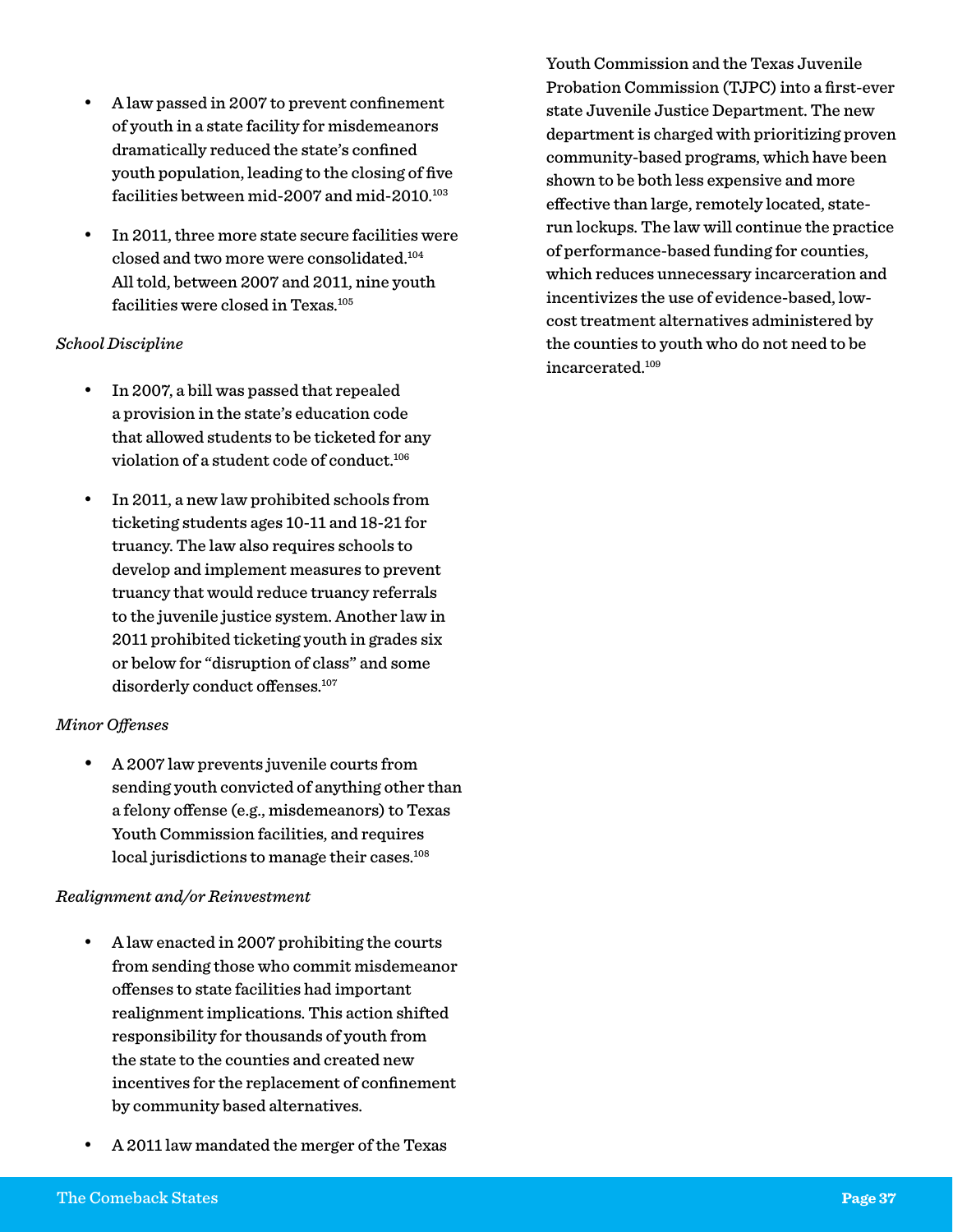- A law passed in 2007 to prevent confinement of youth in a state facility for misdemeanors dramatically reduced the state's confined youth population, leading to the closing of five facilities between mid-2007 and mid-2010.<sup>103</sup>
- In 2011, three more state secure facilities were closed and two more were consolidated.104 All told, between 2007 and 2011, nine youth facilities were closed in Texas.<sup>105</sup>

#### *School Discipline*

- In 2007, a bill was passed that repealed a provision in the state's education code that allowed students to be ticketed for any violation of a student code of conduct.106
- In 2011, a new law prohibited schools from ticketing students ages 10-11 and 18-21 for truancy. The law also requires schools to develop and implement measures to prevent truancy that would reduce truancy referrals to the juvenile justice system. Another law in 2011 prohibited ticketing youth in grades six or below for "disruption of class" and some disorderly conduct offenses.<sup>107</sup>

#### *Minor Offenses*

A 2007 law prevents juvenile courts from sending youth convicted of anything other than a felony offense (e.g., misdemeanors) to Texas Youth Commission facilities, and requires local jurisdictions to manage their cases.<sup>108</sup>

#### *Realignment and/or Reinvestment*

- A law enacted in 2007 prohibiting the courts from sending those who commit misdemeanor offenses to state facilities had important realignment implications. This action shifted responsibility for thousands of youth from the state to the counties and created new incentives for the replacement of confinement by community based alternatives.
- A 2011 law mandated the merger of the Texas

Youth Commission and the Texas Juvenile Probation Commission (TJPC) into a first-ever state Juvenile Justice Department. The new department is charged with prioritizing proven community-based programs, which have been shown to be both less expensive and more effective than large, remotely located, staterun lockups. The law will continue the practice of performance-based funding for counties, which reduces unnecessary incarceration and incentivizes the use of evidence-based, lowcost treatment alternatives administered by the counties to youth who do not need to be incarcerated.109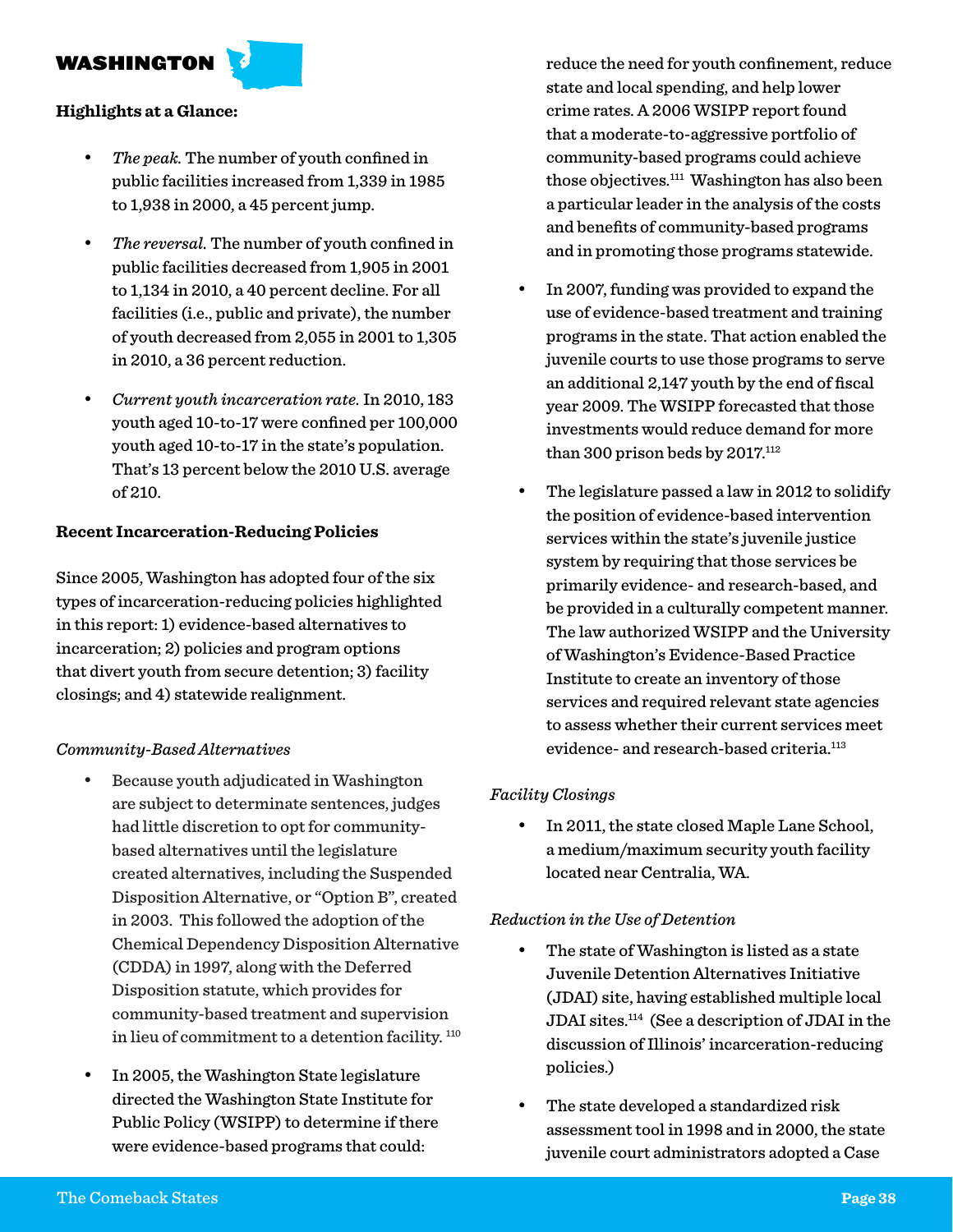#### WASHINGTON

#### **Highlights at a Glance:**

- The peak. The number of youth confined in public facilities increased from 1,339 in 1985 to 1,938 in 2000, a 45 percent jump.
- The reversal. The number of youth confined in public facilities decreased from 1,905 in 2001 to 1,134 in 2010, a 40 percent decline. For all facilities (i.e., public and private), the number of youth decreased from 2,055 in 2001 to 1,305 in 2010, a 36 percent reduction.
- • *Current youth incarceration rate.* In 2010, 183 youth aged 10-to-17 were confined per 100,000 youth aged 10-to-17 in the state's population. That's 13 percent below the 2010 U.S. average of 210.

#### **Recent Incarceration-Reducing Policies**

Since 2005, Washington has adopted four of the six types of incarceration-reducing policies highlighted in this report: 1) evidence-based alternatives to incarceration; 2) policies and program options that divert youth from secure detention; 3) facility closings; and 4) statewide realignment.

#### *Community-Based Alternatives*

- Because youth adjudicated in Washington are subject to determinate sentences, judges had little discretion to opt for communitybased alternatives until the legislature created alternatives, including the Suspended Disposition Alternative, or "Option B", created in 2003. This followed the adoption of the Chemical Dependency Disposition Alternative (CDDA) in 1997, along with the Deferred Disposition statute, which provides for community-based treatment and supervision in lieu of commitment to a detention facility.<sup>110</sup>
- In 2005, the Washington State legislature directed the Washington State Institute for Public Policy (WSIPP) to determine if there were evidence-based programs that could:

reduce the need for youth confinement, reduce state and local spending, and help lower crime rates. A 2006 WSIPP report found that a moderate-to-aggressive portfolio of community-based programs could achieve those objectives.111 Washington has also been a particular leader in the analysis of the costs and benefits of community-based programs and in promoting those programs statewide.

- In 2007, funding was provided to expand the use of evidence-based treatment and training programs in the state. That action enabled the juvenile courts to use those programs to serve an additional 2,147 youth by the end of fiscal year 2009. The WSIPP forecasted that those investments would reduce demand for more than 300 prison beds by  $2017$ .<sup>112</sup>
- The legislature passed a law in 2012 to solidify the position of evidence-based intervention services within the state's juvenile justice system by requiring that those services be primarily evidence- and research-based, and be provided in a culturally competent manner. The law authorized WSIPP and the University of Washington's Evidence-Based Practice Institute to create an inventory of those services and required relevant state agencies to assess whether their current services meet evidence- and research-based criteria.<sup>113</sup>

#### *Facility Closings*

In 2011, the state closed Maple Lane School, a medium/maximum security youth facility located near Centralia, WA.

#### *Reduction in the Use of Detention*

- The state of Washington is listed as a state Juvenile Detention Alternatives Initiative (JDAI) site, having established multiple local JDAI sites.114 (See a description of JDAI in the discussion of Illinois' incarceration-reducing policies.)
- The state developed a standardized risk assessment tool in 1998 and in 2000, the state juvenile court administrators adopted a Case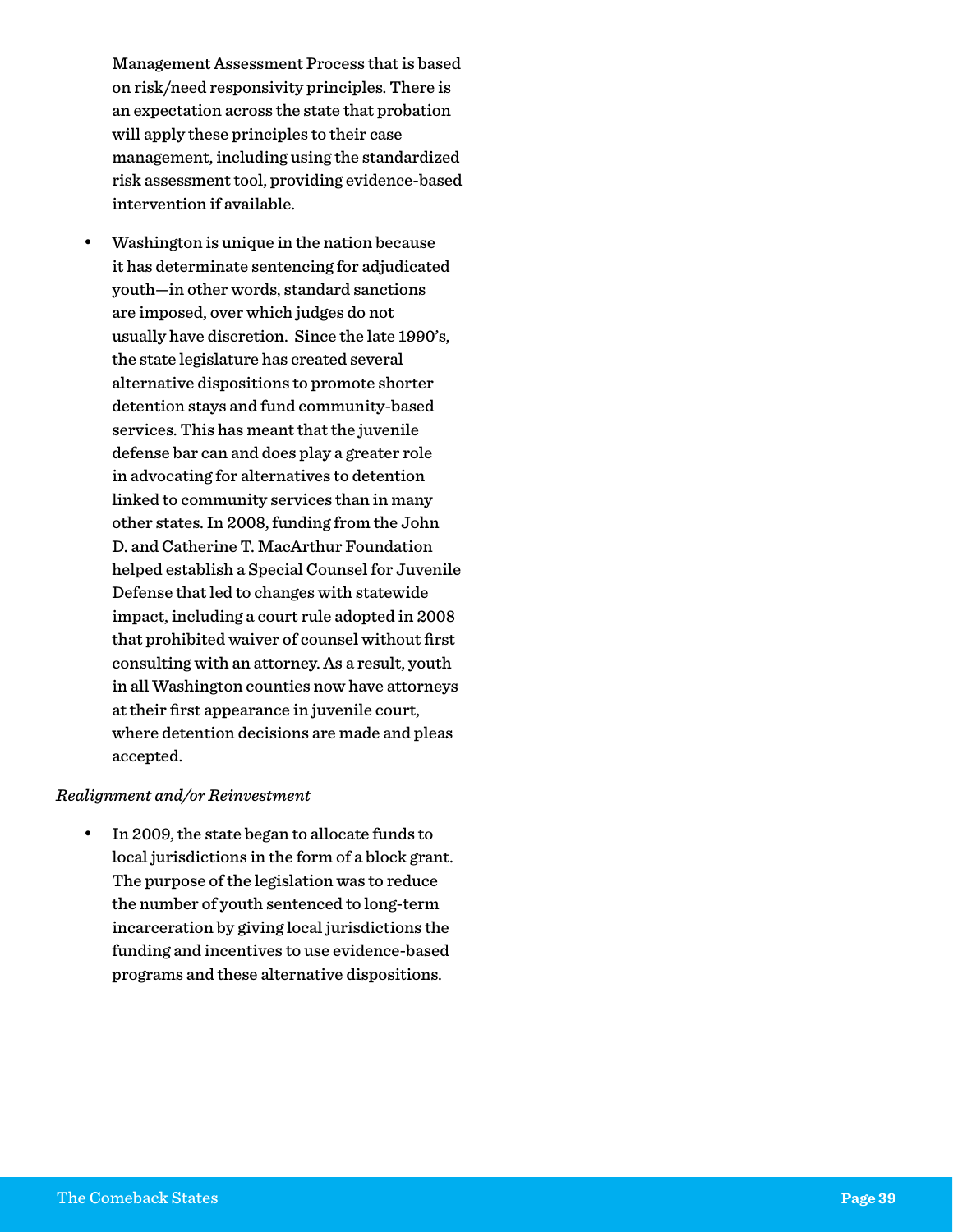Management Assessment Process that is based on risk/need responsivity principles. There is an expectation across the state that probation will apply these principles to their case management, including using the standardized risk assessment tool, providing evidence-based intervention if available.

Washington is unique in the nation because it has determinate sentencing for adjudicated youth—in other words, standard sanctions are imposed, over which judges do not usually have discretion. Since the late 1990's, the state legislature has created several alternative dispositions to promote shorter detention stays and fund community-based services. This has meant that the juvenile defense bar can and does play a greater role in advocating for alternatives to detention linked to community services than in many other states. In 2008, funding from the John D. and Catherine T. MacArthur Foundation helped establish a Special Counsel for Juvenile Defense that led to changes with statewide impact, including a court rule adopted in 2008 that prohibited waiver of counsel without first consulting with an attorney. As a result, youth in all Washington counties now have attorneys at their first appearance in juvenile court, where detention decisions are made and pleas accepted.

#### *Realignment and/or Reinvestment*

In 2009, the state began to allocate funds to local jurisdictions in the form of a block grant. The purpose of the legislation was to reduce the number of youth sentenced to long-term incarceration by giving local jurisdictions the funding and incentives to use evidence-based programs and these alternative dispositions.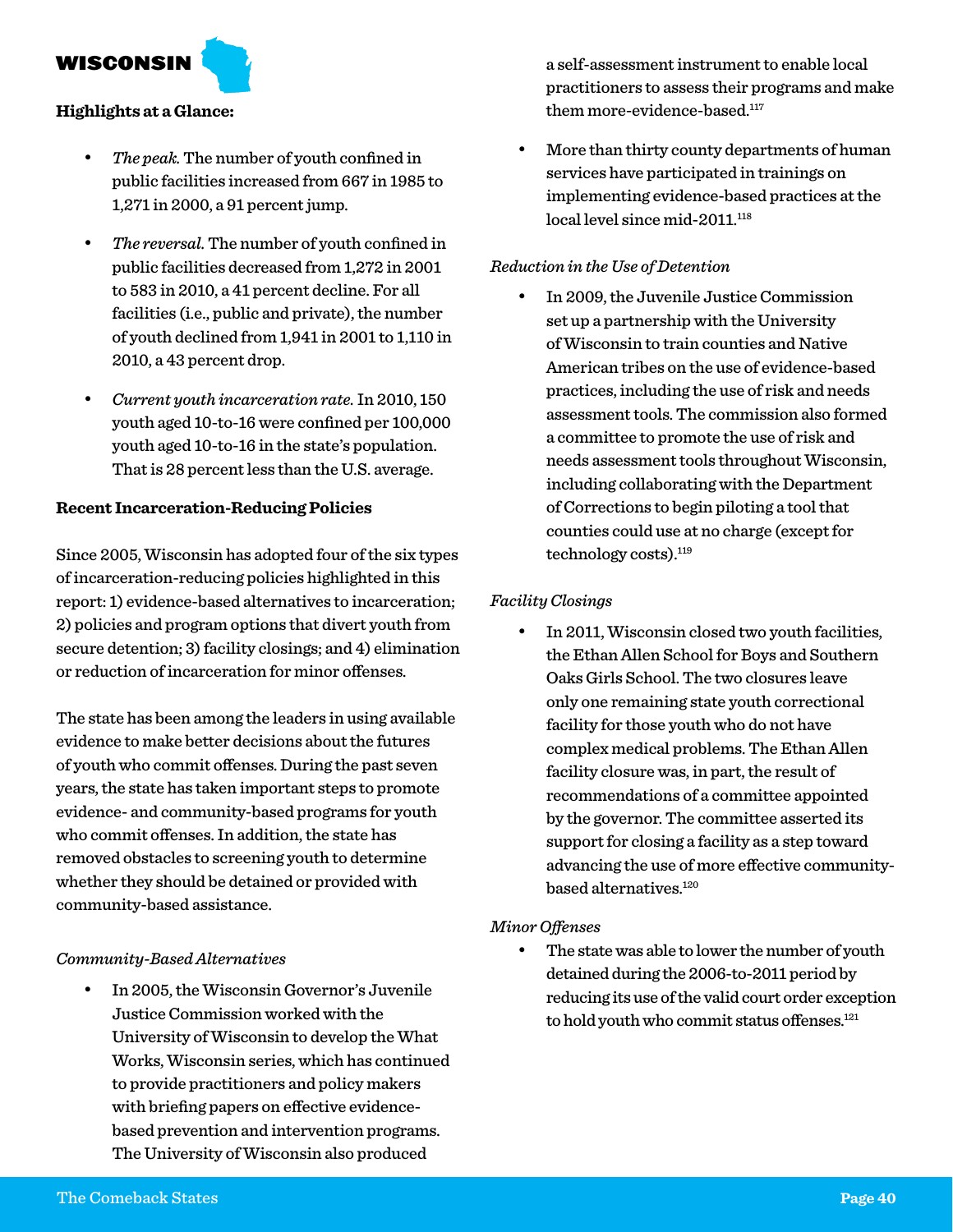WISCONSIN

#### **Highlights at a Glance:**

- The peak. The number of youth confined in public facilities increased from 667 in 1985 to 1,271 in 2000, a 91 percent jump.
- The reversal. The number of youth confined in public facilities decreased from 1,272 in 2001 to 583 in 2010, a 41 percent decline. For all facilities (i.e., public and private), the number of youth declined from 1,941 in 2001 to 1,110 in 2010, a 43 percent drop.
- • *Current youth incarceration rate.* In 2010, 150 youth aged 10-to-16 were confined per 100,000 youth aged 10-to-16 in the state's population. That is 28 percent less than the U.S. average.

#### **Recent Incarceration-Reducing Policies**

Since 2005, Wisconsin has adopted four of the six types of incarceration-reducing policies highlighted in this report: 1) evidence-based alternatives to incarceration; 2) policies and program options that divert youth from secure detention; 3) facility closings; and 4) elimination or reduction of incarceration for minor offenses.

The state has been among the leaders in using available evidence to make better decisions about the futures of youth who commit offenses. During the past seven years, the state has taken important steps to promote evidence- and community-based programs for youth who commit offenses. In addition, the state has removed obstacles to screening youth to determine whether they should be detained or provided with community-based assistance.

#### *Community-Based Alternatives*

In 2005, the Wisconsin Governor's Juvenile Justice Commission worked with the University of Wisconsin to develop the What Works, Wisconsin series, which has continued to provide practitioners and policy makers with briefing papers on effective evidencebased prevention and intervention programs. The University of Wisconsin also produced

a self-assessment instrument to enable local practitioners to assess their programs and make them more-evidence-based.<sup>117</sup>

More than thirty county departments of human services have participated in trainings on implementing evidence-based practices at the local level since mid-2011.<sup>118</sup>

#### *Reduction in the Use of Detention*

In 2009, the Juvenile Justice Commission set up a partnership with the University of Wisconsin to train counties and Native American tribes on the use of evidence-based practices, including the use of risk and needs assessment tools. The commission also formed a committee to promote the use of risk and needs assessment tools throughout Wisconsin, including collaborating with the Department of Corrections to begin piloting a tool that counties could use at no charge (except for technology costs).<sup>119</sup>

#### *Facility Closings*

In 2011, Wisconsin closed two youth facilities, the Ethan Allen School for Boys and Southern Oaks Girls School. The two closures leave only one remaining state youth correctional facility for those youth who do not have complex medical problems. The Ethan Allen facility closure was, in part, the result of recommendations of a committee appointed by the governor. The committee asserted its support for closing a facility as a step toward advancing the use of more effective communitybased alternatives.120

#### *Minor Offenses*

The state was able to lower the number of youth detained during the 2006-to-2011 period by reducing its use of the valid court order exception to hold youth who commit status offenses.<sup>121</sup>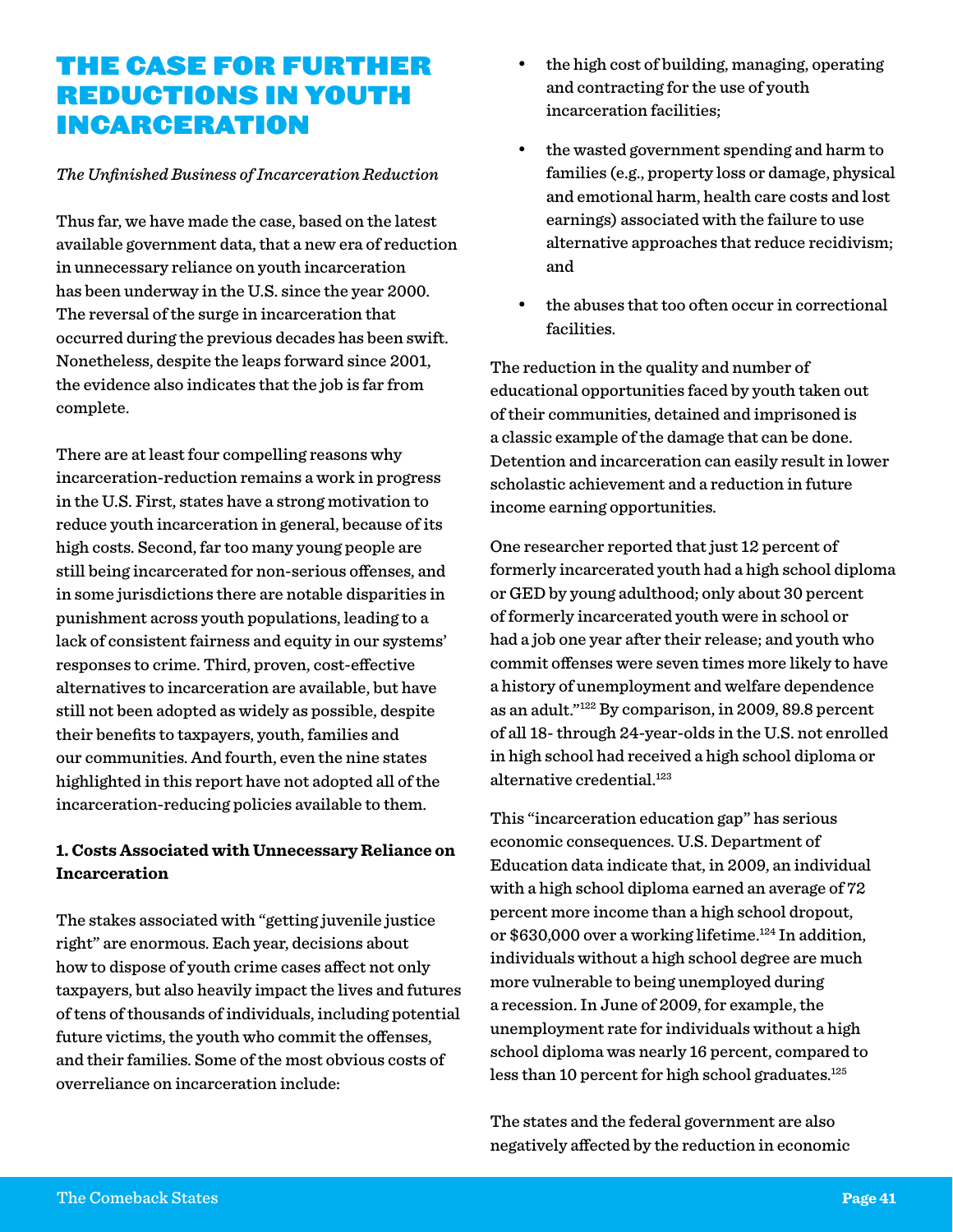## The Case for Further Reductions in Youth Incarceration

#### *The Unfinished Business of Incarceration Reduction*

Thus far, we have made the case, based on the latest available government data, that a new era of reduction in unnecessary reliance on youth incarceration has been underway in the U.S. since the year 2000. The reversal of the surge in incarceration that occurred during the previous decades has been swift. Nonetheless, despite the leaps forward since 2001, the evidence also indicates that the job is far from complete.

There are at least four compelling reasons why incarceration-reduction remains a work in progress in the U.S. First, states have a strong motivation to reduce youth incarceration in general, because of its high costs. Second, far too many young people are still being incarcerated for non-serious offenses, and in some jurisdictions there are notable disparities in punishment across youth populations, leading to a lack of consistent fairness and equity in our systems' responses to crime. Third, proven, cost-effective alternatives to incarceration are available, but have still not been adopted as widely as possible, despite their benefits to taxpayers, youth, families and our communities. And fourth, even the nine states highlighted in this report have not adopted all of the incarceration-reducing policies available to them.

#### **1. Costs Associated with Unnecessary Reliance on Incarceration**

The stakes associated with "getting juvenile justice right" are enormous. Each year, decisions about how to dispose of youth crime cases affect not only taxpayers, but also heavily impact the lives and futures of tens of thousands of individuals, including potential future victims, the youth who commit the offenses, and their families. Some of the most obvious costs of overreliance on incarceration include:

- the high cost of building, managing, operating and contracting for the use of youth incarceration facilities;
- the wasted government spending and harm to families (e.g., property loss or damage, physical and emotional harm, health care costs and lost earnings) associated with the failure to use alternative approaches that reduce recidivism; and
- the abuses that too often occur in correctional facilities.

The reduction in the quality and number of educational opportunities faced by youth taken out of their communities, detained and imprisoned is a classic example of the damage that can be done. Detention and incarceration can easily result in lower scholastic achievement and a reduction in future income earning opportunities.

One researcher reported that just 12 percent of formerly incarcerated youth had a high school diploma or GED by young adulthood; only about 30 percent of formerly incarcerated youth were in school or had a job one year after their release; and youth who commit offenses were seven times more likely to have a history of unemployment and welfare dependence as an adult."122 By comparison, in 2009, 89.8 percent of all 18- through 24-year-olds in the U.S. not enrolled in high school had received a high school diploma or alternative credential.<sup>123</sup>

This "incarceration education gap" has serious economic consequences. U.S. Department of Education data indicate that, in 2009, an individual with a high school diploma earned an average of 72 percent more income than a high school dropout, or \$630,000 over a working lifetime.<sup>124</sup> In addition, individuals without a high school degree are much more vulnerable to being unemployed during a recession. In June of 2009, for example, the unemployment rate for individuals without a high school diploma was nearly 16 percent, compared to less than 10 percent for high school graduates. $125$ 

The states and the federal government are also negatively affected by the reduction in economic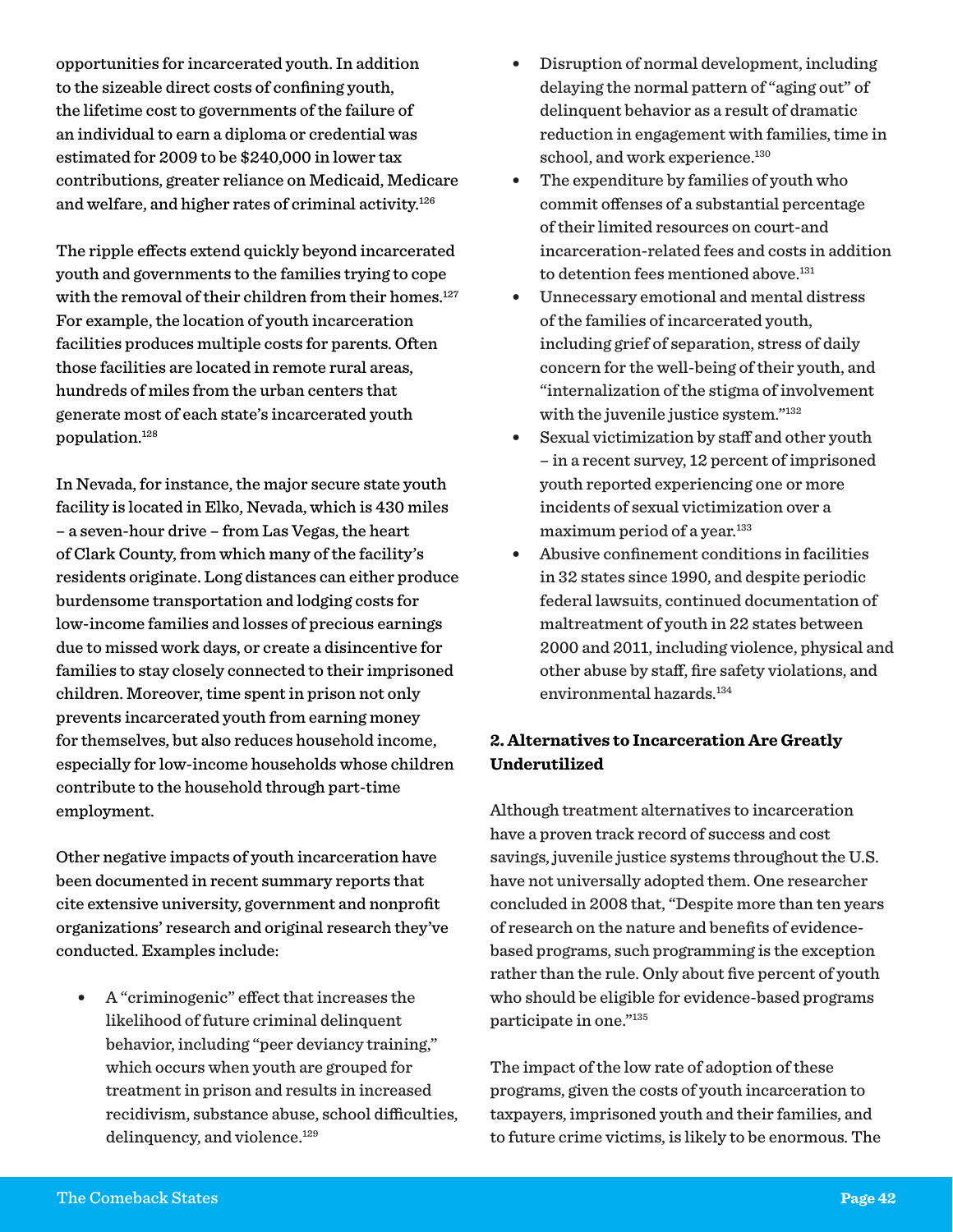opportunities for incarcerated youth. In addition to the sizeable direct costs of confining youth, the lifetime cost to governments of the failure of an individual to earn a diploma or credential was estimated for 2009 to be \$240,000 in lower tax contributions, greater reliance on Medicaid, Medicare and welfare, and higher rates of criminal activity.<sup>126</sup>

The ripple effects extend quickly beyond incarcerated youth and governments to the families trying to cope with the removal of their children from their homes.<sup>127</sup> For example, the location of youth incarceration facilities produces multiple costs for parents. Often those facilities are located in remote rural areas, hundreds of miles from the urban centers that generate most of each state's incarcerated youth population.128

In Nevada, for instance, the major secure state youth facility is located in Elko, Nevada, which is 430 miles – a seven-hour drive – from Las Vegas, the heart of Clark County, from which many of the facility's residents originate. Long distances can either produce burdensome transportation and lodging costs for low-income families and losses of precious earnings due to missed work days, or create a disincentive for families to stay closely connected to their imprisoned children. Moreover, time spent in prison not only prevents incarcerated youth from earning money for themselves, but also reduces household income, especially for low-income households whose children contribute to the household through part-time employment.

Other negative impacts of youth incarceration have been documented in recent summary reports that cite extensive university, government and nonprofit organizations' research and original research they've conducted. Examples include:

• A "criminogenic" effect that increases the likelihood of future criminal delinquent behavior, including "peer deviancy training," which occurs when youth are grouped for treatment in prison and results in increased recidivism, substance abuse, school difficulties, delinquency, and violence.<sup>129</sup>

- Disruption of normal development, including delaying the normal pattern of "aging out" of delinquent behavior as a result of dramatic reduction in engagement with families, time in school, and work experience.<sup>130</sup>
- The expenditure by families of youth who commit offenses of a substantial percentage of their limited resources on court-and incarceration-related fees and costs in addition to detention fees mentioned above.<sup>131</sup>
- Unnecessary emotional and mental distress of the families of incarcerated youth, including grief of separation, stress of daily concern for the well-being of their youth, and "internalization of the stigma of involvement with the juvenile justice system."<sup>132</sup>
- Sexual victimization by staff and other youth – in a recent survey, 12 percent of imprisoned youth reported experiencing one or more incidents of sexual victimization over a maximum period of a year.<sup>133</sup>
- Abusive confinement conditions in facilities in 32 states since 1990, and despite periodic federal lawsuits, continued documentation of maltreatment of youth in 22 states between 2000 and 2011, including violence, physical and other abuse by staff, fire safety violations, and environmental hazards.134

#### **2. Alternatives to Incarceration Are Greatly Underutilized**

Although treatment alternatives to incarceration have a proven track record of success and cost savings, juvenile justice systems throughout the U.S. have not universally adopted them. One researcher concluded in 2008 that, "Despite more than ten years of research on the nature and benefits of evidencebased programs, such programming is the exception rather than the rule. Only about five percent of youth who should be eligible for evidence-based programs participate in one."135

The impact of the low rate of adoption of these programs, given the costs of youth incarceration to taxpayers, imprisoned youth and their families, and to future crime victims, is likely to be enormous. The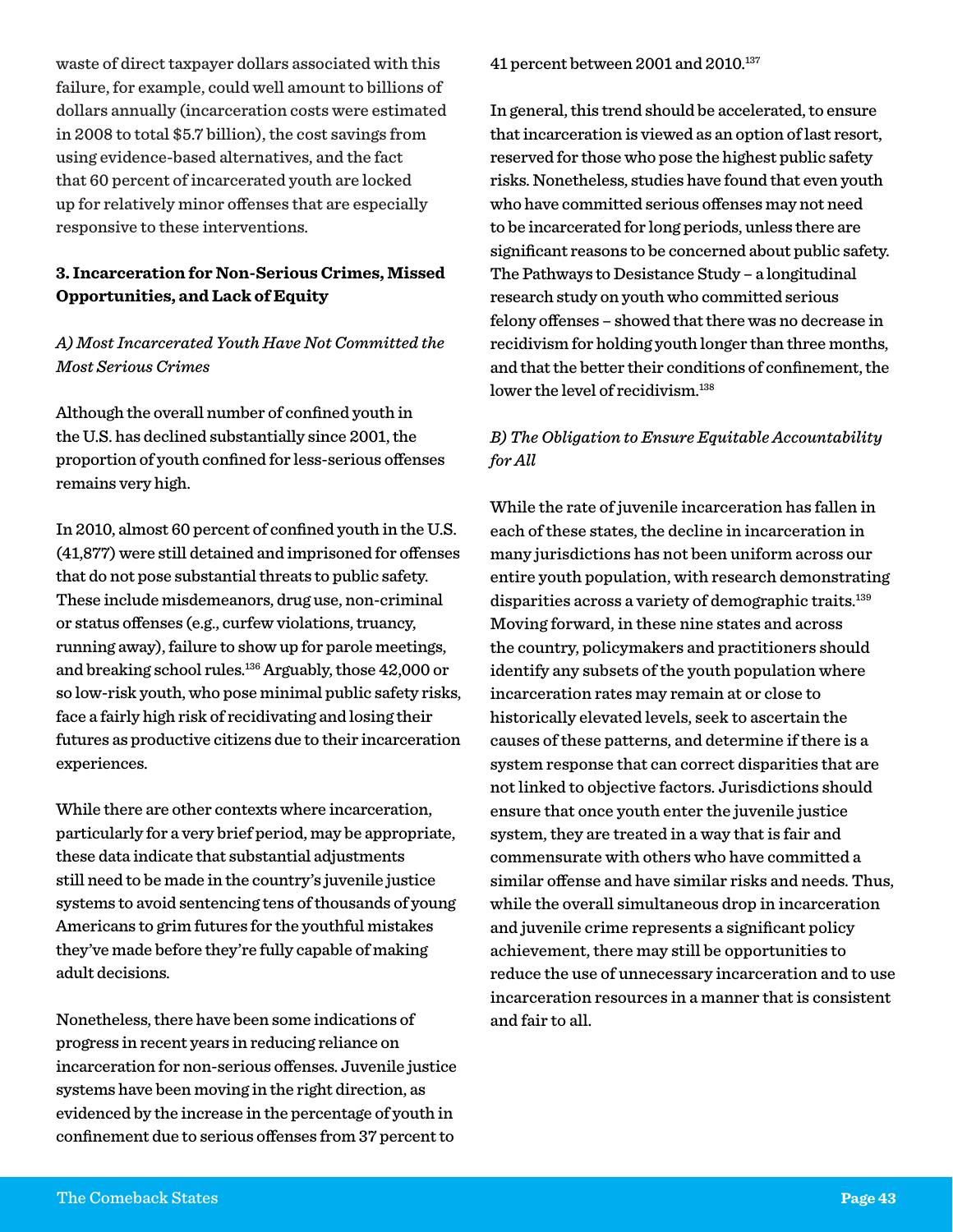waste of direct taxpayer dollars associated with this failure, for example, could well amount to billions of dollars annually (incarceration costs were estimated in 2008 to total \$5.7 billion), the cost savings from using evidence-based alternatives, and the fact that 60 percent of incarcerated youth are locked up for relatively minor offenses that are especially responsive to these interventions.

#### **3. Incarceration for Non-Serious Crimes, Missed Opportunities, and Lack of Equity**

#### *A) Most Incarcerated Youth Have Not Committed the Most Serious Crimes*

Although the overall number of confined youth in the U.S. has declined substantially since 2001, the proportion of youth confined for less-serious offenses remains very high.

In 2010, almost 60 percent of confined youth in the U.S. (41,877) were still detained and imprisoned for offenses that do not pose substantial threats to public safety. These include misdemeanors, drug use, non-criminal or status offenses (e.g., curfew violations, truancy, running away), failure to show up for parole meetings, and breaking school rules.136 Arguably, those 42,000 or so low-risk youth, who pose minimal public safety risks, face a fairly high risk of recidivating and losing their futures as productive citizens due to their incarceration experiences.

While there are other contexts where incarceration, particularly for a very brief period, may be appropriate, these data indicate that substantial adjustments still need to be made in the country's juvenile justice systems to avoid sentencing tens of thousands of young Americans to grim futures for the youthful mistakes they've made before they're fully capable of making adult decisions.

Nonetheless, there have been some indications of progress in recent years in reducing reliance on incarceration for non-serious offenses. Juvenile justice systems have been moving in the right direction, as evidenced by the increase in the percentage of youth in confinement due to serious offenses from 37 percent to

41 percent between 2001 and 2010.137

In general, this trend should be accelerated, to ensure that incarceration is viewed as an option of last resort, reserved for those who pose the highest public safety risks. Nonetheless, studies have found that even youth who have committed serious offenses may not need to be incarcerated for long periods, unless there are significant reasons to be concerned about public safety. The Pathways to Desistance Study – a longitudinal research study on youth who committed serious felony offenses – showed that there was no decrease in recidivism for holding youth longer than three months, and that the better their conditions of confinement, the lower the level of recidivism.<sup>138</sup>

#### *B) The Obligation to Ensure Equitable Accountability for All*

While the rate of juvenile incarceration has fallen in each of these states, the decline in incarceration in many jurisdictions has not been uniform across our entire youth population, with research demonstrating disparities across a variety of demographic traits.<sup>139</sup> Moving forward, in these nine states and across the country, policymakers and practitioners should identify any subsets of the youth population where incarceration rates may remain at or close to historically elevated levels, seek to ascertain the causes of these patterns, and determine if there is a system response that can correct disparities that are not linked to objective factors. Jurisdictions should ensure that once youth enter the juvenile justice system, they are treated in a way that is fair and commensurate with others who have committed a similar offense and have similar risks and needs. Thus, while the overall simultaneous drop in incarceration and juvenile crime represents a significant policy achievement, there may still be opportunities to reduce the use of unnecessary incarceration and to use incarceration resources in a manner that is consistent and fair to all.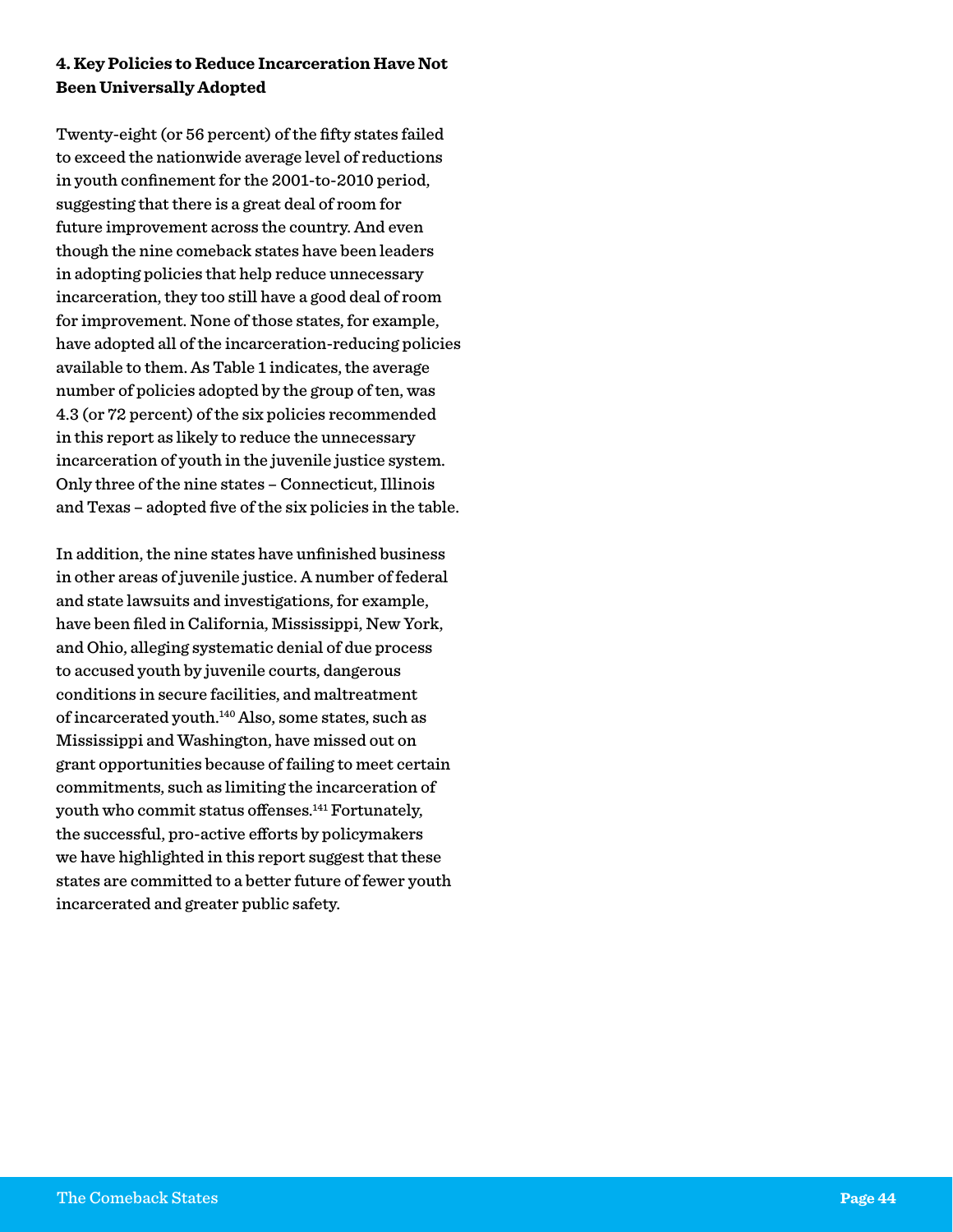#### **4. Key Policies to Reduce Incarceration Have Not Been Universally Adopted**

Twenty-eight (or 56 percent) of the fifty states failed to exceed the nationwide average level of reductions in youth confinement for the 2001-to-2010 period, suggesting that there is a great deal of room for future improvement across the country. And even though the nine comeback states have been leaders in adopting policies that help reduce unnecessary incarceration, they too still have a good deal of room for improvement. None of those states, for example, have adopted all of the incarceration-reducing policies available to them. As Table 1 indicates, the average number of policies adopted by the group of ten, was 4.3 (or 72 percent) of the six policies recommended in this report as likely to reduce the unnecessary incarceration of youth in the juvenile justice system. Only three of the nine states – Connecticut, Illinois and Texas – adopted five of the six policies in the table.

In addition, the nine states have unfinished business in other areas of juvenile justice. A number of federal and state lawsuits and investigations, for example, have been filed in California, Mississippi, New York, and Ohio, alleging systematic denial of due process to accused youth by juvenile courts, dangerous conditions in secure facilities, and maltreatment of incarcerated youth.140 Also, some states, such as Mississippi and Washington, have missed out on grant opportunities because of failing to meet certain commitments, such as limiting the incarceration of youth who commit status offenses.<sup>141</sup> Fortunately, the successful, pro-active efforts by policymakers we have highlighted in this report suggest that these states are committed to a better future of fewer youth incarcerated and greater public safety.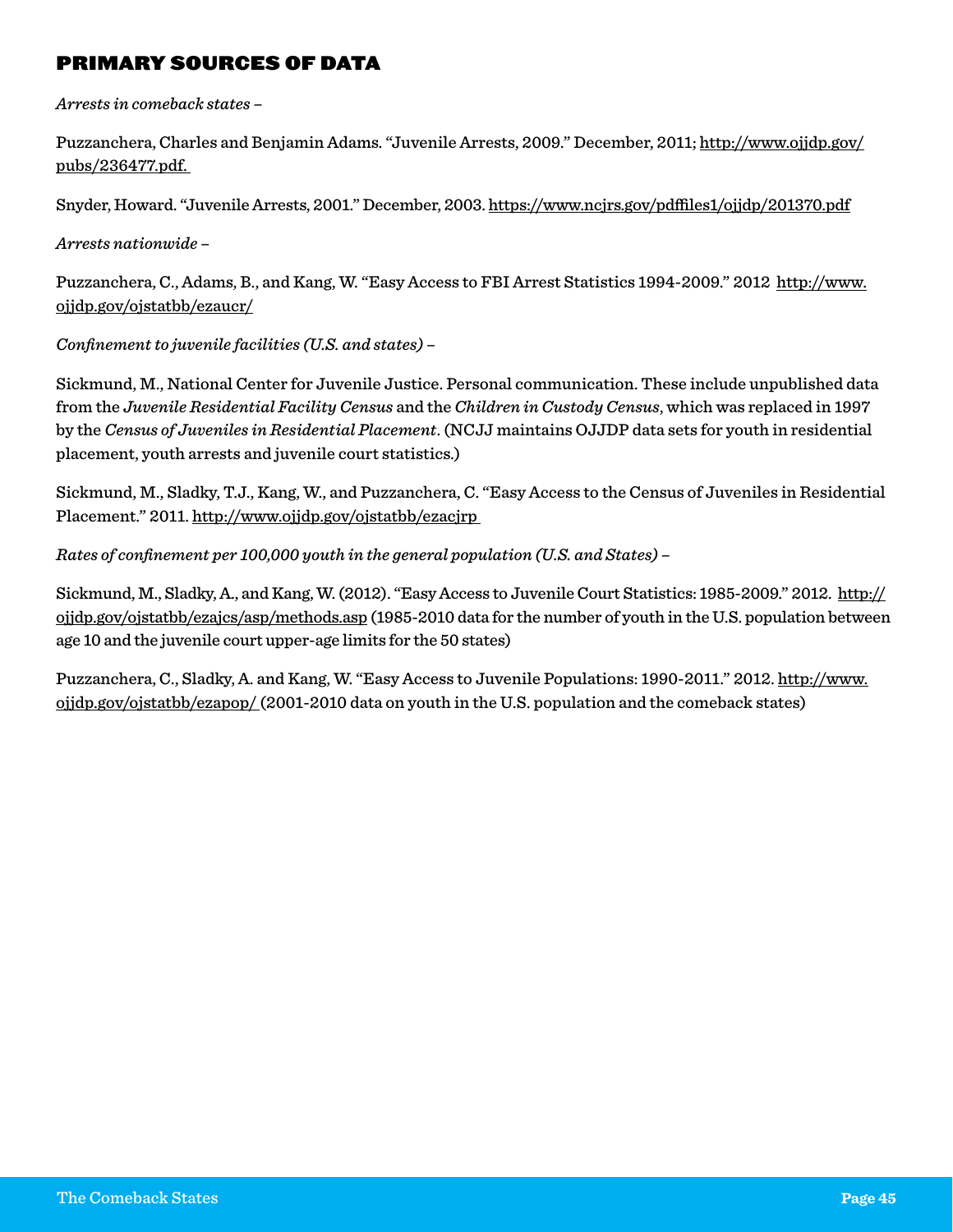#### Primary Sources of Data

*Arrests in comeback states –*

Puzzanchera, Charles and Benjamin Adams. "Juvenile Arrests, 2009." December, 2011; [http://www.ojjdp.gov/](http://www.ojjdp.gov/pubs/236477.pdf) [pubs/236477.pdf.](http://www.ojjdp.gov/pubs/236477.pdf)

Snyder, Howard. "Juvenile Arrests, 2001." December, 2003.<https://www.ncjrs.gov/pdffiles1/ojjdp/201370.pdf>

*Arrests nationwide –*

Puzzanchera, C., Adams, B., and Kang, W. "Easy Access to FBI Arrest Statistics 1994-2009." 2012 http://www. ojjdp.gov/ojstatbb/ezaucr/

*Confinement to juvenile facilities (U.S. and states) –*

Sickmund, M., National Center for Juvenile Justice. Personal communication. These include unpublished data from the *Juvenile Residential Facility Census* and the *Children in Custody Census*, which was replaced in 1997 by the *Census of Juveniles in Residential Placement*. (NCJJ maintains OJJDP data sets for youth in residential placement, youth arrests and juvenile court statistics.)

Sickmund, M., Sladky, T.J., Kang, W., and Puzzanchera, C. "Easy Access to the Census of Juveniles in Residential Placement." 2011. <http://www.ojjdp.gov/ojstatbb/ezacjrp>

*Rates of confinement per 100,000 youth in the general population (U.S. and States) –*

Sickmund, M., Sladky, A., and Kang, W. (2012). "Easy Access to Juvenile Court Statistics: 1985-2009." 2012. [http://](http://ojjdp.gov/ojstatbb/ezajcs/asp/methods.asp) [ojjdp.gov/ojstatbb/ezajcs/asp/methods.asp](http://ojjdp.gov/ojstatbb/ezajcs/asp/methods.asp) (1985-2010 data for the number of youth in the U.S. population between age 10 and the juvenile court upper-age limits for the 50 states)

Puzzanchera, C., Sladky, A. and Kang, W. "Easy Access to Juvenile Populations: 1990-2011." 2012. [http://www.](http://www.ojjdp.gov/ojstatbb/ezapop/) [ojjdp.gov/ojstatbb/ezapop/](http://www.ojjdp.gov/ojstatbb/ezapop/) (2001-2010 data on youth in the U.S. population and the comeback states)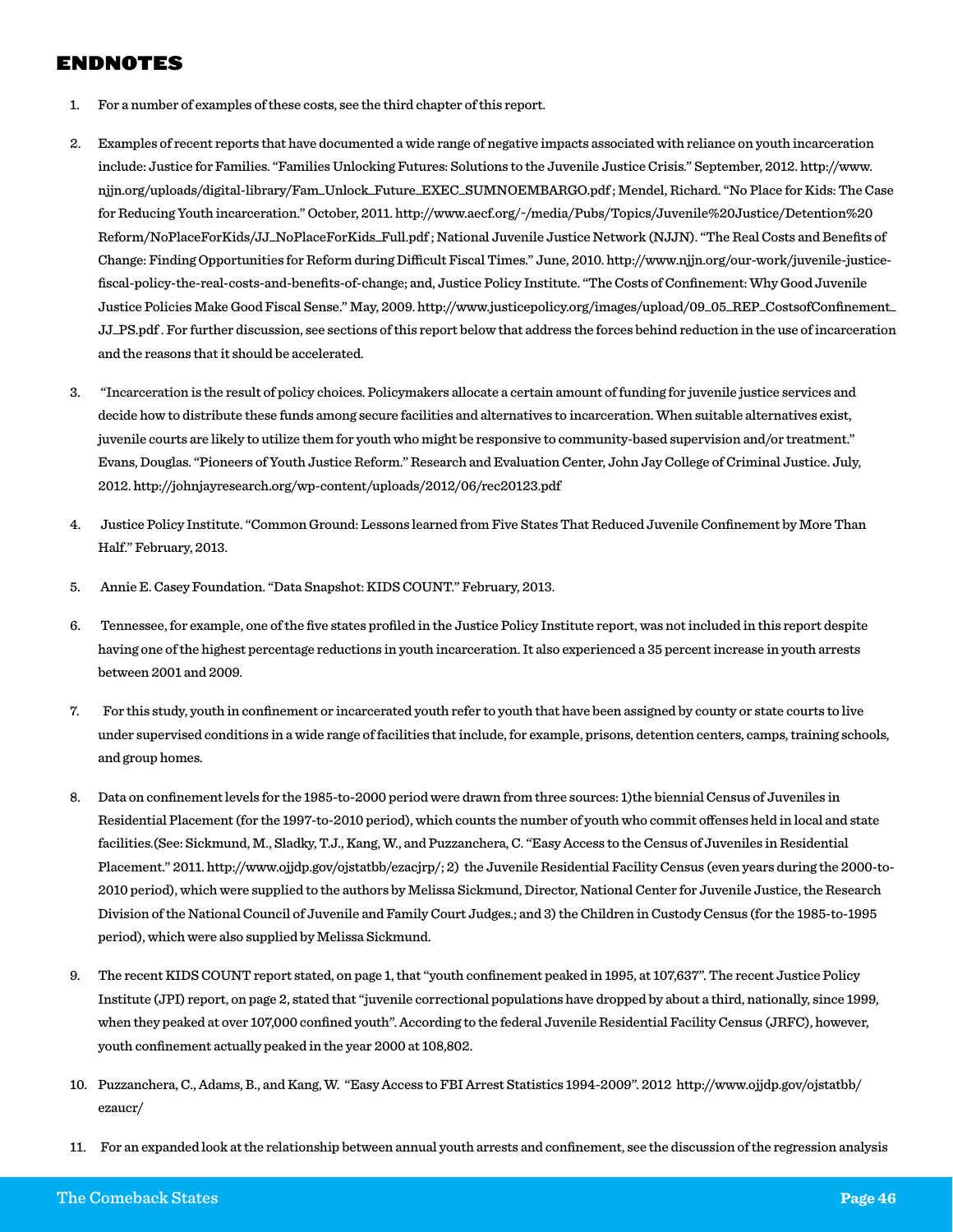#### Endnotes

- 1. For a number of examples of these costs, see the third chapter of this report.
- 2. Examples of recent reports that have documented a wide range of negative impacts associated with reliance on youth incarceration include: Justice for Families. "Families Unlocking Futures: Solutions to the Juvenile Justice Crisis." September, 2012. http://www. njjn.org/uploads/digital-library/Fam\_Unlock\_Future\_EXEC\_SUMNOEMBARGO.pdf ; Mendel, Richard. "No Place for Kids: The Case for Reducing Youth incarceration." October, 2011. http://www.aecf.org/~/media/Pubs/Topics/Juvenile%20Justice/Detention%20 Reform/NoPlaceForKids/JJ\_NoPlaceForKids\_Full.pdf ; National Juvenile Justice Network (NJJN). "The Real Costs and Benefits of Change: Finding Opportunities for Reform during Difficult Fiscal Times." June, 2010. http://www.njjn.org/our-work/juvenile-justicefiscal-policy-the-real-costs-and-benefits-of-change; and, Justice Policy Institute. "The Costs of Confinement: Why Good Juvenile Justice Policies Make Good Fiscal Sense." May, 2009. http://www.justicepolicy.org/images/upload/09\_05\_REP\_CostsofConfinement\_ JJ\_PS.pdf . For further discussion, see sections of this report below that address the forces behind reduction in the use of incarceration and the reasons that it should be accelerated.
- 3. "Incarceration is the result of policy choices. Policymakers allocate a certain amount of funding for juvenile justice services and decide how to distribute these funds among secure facilities and alternatives to incarceration. When suitable alternatives exist, juvenile courts are likely to utilize them for youth who might be responsive to community-based supervision and/or treatment." Evans, Douglas. "Pioneers of Youth Justice Reform." Research and Evaluation Center, John Jay College of Criminal Justice. July, 2012. http://johnjayresearch.org/wp-content/uploads/2012/06/rec20123.pdf
- 4. Justice Policy Institute. "Common Ground: Lessons learned from Five States That Reduced Juvenile Confinement by More Than Half." February, 2013.
- 5. Annie E. Casey Foundation. "Data Snapshot: KIDS COUNT." February, 2013.
- 6. Tennessee, for example, one of the five states profiled in the Justice Policy Institute report, was not included in this report despite having one of the highest percentage reductions in youth incarceration. It also experienced a 35 percent increase in youth arrests between 2001 and 2009.
- 7. For this study, youth in confinement or incarcerated youth refer to youth that have been assigned by county or state courts to live under supervised conditions in a wide range of facilities that include, for example, prisons, detention centers, camps, training schools, and group homes.
- 8. Data on confinement levels for the 1985-to-2000 period were drawn from three sources: 1)the biennial Census of Juveniles in Residential Placement (for the 1997-to-2010 period), which counts the number of youth who commit offenses held in local and state facilities.(See: Sickmund, M., Sladky, T.J., Kang, W., and Puzzanchera, C. "Easy Access to the Census of Juveniles in Residential Placement." 2011. http://www.ojjdp.gov/ojstatbb/ezacjrp/; 2) the Juvenile Residential Facility Census (even years during the 2000-to-2010 period), which were supplied to the authors by Melissa Sickmund, Director, National Center for Juvenile Justice, the Research Division of the National Council of Juvenile and Family Court Judges.; and 3) the Children in Custody Census (for the 1985-to-1995 period), which were also supplied by Melissa Sickmund.
- 9. The recent KIDS COUNT report stated, on page 1, that "youth confinement peaked in 1995, at 107,637". The recent Justice Policy Institute (JPI) report, on page 2, stated that "juvenile correctional populations have dropped by about a third, nationally, since 1999, when they peaked at over 107,000 confined youth". According to the federal Juvenile Residential Facility Census (JRFC), however, youth confinement actually peaked in the year 2000 at 108,802.
- 10. Puzzanchera, C., Adams, B., and Kang, W. "Easy Access to FBI Arrest Statistics 1994-2009". 2012 http://www.ojjdp.gov/ojstatbb/ ezaucr/
- 11. For an expanded look at the relationship between annual youth arrests and confinement, see the discussion of the regression analysis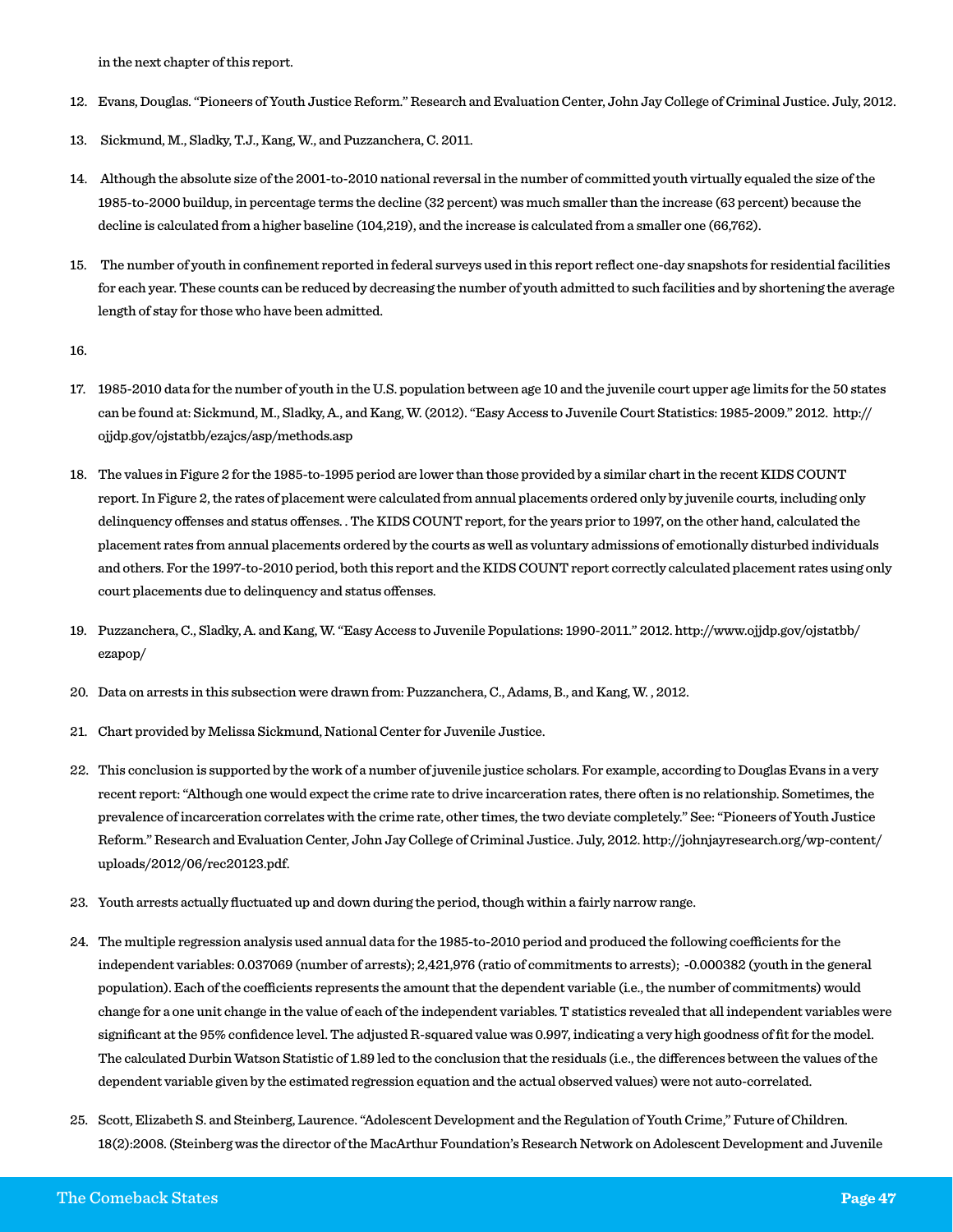in the next chapter of this report.

- 12. Evans, Douglas. "Pioneers of Youth Justice Reform." Research and Evaluation Center, John Jay College of Criminal Justice. July, 2012.
- 13. Sickmund, M., Sladky, T.J., Kang, W., and Puzzanchera, C. 2011.
- 14. Although the absolute size of the 2001-to-2010 national reversal in the number of committed youth virtually equaled the size of the 1985-to-2000 buildup, in percentage terms the decline (32 percent) was much smaller than the increase (63 percent) because the decline is calculated from a higher baseline (104,219), and the increase is calculated from a smaller one (66,762).
- 15. The number of youth in confinement reported in federal surveys used in this report reflect one-day snapshots for residential facilities for each year. These counts can be reduced by decreasing the number of youth admitted to such facilities and by shortening the average length of stay for those who have been admitted.

16.

- 17. 1985-2010 data for the number of youth in the U.S. population between age 10 and the juvenile court upper age limits for the 50 states can be found at: Sickmund, M., Sladky, A., and Kang, W. (2012). "Easy Access to Juvenile Court Statistics: 1985-2009." 2012. http:// ojjdp.gov/ojstatbb/ezajcs/asp/methods.asp
- 18. The values in Figure 2 for the 1985-to-1995 period are lower than those provided by a similar chart in the recent KIDS COUNT report. In Figure 2, the rates of placement were calculated from annual placements ordered only by juvenile courts, including only delinquency offenses and status offenses. . The KIDS COUNT report, for the years prior to 1997, on the other hand, calculated the placement rates from annual placements ordered by the courts as well as voluntary admissions of emotionally disturbed individuals and others. For the 1997-to-2010 period, both this report and the KIDS COUNT report correctly calculated placement rates using only court placements due to delinquency and status offenses.
- 19. Puzzanchera, C., Sladky, A. and Kang, W. "Easy Access to Juvenile Populations: 1990-2011." 2012. http://www.ojjdp.gov/ojstatbb/ ezapop/
- 20. Data on arrests in this subsection were drawn from: Puzzanchera, C., Adams, B., and Kang, W. , 2012.
- 21. Chart provided by Melissa Sickmund, National Center for Juvenile Justice.
- 22. This conclusion is supported by the work of a number of juvenile justice scholars. For example, according to Douglas Evans in a very recent report: "Although one would expect the crime rate to drive incarceration rates, there often is no relationship. Sometimes, the prevalence of incarceration correlates with the crime rate, other times, the two deviate completely." See: "Pioneers of Youth Justice Reform." Research and Evaluation Center, John Jay College of Criminal Justice. July, 2012. http://johnjayresearch.org/wp-content/ uploads/2012/06/rec20123.pdf.
- 23. Youth arrests actually fluctuated up and down during the period, though within a fairly narrow range.
- 24. The multiple regression analysis used annual data for the 1985-to-2010 period and produced the following coefficients for the independent variables: 0.037069 (number of arrests); 2,421,976 (ratio of commitments to arrests); -0.000382 (youth in the general population). Each of the coefficients represents the amount that the dependent variable (i.e., the number of commitments) would change for a one unit change in the value of each of the independent variables. T statistics revealed that all independent variables were significant at the 95% confidence level. The adjusted R-squared value was 0.997, indicating a very high goodness of fit for the model. The calculated Durbin Watson Statistic of 1.89 led to the conclusion that the residuals (i.e., the differences between the values of the dependent variable given by the estimated regression equation and the actual observed values) were not auto-correlated.
- 25. Scott, Elizabeth S. and Steinberg, Laurence. "Adolescent Development and the Regulation of Youth Crime," Future of Children. 18(2):2008. (Steinberg was the director of the MacArthur Foundation's Research Network on Adolescent Development and Juvenile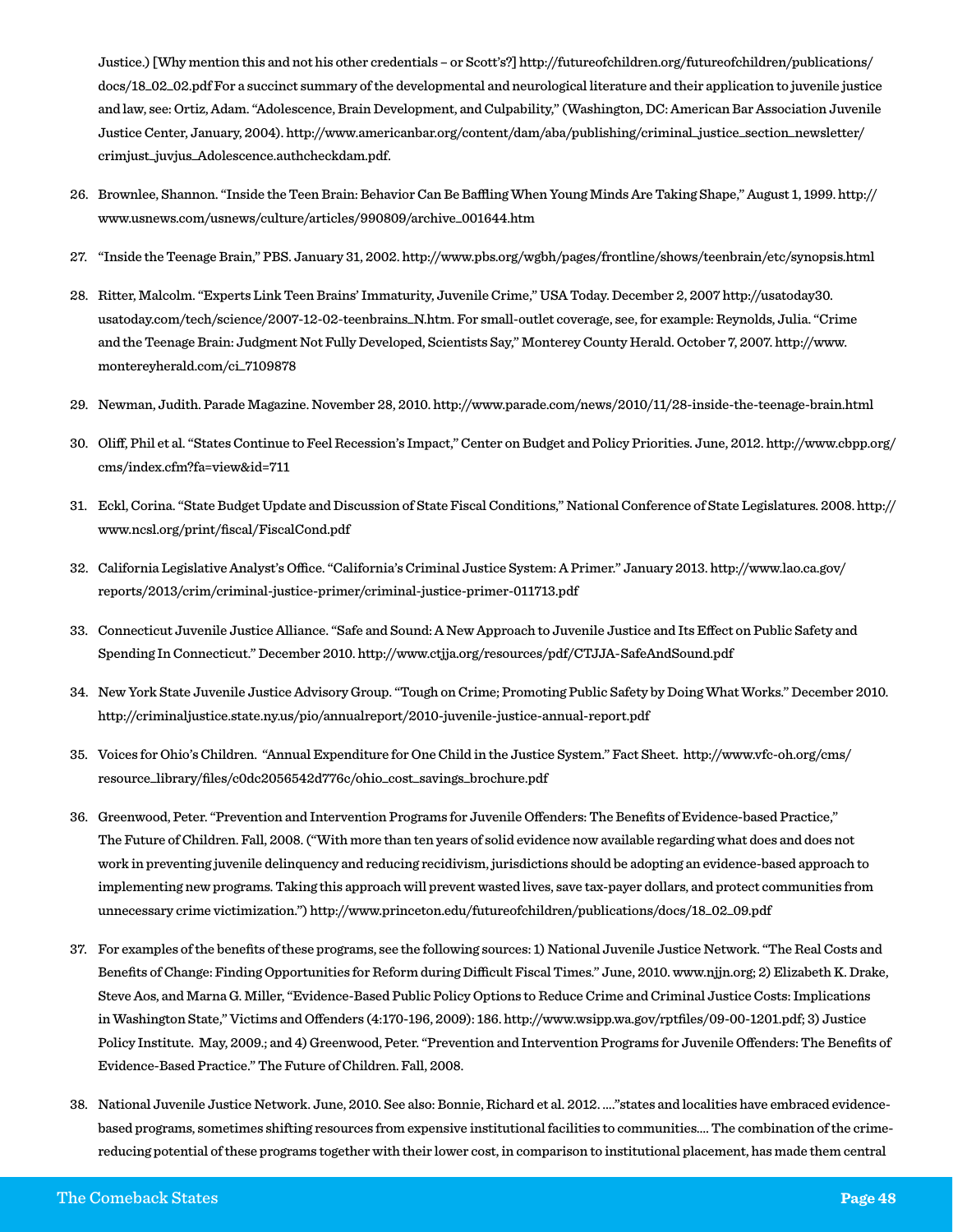Justice.) [Why mention this and not his other credentials – or Scott's?] http://futureofchildren.org/futureofchildren/publications/ docs/18\_02\_02.pdf For a succinct summary of the developmental and neurological literature and their application to juvenile justice and law, see: Ortiz, Adam. "Adolescence, Brain Development, and Culpability," (Washington, DC: American Bar Association Juvenile Justice Center, January, 2004). http://www.americanbar.org/content/dam/aba/publishing/criminal\_justice\_section\_newsletter/ crimjust\_juvjus\_Adolescence.authcheckdam.pdf.

- 26. Brownlee, Shannon. "Inside the Teen Brain: Behavior Can Be Baffling When Young Minds Are Taking Shape," August 1, 1999. http:// www.usnews.com/usnews/culture/articles/990809/archive\_001644.htm
- 27. "Inside the Teenage Brain," PBS. January 31, 2002. http://www.pbs.org/wgbh/pages/frontline/shows/teenbrain/etc/synopsis.html
- 28. Ritter, Malcolm. "Experts Link Teen Brains' Immaturity, Juvenile Crime," USA Today. December 2, 2007 http://usatoday30. usatoday.com/tech/science/2007-12-02-teenbrains\_N.htm. For small-outlet coverage, see, for example: Reynolds, Julia. "Crime and the Teenage Brain: Judgment Not Fully Developed, Scientists Say," Monterey County Herald. October 7, 2007. http://www. montereyherald.com/ci\_7109878
- 29. Newman, Judith. Parade Magazine. November 28, 2010. http://www.parade.com/news/2010/11/28-inside-the-teenage-brain.html
- 30. Oliff, Phil et al. "States Continue to Feel Recession's Impact," Center on Budget and Policy Priorities. June, 2012. http://www.cbpp.org/ cms/index.cfm?fa=view&id=711
- 31. Eckl, Corina. "State Budget Update and Discussion of State Fiscal Conditions," National Conference of State Legislatures. 2008. http:// www.ncsl.org/print/fiscal/FiscalCond.pdf
- 32. California Legislative Analyst's Office. "California's Criminal Justice System: A Primer." January 2013. http://www.lao.ca.gov/ reports/2013/crim/criminal-justice-primer/criminal-justice-primer-011713.pdf
- 33. Connecticut Juvenile Justice Alliance. "Safe and Sound: A New Approach to Juvenile Justice and Its Effect on Public Safety and Spending In Connecticut." December 2010. http://www.ctjja.org/resources/pdf/CTJJA-SafeAndSound.pdf
- 34. New York State Juvenile Justice Advisory Group. "Tough on Crime; Promoting Public Safety by Doing What Works." December 2010. http://criminaljustice.state.ny.us/pio/annualreport/2010-juvenile-justice-annual-report.pdf
- 35. Voices for Ohio's Children. "Annual Expenditure for One Child in the Justice System." Fact Sheet. http://www.vfc-oh.org/cms/ resource\_library/files/c0dc2056542d776c/ohio\_cost\_savings\_brochure.pdf
- 36. Greenwood, Peter. "Prevention and Intervention Programs for Juvenile Offenders: The Benefits of Evidence-based Practice," The Future of Children. Fall, 2008. ("With more than ten years of solid evidence now available regarding what does and does not work in preventing juvenile delinquency and reducing recidivism, jurisdictions should be adopting an evidence-based approach to implementing new programs. Taking this approach will prevent wasted lives, save tax-payer dollars, and protect communities from unnecessary crime victimization.") http://www.princeton.edu/futureofchildren/publications/docs/18\_02\_09.pdf
- 37. For examples of the benefits of these programs, see the following sources: 1) National Juvenile Justice Network. "The Real Costs and Benefits of Change: Finding Opportunities for Reform during Difficult Fiscal Times." June, 2010. www.njjn.org; 2) Elizabeth K. Drake, Steve Aos, and Marna G. Miller, "Evidence-Based Public Policy Options to Reduce Crime and Criminal Justice Costs: Implications in Washington State," Victims and Offenders (4:170-196, 2009): 186. http://www.wsipp.wa.gov/rptfiles/09-00-1201.pdf; 3) Justice Policy Institute. May, 2009.; and 4) Greenwood, Peter. "Prevention and Intervention Programs for Juvenile Offenders: The Benefits of Evidence-Based Practice." The Future of Children. Fall, 2008.
- 38. National Juvenile Justice Network. June, 2010. See also: Bonnie, Richard et al. 2012. …."states and localities have embraced evidencebased programs, sometimes shifting resources from expensive institutional facilities to communities…. The combination of the crimereducing potential of these programs together with their lower cost, in comparison to institutional placement, has made them central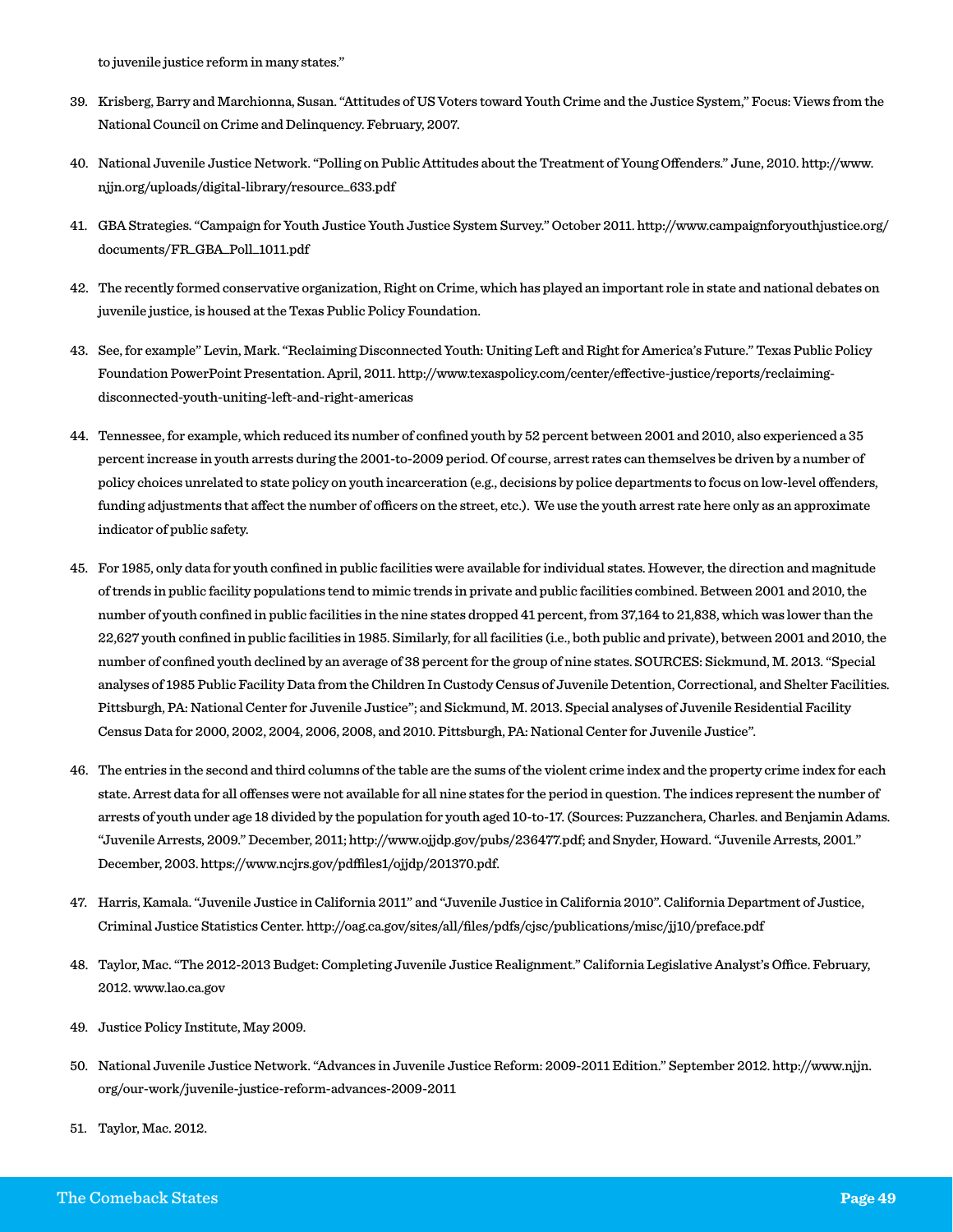to juvenile justice reform in many states."

- 39. Krisberg, Barry and Marchionna, Susan. "Attitudes of US Voters toward Youth Crime and the Justice System," Focus: Views from the National Council on Crime and Delinquency. February, 2007.
- 40. National Juvenile Justice Network. "Polling on Public Attitudes about the Treatment of Young Offenders." June, 2010. http://www. njjn.org/uploads/digital-library/resource\_633.pdf
- 41. GBA Strategies. "Campaign for Youth Justice Youth Justice System Survey." October 2011. http://www.campaignforyouthjustice.org/ documents/FR\_GBA\_Poll\_1011.pdf
- 42. The recently formed conservative organization, Right on Crime, which has played an important role in state and national debates on juvenile justice, is housed at the Texas Public Policy Foundation.
- 43. See, for example" Levin, Mark. "Reclaiming Disconnected Youth: Uniting Left and Right for America's Future." Texas Public Policy Foundation PowerPoint Presentation. April, 2011. http://www.texaspolicy.com/center/effective-justice/reports/reclaimingdisconnected-youth-uniting-left-and-right-americas
- 44. Tennessee, for example, which reduced its number of confined youth by 52 percent between 2001 and 2010, also experienced a 35 percent increase in youth arrests during the 2001-to-2009 period. Of course, arrest rates can themselves be driven by a number of policy choices unrelated to state policy on youth incarceration (e.g., decisions by police departments to focus on low-level offenders, funding adjustments that affect the number of officers on the street, etc.). We use the youth arrest rate here only as an approximate indicator of public safety.
- 45. For 1985, only data for youth confined in public facilities were available for individual states. However, the direction and magnitude of trends in public facility populations tend to mimic trends in private and public facilities combined. Between 2001 and 2010, the number of youth confined in public facilities in the nine states dropped 41 percent, from 37,164 to 21,838, which was lower than the 22,627 youth confined in public facilities in 1985. Similarly, for all facilities (i.e., both public and private), between 2001 and 2010, the number of confined youth declined by an average of 38 percent for the group of nine states. SOURCES: Sickmund, M. 2013. "Special analyses of 1985 Public Facility Data from the Children In Custody Census of Juvenile Detention, Correctional, and Shelter Facilities. Pittsburgh, PA: National Center for Juvenile Justice"; and Sickmund, M. 2013. Special analyses of Juvenile Residential Facility Census Data for 2000, 2002, 2004, 2006, 2008, and 2010. Pittsburgh, PA: National Center for Juvenile Justice".
- 46. The entries in the second and third columns of the table are the sums of the violent crime index and the property crime index for each state. Arrest data for all offenses were not available for all nine states for the period in question. The indices represent the number of arrests of youth under age 18 divided by the population for youth aged 10-to-17. (Sources: Puzzanchera, Charles. and Benjamin Adams. "Juvenile Arrests, 2009." December, 2011; http://www.ojjdp.gov/pubs/236477.pdf; and Snyder, Howard. "Juvenile Arrests, 2001." December, 2003. https://www.ncjrs.gov/pdffiles1/ojjdp/201370.pdf.
- 47. Harris, Kamala. "Juvenile Justice in California 2011" and "Juvenile Justice in California 2010". California Department of Justice, Criminal Justice Statistics Center. http://oag.ca.gov/sites/all/files/pdfs/cjsc/publications/misc/jj10/preface.pdf
- 48. Taylor, Mac. "The 2012-2013 Budget: Completing Juvenile Justice Realignment." California Legislative Analyst's Office. February, 2012. www.lao.ca.gov
- 49. Justice Policy Institute, May 2009.
- 50. National Juvenile Justice Network. "Advances in Juvenile Justice Reform: 2009-2011 Edition." September 2012. http://www.njjn. org/our-work/juvenile-justice-reform-advances-2009-2011
- 51. Taylor, Mac. 2012.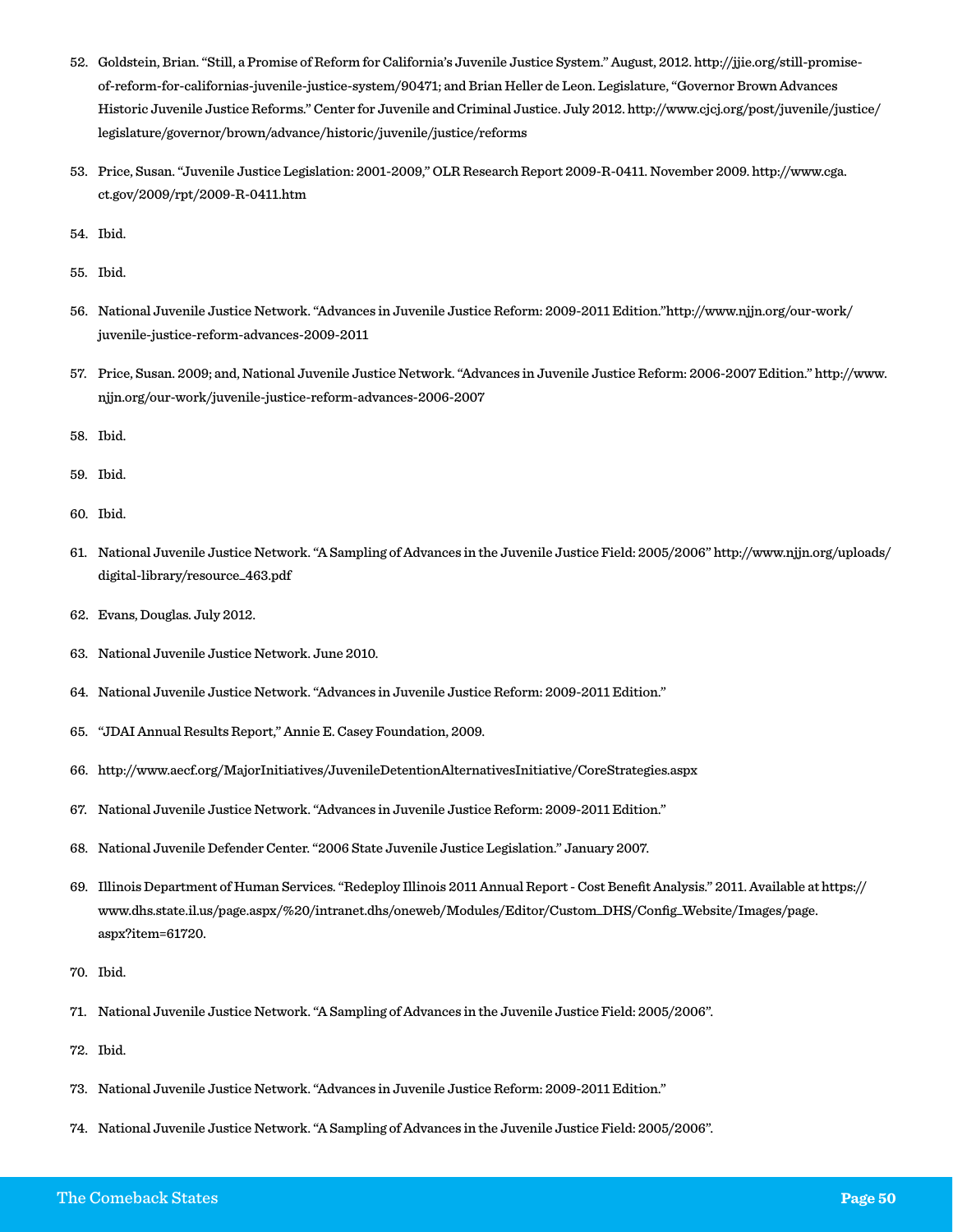- 52. Goldstein, Brian. "Still, a Promise of Reform for California's Juvenile Justice System." August, 2012. http://jjie.org/still-promiseof-reform-for-californias-juvenile-justice-system/90471; and Brian Heller de Leon. Legislature, "Governor Brown Advances Historic Juvenile Justice Reforms." Center for Juvenile and Criminal Justice. July 2012. http://www.cjcj.org/post/juvenile/justice/ legislature/governor/brown/advance/historic/juvenile/justice/reforms
- 53. Price, Susan. "Juvenile Justice Legislation: 2001-2009," OLR Research Report 2009-R-0411. November 2009. http://www.cga. ct.gov/2009/rpt/2009-R-0411.htm
- 54. Ibid.
- 55. Ibid.
- 56. National Juvenile Justice Network. "Advances in Juvenile Justice Reform: 2009-2011 Edition."http://www.njjn.org/our-work/ juvenile-justice-reform-advances-2009-2011
- 57. Price, Susan. 2009; and, National Juvenile Justice Network. "Advances in Juvenile Justice Reform: 2006-2007 Edition." http://www. njjn.org/our-work/juvenile-justice-reform-advances-2006-2007
- 58. Ibid.
- 59. Ibid.
- 60. Ibid.
- 61. National Juvenile Justice Network. "A Sampling of Advances in the Juvenile Justice Field: 2005/2006" http://www.njjn.org/uploads/ digital-library/resource\_463.pdf
- 62. Evans, Douglas. July 2012.
- 63. National Juvenile Justice Network. June 2010.
- 64. National Juvenile Justice Network. "Advances in Juvenile Justice Reform: 2009-2011 Edition."
- 65. "JDAI Annual Results Report," Annie E. Casey Foundation, 2009.
- 66. http://www.aecf.org/MajorInitiatives/JuvenileDetentionAlternativesInitiative/CoreStrategies.aspx
- 67. National Juvenile Justice Network. "Advances in Juvenile Justice Reform: 2009-2011 Edition."
- 68. National Juvenile Defender Center. "2006 State Juvenile Justice Legislation." January 2007.
- 69. Illinois Department of Human Services. "Redeploy Illinois 2011 Annual Report Cost Benefit Analysis." 2011. Available at https:// www.dhs.state.il.us/page.aspx/%20/intranet.dhs/oneweb/Modules/Editor/Custom\_DHS/Config\_Website/Images/page. aspx?item=61720.
- 70. Ibid.
- 71. National Juvenile Justice Network. "A Sampling of Advances in the Juvenile Justice Field: 2005/2006".
- 72. Ibid.
- 73. National Juvenile Justice Network. "Advances in Juvenile Justice Reform: 2009-2011 Edition."
- 74. National Juvenile Justice Network. "A Sampling of Advances in the Juvenile Justice Field: 2005/2006".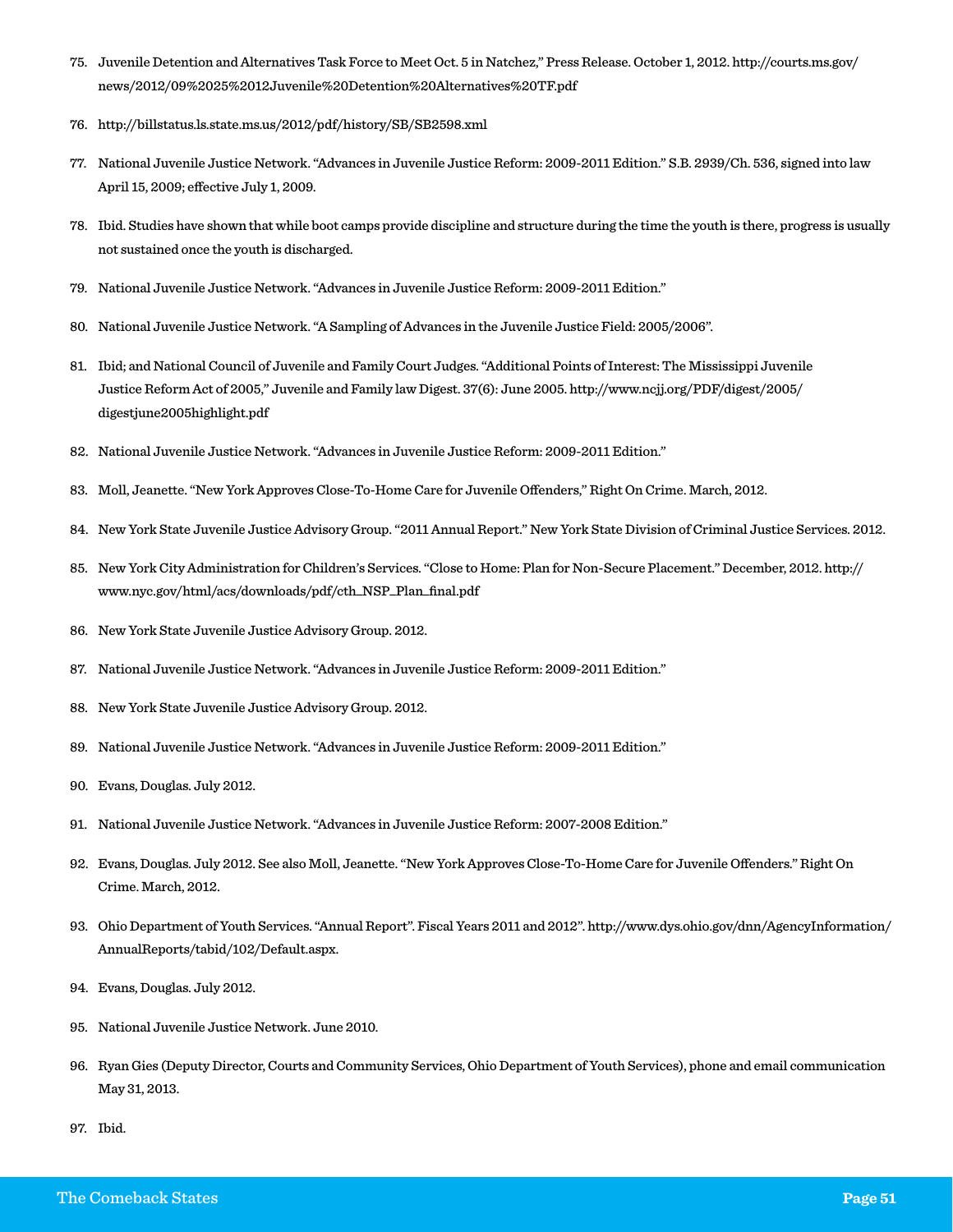- 75. Juvenile Detention and Alternatives Task Force to Meet Oct. 5 in Natchez," Press Release. October 1, 2012. http://courts.ms.gov/ news/2012/09%2025%2012Juvenile%20Detention%20Alternatives%20TF.pdf
- 76. http://billstatus.ls.state.ms.us/2012/pdf/history/SB/SB2598.xml
- 77. National Juvenile Justice Network. "Advances in Juvenile Justice Reform: 2009-2011 Edition." S.B. 2939/Ch. 536, signed into law April 15, 2009; effective July 1, 2009.
- 78. Ibid. Studies have shown that while boot camps provide discipline and structure during the time the youth is there, progress is usually not sustained once the youth is discharged.
- 79. National Juvenile Justice Network. "Advances in Juvenile Justice Reform: 2009-2011 Edition."
- 80. National Juvenile Justice Network. "A Sampling of Advances in the Juvenile Justice Field: 2005/2006".
- 81. Ibid; and National Council of Juvenile and Family Court Judges. "Additional Points of Interest: The Mississippi Juvenile Justice Reform Act of 2005," Juvenile and Family law Digest. 37(6): June 2005. http://www.ncjj.org/PDF/digest/2005/ digestjune2005highlight.pdf
- 82. National Juvenile Justice Network. "Advances in Juvenile Justice Reform: 2009-2011 Edition."
- 83. Moll, Jeanette. "New York Approves Close-To-Home Care for Juvenile Offenders," Right On Crime. March, 2012.
- 84. New York State Juvenile Justice Advisory Group. "2011 Annual Report." New York State Division of Criminal Justice Services. 2012.
- 85. New York City Administration for Children's Services. "Close to Home: Plan for Non-Secure Placement." December, 2012. http:// www.nyc.gov/html/acs/downloads/pdf/cth\_NSP\_Plan\_final.pdf
- 86. New York State Juvenile Justice Advisory Group. 2012.
- 87. National Juvenile Justice Network. "Advances in Juvenile Justice Reform: 2009-2011 Edition."
- 88. New York State Juvenile Justice Advisory Group. 2012.
- 89. National Juvenile Justice Network. "Advances in Juvenile Justice Reform: 2009-2011 Edition."
- 90. Evans, Douglas. July 2012.
- 91. National Juvenile Justice Network. "Advances in Juvenile Justice Reform: 2007-2008 Edition."
- 92. Evans, Douglas. July 2012. See also Moll, Jeanette. "New York Approves Close-To-Home Care for Juvenile Offenders." Right On Crime. March, 2012.
- 93. Ohio Department of Youth Services. "Annual Report". Fiscal Years 2011 and 2012". http://www.dys.ohio.gov/dnn/AgencyInformation/ AnnualReports/tabid/102/Default.aspx.
- 94. Evans, Douglas. July 2012.
- 95. National Juvenile Justice Network. June 2010.
- 96. Ryan Gies (Deputy Director, Courts and Community Services, Ohio Department of Youth Services), phone and email communication May 31, 2013.
- 97. Ibid.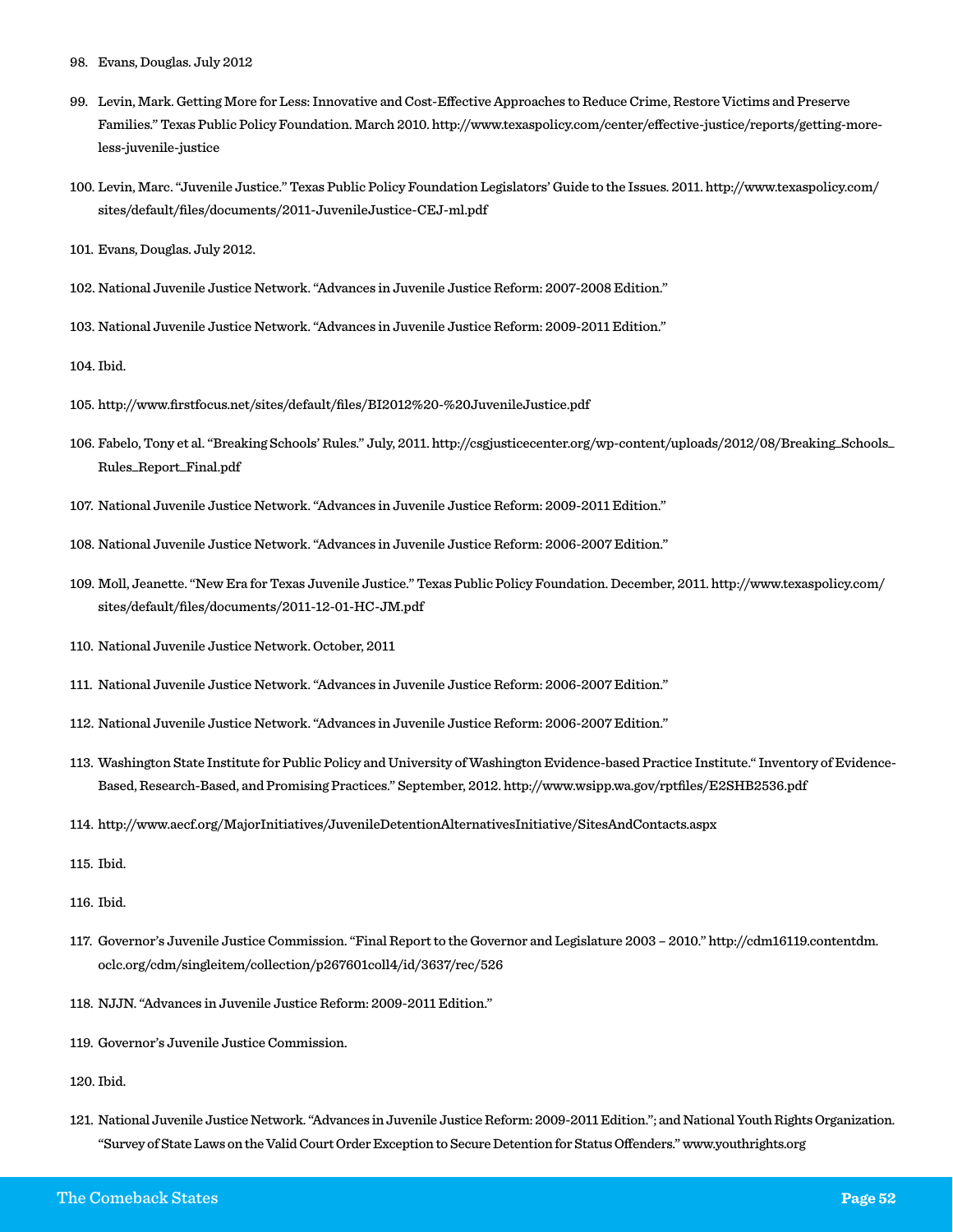- 98. Evans, Douglas. July 2012
- 99. Levin, Mark. Getting More for Less: Innovative and Cost-Effective Approaches to Reduce Crime, Restore Victims and Preserve Families." Texas Public Policy Foundation. March 2010. http://www.texaspolicy.com/center/effective-justice/reports/getting-moreless-juvenile-justice
- 100. Levin, Marc. "Juvenile Justice." Texas Public Policy Foundation Legislators' Guide to the Issues. 2011. http://www.texaspolicy.com/ sites/default/files/documents/2011-JuvenileJustice-CEJ-ml.pdf
- 101. Evans, Douglas. July 2012.
- 102. National Juvenile Justice Network. "Advances in Juvenile Justice Reform: 2007-2008 Edition."
- 103. National Juvenile Justice Network. "Advances in Juvenile Justice Reform: 2009-2011 Edition."
- 104. Ibid.
- 105. http://www.firstfocus.net/sites/default/files/BI2012%20-%20JuvenileJustice.pdf
- 106. Fabelo, Tony et al. "Breaking Schools' Rules." July, 2011. http://csgjusticecenter.org/wp-content/uploads/2012/08/Breaking\_Schools\_ Rules\_Report\_Final.pdf
- 107. National Juvenile Justice Network. "Advances in Juvenile Justice Reform: 2009-2011 Edition."
- 108. National Juvenile Justice Network. "Advances in Juvenile Justice Reform: 2006-2007 Edition."
- 109. Moll, Jeanette. "New Era for Texas Juvenile Justice." Texas Public Policy Foundation. December, 2011. http://www.texaspolicy.com/ sites/default/files/documents/2011-12-01-HC-JM.pdf
- 110. National Juvenile Justice Network. October, 2011
- 111. National Juvenile Justice Network. "Advances in Juvenile Justice Reform: 2006-2007 Edition."
- 112. National Juvenile Justice Network. "Advances in Juvenile Justice Reform: 2006-2007 Edition."
- 113. Washington State Institute for Public Policy and University of Washington Evidence-based Practice Institute." Inventory of Evidence-Based, Research-Based, and Promising Practices." September, 2012. http://www.wsipp.wa.gov/rptfiles/E2SHB2536.pdf
- 114. http://www.aecf.org/MajorInitiatives/JuvenileDetentionAlternativesInitiative/SitesAndContacts.aspx
- 115. Ibid.
- 116. Ibid.
- 117. Governor's Juvenile Justice Commission. "Final Report to the Governor and Legislature 2003 2010." http://cdm16119.contentdm. oclc.org/cdm/singleitem/collection/p267601coll4/id/3637/rec/526
- 118. NJJN. "Advances in Juvenile Justice Reform: 2009-2011 Edition."
- 119. Governor's Juvenile Justice Commission.

120. Ibid.

121. National Juvenile Justice Network. "Advances in Juvenile Justice Reform: 2009-2011 Edition."; and National Youth Rights Organization. "Survey of State Laws on the Valid Court Order Exception to Secure Detention for Status Offenders." www.youthrights.org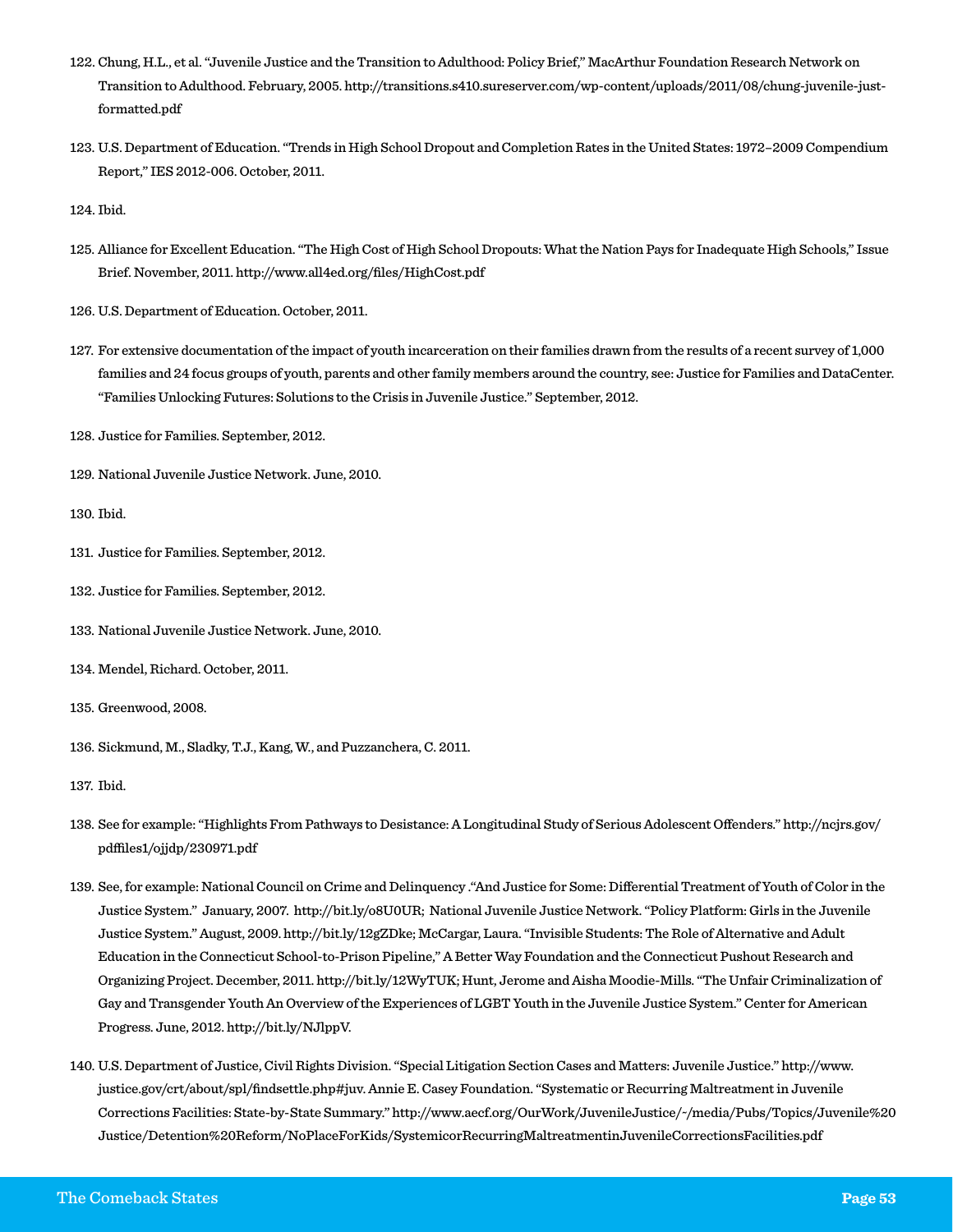- 122. Chung, H.L., et al. "Juvenile Justice and the Transition to Adulthood: Policy Brief," MacArthur Foundation Research Network on Transition to Adulthood. February, 2005. http://transitions.s410.sureserver.com/wp-content/uploads/2011/08/chung-juvenile-justformatted.pdf
- 123. U.S. Department of Education. "Trends in High School Dropout and Completion Rates in the United States: 1972–2009 Compendium Report," IES 2012-006. October, 2011.
- 124. Ibid.
- 125. Alliance for Excellent Education. "The High Cost of High School Dropouts: What the Nation Pays for Inadequate High Schools," Issue Brief. November, 2011. http://www.all4ed.org/files/HighCost.pdf
- 126. U.S. Department of Education. October, 2011.
- 127. For extensive documentation of the impact of youth incarceration on their families drawn from the results of a recent survey of 1,000 families and 24 focus groups of youth, parents and other family members around the country, see: Justice for Families and DataCenter. "Families Unlocking Futures: Solutions to the Crisis in Juvenile Justice." September, 2012.
- 128. Justice for Families. September, 2012.
- 129. National Juvenile Justice Network. June, 2010.
- 130. Ibid.
- 131. Justice for Families. September, 2012.
- 132. Justice for Families. September, 2012.
- 133. National Juvenile Justice Network. June, 2010.
- 134. Mendel, Richard. October, 2011.
- 135. Greenwood, 2008.
- 136. Sickmund, M., Sladky, T.J., Kang, W., and Puzzanchera, C. 2011.
- 137. Ibid.
- 138. See for example: "Highlights From Pathways to Desistance: A Longitudinal Study of Serious Adolescent Offenders." http://ncjrs.gov/ pdffiles1/ojjdp/230971.pdf
- 139. See, for example: National Council on Crime and Delinquency ."And Justice for Some: Differential Treatment of Youth of Color in the Justice System." January, 2007. http://bit.ly/o8U0UR; National Juvenile Justice Network. "Policy Platform: Girls in the Juvenile Justice System." August, 2009. http://bit.ly/12gZDke; McCargar, Laura. "Invisible Students: The Role of Alternative and Adult Education in the Connecticut School-to-Prison Pipeline," A Better Way Foundation and the Connecticut Pushout Research and Organizing Project. December, 2011. http://bit.ly/12WyTUK; Hunt, Jerome and Aisha Moodie-Mills. "The Unfair Criminalization of Gay and Transgender Youth An Overview of the Experiences of LGBT Youth in the Juvenile Justice System." Center for American Progress. June, 2012. http://bit.ly/NJlppV.
- 140. U.S. Department of Justice, Civil Rights Division. "Special Litigation Section Cases and Matters: Juvenile Justice." http://www. justice.gov/crt/about/spl/findsettle.php#juv. Annie E. Casey Foundation. "Systematic or Recurring Maltreatment in Juvenile Corrections Facilities: State-by-State Summary." http://www.aecf.org/OurWork/JuvenileJustice/~/media/Pubs/Topics/Juvenile%20 Justice/Detention%20Reform/NoPlaceForKids/SystemicorRecurringMaltreatmentinJuvenileCorrectionsFacilities.pdf